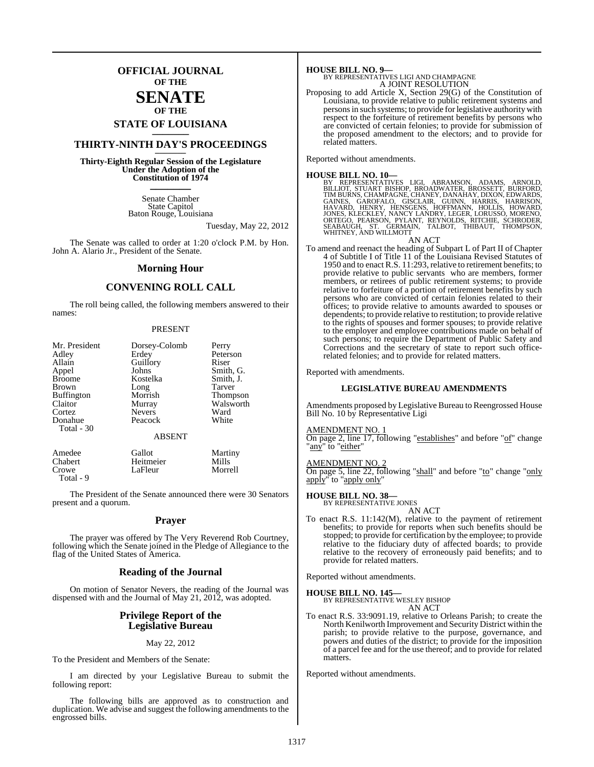### **OFFICIAL JOURNAL OF THE**

### **SENATE OF THE**

# **STATE OF LOUISIANA \_\_\_\_\_\_\_**

### **THIRTY-NINTH DAY'S PROCEEDINGS \_\_\_\_\_\_\_**

**Thirty-Eighth Regular Session of the Legislature Under the Adoption of the Constitution of 1974 \_\_\_\_\_\_\_**

> Senate Chamber State Capitol Baton Rouge, Louisiana

> > Tuesday, May 22, 2012

The Senate was called to order at 1:20 o'clock P.M. by Hon. John A. Alario Jr., President of the Senate.

#### **Morning Hour**

#### **CONVENING ROLL CALL**

The roll being called, the following members answered to their names:

#### PRESENT

| Mr. President                   | Dorsey-Colomb                             | Perry           |
|---------------------------------|-------------------------------------------|-----------------|
| Adley                           | Erdey                                     | Peterson        |
| Allain                          | Guillory                                  | Riser           |
| Appel                           | Johns                                     | Smith, G.       |
| <b>Broome</b>                   | Kostelka                                  | Smith, J.       |
| <b>Brown</b>                    | Long                                      | Tarver          |
| <b>Buffington</b>               | Morrish                                   | <b>Thompson</b> |
| Claitor                         | Murray                                    | Walsworth       |
| Cortez<br>Donahue<br>Total - 30 | <b>Nevers</b><br>Peacock<br><b>ABSENT</b> | Ward<br>White   |
| Amedee                          | Gallot                                    | Martiny         |
| Chabert                         | Heitmeier                                 | Mills           |
| Crowe                           | LaFleur                                   | Morrell         |

Total - 9

The President of the Senate announced there were 30 Senators present and a quorum.

#### **Prayer**

The prayer was offered by The Very Reverend Rob Courtney, following which the Senate joined in the Pledge of Allegiance to the flag of the United States of America.

#### **Reading of the Journal**

On motion of Senator Nevers, the reading of the Journal was dispensed with and the Journal of May 21, 2012, was adopted.

#### **Privilege Report of the Legislative Bureau**

#### May 22, 2012

To the President and Members of the Senate:

I am directed by your Legislative Bureau to submit the following report:

The following bills are approved as to construction and duplication. We advise and suggest the following amendments to the engrossed bills.

#### **HOUSE BILL NO. 9—**

BY REPRESENTATIVES LIGI AND CHAMPAGNE A JOINT RESOLUTION

Proposing to add Article X, Section 29(G) of the Constitution of Louisiana, to provide relative to public retirement systems and persons in such systems; to provide for legislative authority with respect to the forfeiture of retirement benefits by persons who are convicted of certain felonies; to provide for submission of the proposed amendment to the electors; and to provide for related matters.

Reported without amendments.

**HOUSE BILL NO. 10—**<br>BY REPRESENTATIVES LIGI, ABRAMSON, ADAMS, ARNOLD,<br>BILLIOT, STUART BISHOP, BROADWATER, BROSSETT, BURFORD,<br>TIM BURNS, CHAMPAGNE, CHANEY, DANAHAY, DIXON, EDWARDS, GAINES, GAROFALO, GISCLAIR, GUINN, HARRIS, HARRISON,<br>HAVARD, HENRY, HENSGENS, HOFFMANN, HOLLIS, HOWARD,<br>JONES,KLECKLEY,NANCYLANDRY,LEGER,LORUSSO,MORENO,<br>ORTEGO, PEARSON, PYLANT, REYNOLDS, RITCHIE, SCHRODER,<br>SEABAUGH, ST. G

AN ACT

To amend and reenact the heading of Subpart L of Part II of Chapter 4 of Subtitle I of Title 11 of the Louisiana Revised Statutes of 1950 and to enact R.S. 11:293, relative to retirement benefits; to provide relative to public servants who are members, former members, or retirees of public retirement systems; to provide relative to forfeiture of a portion of retirement benefits by such persons who are convicted of certain felonies related to their offices; to provide relative to amounts awarded to spouses or dependents; to provide relative to restitution; to provide relative to the rights of spouses and former spouses; to provide relative to the employer and employee contributions made on behalf of such persons; to require the Department of Public Safety and Corrections and the secretary of state to report such officerelated felonies; and to provide for related matters.

Reported with amendments.

#### **LEGISLATIVE BUREAU AMENDMENTS**

Amendments proposed by Legislative Bureau to Reengrossed House Bill No. 10 by Representative Ligi

#### AMENDMENT NO. 1

On page 2, line 17, following "establishes" and before "of" change "any" to "either"

#### AMENDMENT NO. 2

On page 5, line 22, following "shall" and before "to" change "only apply" to "apply only"

#### **HOUSE BILL NO. 38—**

BY REPRESENTATIVE JONES AN ACT

To enact R.S. 11:142(M), relative to the payment of retirement benefits; to provide for reports when such benefits should be stopped; to provide for certification by the employee; to provide relative to the fiduciary duty of affected boards; to provide relative to the recovery of erroneously paid benefits; and to provide for related matters.

Reported without amendments.

#### **HOUSE BILL NO. 145—**

BY REPRESENTATIVE WESLEY BISHOP

- AN ACT
- To enact R.S. 33:9091.19, relative to Orleans Parish; to create the North Kenilworth Improvement and Security District within the parish; to provide relative to the purpose, governance, and powers and duties of the district; to provide for the imposition of a parcel fee and for the use thereof; and to provide for related matters.

Reported without amendments.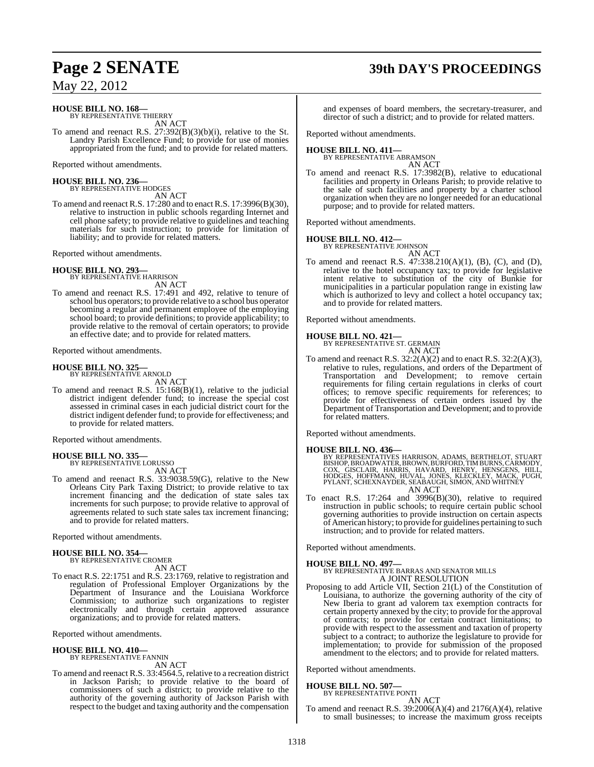# **Page 2 SENATE 39th DAY'S PROCEEDINGS**

May 22, 2012

#### **HOUSE BILL NO. 168—** BY REPRESENTATIVE THIERRY

AN ACT

To amend and reenact R.S. 27:392(B)(3)(b)(i), relative to the St. Landry Parish Excellence Fund; to provide for use of monies appropriated from the fund; and to provide for related matters.

Reported without amendments.

#### **HOUSE BILL NO. 236—** BY REPRESENTATIVE HODGES

AN ACT

To amend and reenact R.S. 17:280 and to enact R.S. 17:3996(B)(30), relative to instruction in public schools regarding Internet and cell phone safety; to provide relative to guidelines and teaching materials for such instruction; to provide for limitation of liability; and to provide for related matters.

Reported without amendments.

#### **HOUSE BILL NO. 293—** BY REPRESENTATIVE HARRISON

AN ACT

To amend and reenact R.S. 17:491 and 492, relative to tenure of school bus operators; to provide relative to a school bus operator becoming a regular and permanent employee of the employing school board; to provide definitions; to provide applicability; to provide relative to the removal of certain operators; to provide an effective date; and to provide for related matters.

Reported without amendments.

### **HOUSE BILL NO. 325—**

BY REPRESENTATIVE ARNOLD AN ACT

To amend and reenact R.S. 15:168(B)(1), relative to the judicial district indigent defender fund; to increase the special cost assessed in criminal cases in each judicial district court for the district indigent defender fund; to provide for effectiveness; and to provide for related matters.

Reported without amendments.

### **HOUSE BILL NO. 335—**

BY REPRESENTATIVE LORUSSO AN ACT

To amend and reenact R.S. 33:9038.59(G), relative to the New Orleans City Park Taxing District; to provide relative to tax increment financing and the dedication of state sales tax increments for such purpose; to provide relative to approval of agreements related to such state sales tax increment financing; and to provide for related matters.

Reported without amendments.

## **HOUSE BILL NO. 354—** BY REPRESENTATIVE CROMER

AN ACT

To enact R.S. 22:1751 and R.S. 23:1769, relative to registration and regulation of Professional Employer Organizations by the Department of Insurance and the Louisiana Workforce Commission; to authorize such organizations to register electronically and through certain approved assurance organizations; and to provide for related matters.

Reported without amendments.

#### **HOUSE BILL NO. 410—** BY REPRESENTATIVE FANNIN

AN ACT

To amend and reenact R.S. 33:4564.5, relative to a recreation district in Jackson Parish; to provide relative to the board of commissioners of such a district; to provide relative to the authority of the governing authority of Jackson Parish with respect to the budget and taxing authority and the compensation

and expenses of board members, the secretary-treasurer, and director of such a district; and to provide for related matters.

Reported without amendments.

**HOUSE BILL NO. 411—** BY REPRESENTATIVE ABRAMSON AN ACT

To amend and reenact R.S. 17:3982(B), relative to educational facilities and property in Orleans Parish; to provide relative to the sale of such facilities and property by a charter school organization when they are no longer needed for an educational purpose; and to provide for related matters.

Reported without amendments.

### **HOUSE BILL NO. 412—** BY REPRESENTATIVE JOHNSON

AN ACT

To amend and reenact R.S.  $47:338.210(A)(1)$ , (B), (C), and (D), relative to the hotel occupancy tax; to provide for legislative intent relative to substitution of the city of Bunkie for municipalities in a particular population range in existing law which is authorized to levy and collect a hotel occupancy tax; and to provide for related matters.

Reported without amendments.

#### **HOUSE BILL NO. 421—**

BY REPRESENTATIVE ST. GERMAIN AN ACT

To amend and reenact R.S.  $32:2(A)(2)$  and to enact R.S.  $32:2(A)(3)$ , relative to rules, regulations, and orders of the Department of Transportation and Development; to remove certain requirements for filing certain regulations in clerks of court offices; to remove specific requirements for references; to provide for effectiveness of certain orders issued by the Department of Transportation and Development; and to provide for related matters.

Reported without amendments.

#### **HOUSE BILL NO. 436—**

BY REPRESENTATIVES HARRISON, ADAMS, BERTHELOT, STUART<br>BISHOP, BROADWATER, BROWN, BURFORD, TIM BURNS, CARMODY,<br>COX, GISCLAIR, HARRIS, HAVARD, HENRY, HENSGENS, HILL,<br>HODGES, HOFFMANN, HUVAL, JONES, KLECKLEY, MACK, PUGH,<br>PYLA

To enact R.S. 17:264 and 3996(B)(30), relative to required instruction in public schools; to require certain public school governing authorities to provide instruction on certain aspects ofAmerican history; to provide for guidelines pertaining to such instruction; and to provide for related matters.

Reported without amendments.

**HOUSE BILL NO. 497—** BY REPRESENTATIVE BARRAS AND SENATOR MILLS A JOINT RESOLUTION

Proposing to add Article VII, Section 21(L) of the Constitution of Louisiana, to authorize the governing authority of the city of New Iberia to grant ad valorem tax exemption contracts for certain property annexed by the city; to provide for the approval of contracts; to provide for certain contract limitations; to provide with respect to the assessment and taxation of property subject to a contract; to authorize the legislature to provide for implementation; to provide for submission of the proposed amendment to the electors; and to provide for related matters.

Reported without amendments.

#### **HOUSE BILL NO. 507—**

BY REPRESENTATIVE PONTI AN ACT

To amend and reenact R.S. 39:2006(A)(4) and 2176(A)(4), relative to small businesses; to increase the maximum gross receipts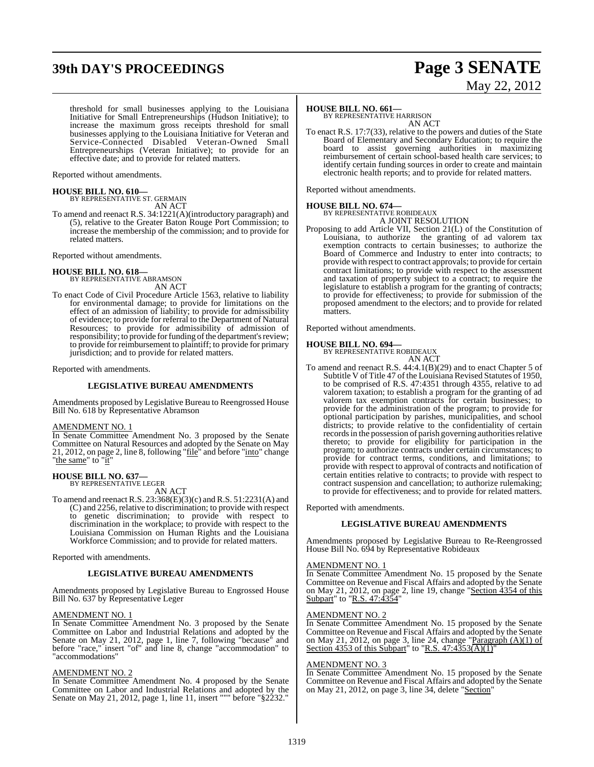# **39th DAY'S PROCEEDINGS Page 3 SENATE**

# May 22, 2012

threshold for small businesses applying to the Louisiana Initiative for Small Entrepreneurships (Hudson Initiative); to increase the maximum gross receipts threshold for small businesses applying to the Louisiana Initiative for Veteran and Service-Connected Disabled Veteran-Owned Small Entrepreneurships (Veteran Initiative); to provide for an effective date; and to provide for related matters.

Reported without amendments.

#### **HOUSE BILL NO. 610—**

BY REPRESENTATIVE ST. GERMAIN AN ACT

To amend and reenact R.S. 34:1221(A)(introductory paragraph) and (5), relative to the Greater Baton Rouge Port Commission; to increase the membership of the commission; and to provide for related matters.

Reported without amendments.

**HOUSE BILL NO. 618—** BY REPRESENTATIVE ABRAMSON AN ACT

To enact Code of Civil Procedure Article 1563, relative to liability for environmental damage; to provide for limitations on the effect of an admission of liability; to provide for admissibility of evidence; to provide for referral to the Department of Natural Resources; to provide for admissibility of admission of responsibility; to provide for funding of the department's review; to provide for reimbursement to plaintiff; to provide for primary jurisdiction; and to provide for related matters.

Reported with amendments.

#### **LEGISLATIVE BUREAU AMENDMENTS**

Amendments proposed by Legislative Bureau to Reengrossed House Bill No. 618 by Representative Abramson

#### AMENDMENT NO. 1

In Senate Committee Amendment No. 3 proposed by the Senate Committee on Natural Resources and adopted by the Senate on May 21, 2012, on page 2, line 8, following "file" and before "into" change "the same" to "it"

### **HOUSE BILL NO. 637—** BY REPRESENTATIVE LEGER

AN ACT

To amend and reenact R.S. 23:368(E)(3)(c) and R.S. 51:2231(A) and (C) and 2256, relative to discrimination; to provide with respect to genetic discrimination; to provide with respect to discrimination in the workplace; to provide with respect to the Louisiana Commission on Human Rights and the Louisiana Workforce Commission; and to provide for related matters.

Reported with amendments.

#### **LEGISLATIVE BUREAU AMENDMENTS**

Amendments proposed by Legislative Bureau to Engrossed House Bill No. 637 by Representative Leger

#### AMENDMENT NO. 1

In Senate Committee Amendment No. 3 proposed by the Senate Committee on Labor and Industrial Relations and adopted by the Senate on May 21, 2012, page 1, line 7, following "because" and before "race," insert "of" and line 8, change "accommodation" to "accommodations"

#### AMENDMENT NO. 2

In Senate Committee Amendment No. 4 proposed by the Senate Committee on Labor and Industrial Relations and adopted by the Senate on May 21, 2012, page 1, line 11, insert """ before "§2232."

#### **HOUSE BILL NO. 661—**

BY REPRESENTATIVE HARRISON AN ACT

To enact R.S. 17:7(33), relative to the powers and duties of the State Board of Elementary and Secondary Education; to require the board to assist governing authorities in maximizing reimbursement of certain school-based health care services; to identify certain funding sources in order to create and maintain electronic health reports; and to provide for related matters.

Reported without amendments.

### **HOUSE BILL NO. 674—**

BY REPRESENTATIVE ROBIDEAUX A JOINT RESOLUTION

Proposing to add Article VII, Section 21(L) of the Constitution of Louisiana, to authorize the granting of ad valorem tax exemption contracts to certain businesses; to authorize the Board of Commerce and Industry to enter into contracts; to provide with respect to contract approvals; to provide for certain contract limitations; to provide with respect to the assessment and taxation of property subject to a contract; to require the legislature to establish a program for the granting of contracts; to provide for effectiveness; to provide for submission of the proposed amendment to the electors; and to provide for related matters.

Reported without amendments.

#### **HOUSE BILL NO. 694—**

BY REPRESENTATIVE ROBIDEAUX AN ACT

To amend and reenact R.S. 44:4.1(B)(29) and to enact Chapter 5 of Subtitle V of Title 47 of the Louisiana Revised Statutes of 1950, to be comprised of R.S. 47:4351 through 4355, relative to ad valorem taxation; to establish a program for the granting of ad valorem tax exemption contracts for certain businesses; to provide for the administration of the program; to provide for optional participation by parishes, municipalities, and school districts; to provide relative to the confidentiality of certain records in the possession of parish governing authorities relative thereto; to provide for eligibility for participation in the program; to authorize contracts under certain circumstances; to provide for contract terms, conditions, and limitations; to provide with respect to approval of contracts and notification of certain entities relative to contracts; to provide with respect to contract suspension and cancellation; to authorize rulemaking; to provide for effectiveness; and to provide for related matters.

Reported with amendments.

#### **LEGISLATIVE BUREAU AMENDMENTS**

Amendments proposed by Legislative Bureau to Re-Reengrossed House Bill No. 694 by Representative Robideaux

### AMENDMENT NO. 1

In Senate Committee Amendment No. 15 proposed by the Senate Committee on Revenue and Fiscal Affairs and adopted by the Senate on May 21, 2012, on page 2, line 19, change "Section 4354 of this Subpart" to "R.S.  $47:4354$ "

#### AMENDMENT NO. 2

In Senate Committee Amendment No. 15 proposed by the Senate Committee on Revenue and Fiscal Affairs and adopted by the Senate on May 21, 2012, on page 3, line 24, change " $\frac{\text{Paragnah}(A)(1)}{\text{of}}$ Section 4353 of this Subpart" to "R.S. 47:4353 $\overline{(A)(1)}$ "

#### AMENDMENT NO. 3

In Senate Committee Amendment No. 15 proposed by the Senate Committee on Revenue and Fiscal Affairs and adopted by the Senate on May 21, 2012, on page 3, line 34, delete "Section"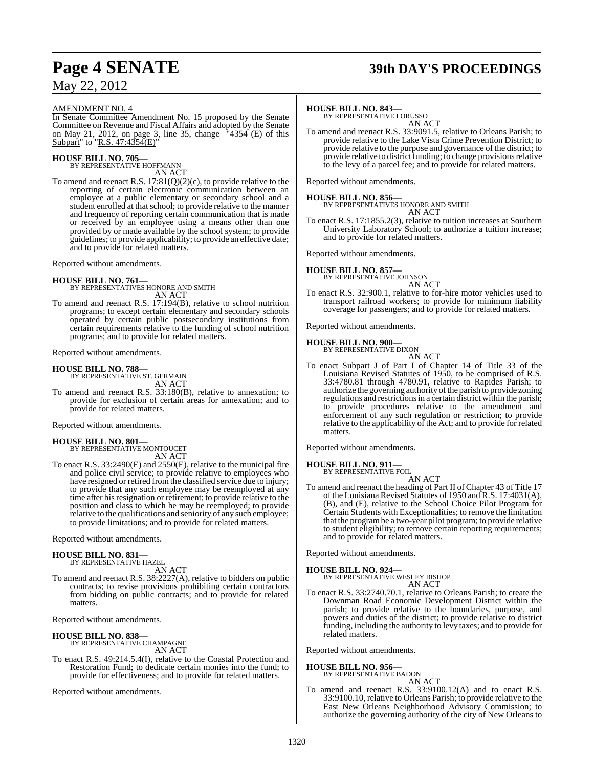# **Page 4 SENATE 39th DAY'S PROCEEDINGS**

#### AMENDMENT NO. 4

In Senate Committee Amendment No. 15 proposed by the Senate Committee on Revenue and Fiscal Affairs and adopted by the Senate on May 21, 2012, on page 3, line 35, change  $\sqrt[1]{4354}$  (E) of this Subpart" to "R.S.  $47:4354(E)$ "

#### **HOUSE BILL NO. 705—** BY REPRESENTATIVE HOFFMANN

AN ACT

To amend and reenact R.S.  $17:81(O)(2)(c)$ , to provide relative to the reporting of certain electronic communication between an employee at a public elementary or secondary school and a student enrolled at that school; to provide relative to the manner and frequency of reporting certain communication that is made or received by an employee using a means other than one provided by or made available by the school system; to provide guidelines; to provide applicability; to provide an effective date; and to provide for related matters.

Reported without amendments.

# **HOUSE BILL NO. 761—** BY REPRESENTATIVES HONORE AND SMITH

AN ACT

To amend and reenact R.S. 17:194(B), relative to school nutrition programs; to except certain elementary and secondary schools operated by certain public postsecondary institutions from certain requirements relative to the funding of school nutrition programs; and to provide for related matters.

Reported without amendments.

**HOUSE BILL NO. 788—** BY REPRESENTATIVE ST. GERMAIN AN ACT

To amend and reenact R.S. 33:180(B), relative to annexation; to provide for exclusion of certain areas for annexation; and to provide for related matters.

Reported without amendments.

#### **HOUSE BILL NO. 801—**

BY REPRESENTATIVE MONTOUCET AN ACT

To enact R.S. 33:2490(E) and 2550(E), relative to the municipal fire and police civil service; to provide relative to employees who have resigned or retired from the classified service due to injury; to provide that any such employee may be reemployed at any time after his resignation or retirement; to provide relative to the position and class to which he may be reemployed; to provide relative to the qualifications and seniority of any such employee; to provide limitations; and to provide for related matters.

Reported without amendments.

## **HOUSE BILL NO. 831—** BY REPRESENTATIVE HAZEL

AN ACT

To amend and reenact R.S. 38:2227(A), relative to bidders on public contracts; to revise provisions prohibiting certain contractors from bidding on public contracts; and to provide for related matters.

Reported without amendments.

#### **HOUSE BILL NO. 838—**

BY REPRESENTATIVE CHAMPAGNE AN ACT

To enact R.S. 49:214.5.4(I), relative to the Coastal Protection and Restoration Fund; to dedicate certain monies into the fund; to provide for effectiveness; and to provide for related matters.

Reported without amendments.

#### **HOUSE BILL NO. 843—**

BY REPRESENTATIVE LORUSSO AN ACT

To amend and reenact R.S. 33:9091.5, relative to Orleans Parish; to provide relative to the Lake Vista Crime Prevention District; to provide relative to the purpose and governance of the district; to provide relative to district funding; to change provisions relative to the levy of a parcel fee; and to provide for related matters.

Reported without amendments.

**HOUSE BILL NO. 856—** BY REPRESENTATIVES HONORE AND SMITH AN ACT

To enact R.S. 17:1855.2(3), relative to tuition increases at Southern University Laboratory School; to authorize a tuition increase; and to provide for related matters.

Reported without amendments.

### **HOUSE BILL NO. 857—**

BY REPRESENTATIVE JOHNSON AN ACT

To enact R.S. 32:900.1, relative to for-hire motor vehicles used to transport railroad workers; to provide for minimum liability coverage for passengers; and to provide for related matters.

Reported without amendments.

#### **HOUSE BILL NO. 900—**

BY REPRESENTATIVE DIXON AN ACT

To enact Subpart J of Part I of Chapter 14 of Title 33 of the Louisiana Revised Statutes of 1950, to be comprised of R.S. 33:4780.81 through 4780.91, relative to Rapides Parish; to authorize the governing authority of the parish to provide zoning regulations and restrictions in a certain district within the parish; to provide procedures relative to the amendment and enforcement of any such regulation or restriction; to provide relative to the applicability of the Act; and to provide for related matters.

Reported without amendments.

## **HOUSE BILL NO. 911—** BY REPRESENTATIVE FOIL

AN ACT

To amend and reenact the heading of Part II of Chapter 43 of Title 17 of the Louisiana Revised Statutes of 1950 and R.S. 17:4031(A), (B), and (E), relative to the School Choice Pilot Program for Certain Students with Exceptionalities; to remove the limitation that the programbe a two-year pilot program; to provide relative to student eligibility; to remove certain reporting requirements; and to provide for related matters.

Reported without amendments.

#### **HOUSE BILL NO. 924—**

BY REPRESENTATIVE WESLEY BISHOP AN ACT

To enact R.S. 33:2740.70.1, relative to Orleans Parish; to create the Downman Road Economic Development District within the parish; to provide relative to the boundaries, purpose, and powers and duties of the district; to provide relative to district funding, including the authority to levy taxes; and to provide for related matters.

Reported without amendments.

#### **HOUSE BILL NO. 956—**

BY REPRESENTATIVE BADON AN ACT

To amend and reenact R.S. 33:9100.12(A) and to enact R.S. 33:9100.10, relative to Orleans Parish; to provide relative to the East New Orleans Neighborhood Advisory Commission; to authorize the governing authority of the city of New Orleans to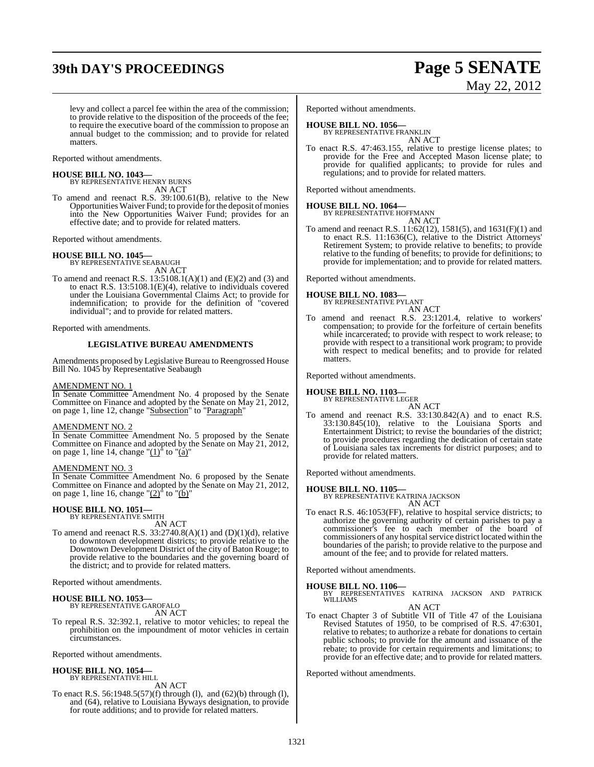# **39th DAY'S PROCEEDINGS Page 5 SENATE**

# May 22, 2012

levy and collect a parcel fee within the area of the commission; to provide relative to the disposition of the proceeds of the fee; to require the executive board of the commission to propose an annual budget to the commission; and to provide for related matters.

Reported without amendments.

### **HOUSE BILL NO. 1043—** BY REPRESENTATIVE HENRY BURNS

AN ACT

To amend and reenact R.S. 39:100.61(B), relative to the New Opportunities Waiver Fund; to provide for the deposit of monies into the New Opportunities Waiver Fund; provides for an effective date; and to provide for related matters.

Reported without amendments.

**HOUSE BILL NO. 1045—** BY REPRESENTATIVE SEABAUGH AN ACT

To amend and reenact R.S. 13:5108.1(A)(1) and (E)(2) and (3) and to enact R.S. 13:5108.1(E)(4), relative to individuals covered under the Louisiana Governmental Claims Act; to provide for indemnification; to provide for the definition of "covered individual"; and to provide for related matters.

Reported with amendments.

#### **LEGISLATIVE BUREAU AMENDMENTS**

Amendments proposed by Legislative Bureau to Reengrossed House Bill No. 1045 by Representative Seabaugh

#### AMENDMENT NO. 1

In Senate Committee Amendment No. 4 proposed by the Senate Committee on Finance and adopted by the Senate on May 21, 2012, on page 1, line 12, change "Subsection" to "Paragraph"

#### AMENDMENT NO. 2

In Senate Committee Amendment No. 5 proposed by the Senate Committee on Finance and adopted by the Senate on May 21, 2012, on page 1, line 14, change " $(1)$ " to " $(a)$ "

#### AMENDMENT NO. 3

In Senate Committee Amendment No. 6 proposed by the Senate Committee on Finance and adopted by the Senate on May 21, 2012, on page 1, line 16, change " $(2)$ " to " $(b)$ "

### **HOUSE BILL NO. 1051—** BY REPRESENTATIVE SMITH

AN ACT

To amend and reenact R.S. 33:2740.8(A)(1) and (D)(1)(d), relative to downtown development districts; to provide relative to the Downtown Development District of the city of Baton Rouge; to provide relative to the boundaries and the governing board of the district; and to provide for related matters.

Reported without amendments.

#### **HOUSE BILL NO. 1053—**

BY REPRESENTATIVE GAROFALO AN ACT

To repeal R.S. 32:392.1, relative to motor vehicles; to repeal the prohibition on the impoundment of motor vehicles in certain circumstances.

Reported without amendments.

### **HOUSE BILL NO. 1054—** BY REPRESENTATIVE HILL

AN ACT

To enact R.S. 56:1948.5(57)(f) through (l), and (62)(b) through (l), and (64), relative to Louisiana Byways designation, to provide for route additions; and to provide for related matters.

Reported without amendments.

#### **HOUSE BILL NO. 1056—**

BY REPRESENTATIVE FRANKLIN AN ACT

To enact R.S. 47:463.155, relative to prestige license plates; to provide for the Free and Accepted Mason license plate; to provide for qualified applicants; to provide for rules and regulations; and to provide for related matters.

Reported without amendments.

**HOUSE BILL NO. 1064—** BY REPRESENTATIVE HOFFMANN AN ACT

To amend and reenact R.S. 11:62(12), 1581(5), and 1631(F)(1) and to enact R.S. 11:1636(C), relative to the District Attorneys' Retirement System; to provide relative to benefits; to provide relative to the funding of benefits; to provide for definitions; to provide for implementation; and to provide for related matters.

Reported without amendments.

### **HOUSE BILL NO. 1083—** BY REPRESENTATIVE PYLANT

AN ACT

To amend and reenact R.S. 23:1201.4, relative to workers' compensation; to provide for the forfeiture of certain benefits while incarcerated; to provide with respect to work release; to provide with respect to a transitional work program; to provide with respect to medical benefits; and to provide for related matters.

Reported without amendments.

### **HOUSE BILL NO. 1103—** BY REPRESENTATIVE LEGER

AN ACT To amend and reenact R.S. 33:130.842(A) and to enact R.S. 33:130.845(10), relative to the Louisiana Sports and Entertainment District; to revise the boundaries of the district; to provide procedures regarding the dedication of certain state of Louisiana sales tax increments for district purposes; and to provide for related matters.

Reported without amendments.

**HOUSE BILL NO. 1105—** BY REPRESENTATIVE KATRINA JACKSON AN ACT

To enact R.S. 46:1053(FF), relative to hospital service districts; to authorize the governing authority of certain parishes to pay a commissioner's fee to each member of the board of commissioners of any hospital service district located within the boundaries of the parish; to provide relative to the purpose and amount of the fee; and to provide for related matters.

Reported without amendments.

**HOUSE BILL NO. 1106—** BY REPRESENTATIVES KATRINA JACKSON AND PATRICK WILLIAMS

AN ACT

To enact Chapter 3 of Subtitle VII of Title 47 of the Louisiana Revised Statutes of 1950, to be comprised of R.S. 47:6301, relative to rebates; to authorize a rebate for donations to certain public schools; to provide for the amount and issuance of the rebate; to provide for certain requirements and limitations; to provide for an effective date; and to provide for related matters.

Reported without amendments.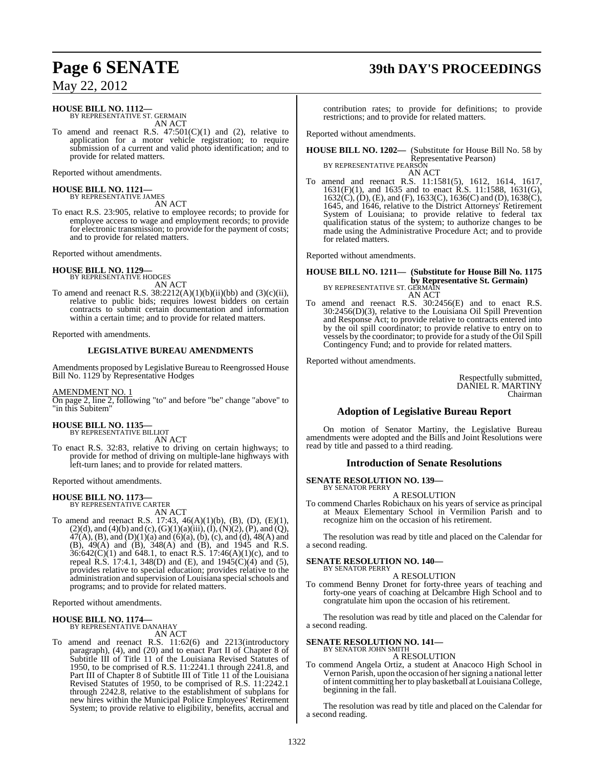## **Page 6 SENATE 39th DAY'S PROCEEDINGS**

May 22, 2012

#### **HOUSE BILL NO. 1112—** BY REPRESENTATIVE ST. GERMAIN

AN ACT

To amend and reenact R.S.  $47:501(C)(1)$  and (2), relative to application for a motor vehicle registration; to require submission of a current and valid photo identification; and to provide for related matters.

Reported without amendments.

# **HOUSE BILL NO. 1121—** BY REPRESENTATIVE JAMES

AN ACT

To enact R.S. 23:905, relative to employee records; to provide for employee access to wage and employment records; to provide for electronic transmission; to provide for the payment of costs; and to provide for related matters.

Reported without amendments.

**HOUSE BILL NO. 1129—** BY REPRESENTATIVE HODGES

AN ACT To amend and reenact R.S.  $38:2212(A)(1)(b)(ii)(bb)$  and  $(3)(c)(ii)$ , relative to public bids; requires lowest bidders on certain contracts to submit certain documentation and information within a certain time; and to provide for related matters.

Reported with amendments.

#### **LEGISLATIVE BUREAU AMENDMENTS**

Amendments proposed by Legislative Bureau to Reengrossed House Bill No. 1129 by Representative Hodges

AMENDMENT NO. 1

On page 2, line 2, following "to" and before "be" change "above" to In this Subitem"

## **HOUSE BILL NO. 1135—** BY REPRESENTATIVE BILLIOT

AN ACT

To enact R.S. 32:83, relative to driving on certain highways; to provide for method of driving on multiple-lane highways with left-turn lanes; and to provide for related matters.

Reported without amendments.

# **HOUSE BILL NO. 1173—** BY REPRESENTATIVE CARTER

AN ACT

To amend and reenact R.S. 17:43, 46(A)(1)(b), (B), (D), (E)(1),  $(2)(d)$ , and  $(4)(b)$  and  $(c)$ ,  $(G)(1)(a)(iii)$ ,  $(I)$ ,  $(N)(2)$ ,  $(P)$ , and  $(Q)$ ,  $47(A)$ , (B), and (D)(1)(a) and (6)(a), (b), (c), and (d), 48(A) and (B), 49(A) and (B), 348(A) and (B), and 1945 and R.S.  $36:642(\text{C})(1)$  and  $648.1$ , to enact R.S. 17:46(A)(1)(c), and to repeal R.S. 17:4.1, 348(D) and (E), and 1945(C)(4) and (5), provides relative to special education; provides relative to the administration and supervision of Louisiana special schools and programs; and to provide for related matters.

Reported without amendments.

### **HOUSE BILL NO. 1174—** BY REPRESENTATIVE DANAHAY

AN ACT

To amend and reenact R.S. 11:62(6) and 2213(introductory paragraph), (4), and (20) and to enact Part II of Chapter 8 of Subtitle III of Title 11 of the Louisiana Revised Statutes of 1950, to be comprised of R.S. 11:2241.1 through 2241.8, and Part III of Chapter 8 of Subtitle III of Title 11 of the Louisiana Revised Statutes of 1950, to be comprised of R.S. 11:2242.1 through 2242.8, relative to the establishment of subplans for new hires within the Municipal Police Employees' Retirement System; to provide relative to eligibility, benefits, accrual and

contribution rates; to provide for definitions; to provide restrictions; and to provide for related matters.

Reported without amendments.

**HOUSE BILL NO. 1202—** (Substitute for House Bill No. 58 by Representative Pearson) BY REPRESENTATIVE PEARSON

AN ACT To amend and reenact R.S. 11:1581(5), 1612, 1614, 1617, 1631(F)(1), and 1635 and to enact R.S. 11:1588, 1631(G), 1632(C), (D), (E), and (F), 1633(C), 1636(C) and (D), 1638(C), 1645, and 1646, relative to the District Attorneys' Retirement System of Louisiana; to provide relative to federal tax qualification status of the system; to authorize changes to be made using the Administrative Procedure Act; and to provide for related matters.

Reported without amendments.

### **HOUSE BILL NO. 1211— (Substitute for House Bill No. 1175 by Representative St. Germain**)<br>BY REPRESENTATIVE ST. GERMAIN AN ACT

To amend and reenact R.S. 30:2456(E) and to enact R.S. 30:2456(D)(3), relative to the Louisiana Oil Spill Prevention and Response Act; to provide relative to contracts entered into by the oil spill coordinator; to provide relative to entry on to vessels by the coordinator; to provide for a study of the Oil Spill Contingency Fund; and to provide for related matters.

Reported without amendments.

Respectfully submitted, DANIEL R. MARTINY Chairman

### **Adoption of Legislative Bureau Report**

On motion of Senator Martiny, the Legislative Bureau amendments were adopted and the Bills and Joint Resolutions were read by title and passed to a third reading.

#### **Introduction of Senate Resolutions**

**SENATE RESOLUTION NO. 139—**

BY SENATOR PERRY A RESOLUTION

To commend Charles Robichaux on his years of service as principal at Meaux Elementary School in Vermilion Parish and to recognize him on the occasion of his retirement.

The resolution was read by title and placed on the Calendar for a second reading.

#### **SENATE RESOLUTION NO. 140—** BY SENATOR PERRY

#### A RESOLUTION

To commend Benny Dronet for forty-three years of teaching and forty-one years of coaching at Delcambre High School and to congratulate him upon the occasion of his retirement.

The resolution was read by title and placed on the Calendar for a second reading.

#### **SENATE RESOLUTION NO. 141—** BY SENATOR JOHN SMITH

A RESOLUTION

To commend Angela Ortiz, a student at Anacoco High School in Vernon Parish, upon the occasion of her signing a national letter ofintent committing her to play basketball at LouisianaCollege, beginning in the fall.

The resolution was read by title and placed on the Calendar for a second reading.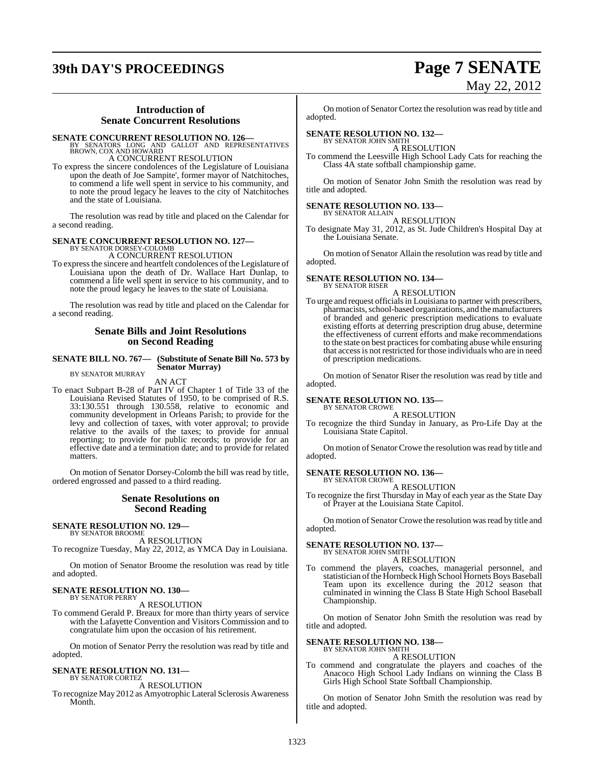# **39th DAY'S PROCEEDINGS Page 7 SENATE**

# May 22, 2012

#### **Introduction of Senate Concurrent Resolutions**

#### **SENATE CONCURRENT RESOLUTION NO. 126—**

BY SENATORS LONG AND GALLOT AND REPRESENTATIVES BROWN, COX AND HOWARD A CONCURRENT RESOLUTION

To express the sincere condolences of the Legislature of Louisiana upon the death of Joe Sampite', former mayor of Natchitoches, to commend a life well spent in service to his community, and to note the proud legacy he leaves to the city of Natchitoches and the state of Louisiana.

The resolution was read by title and placed on the Calendar for a second reading.

### **SENATE CONCURRENT RESOLUTION NO. 127—** BY SENATOR DORSEY-COLOMB

A CONCURRENT RESOLUTION

To expressthe sincere and heartfelt condolences of the Legislature of Louisiana upon the death of Dr. Wallace Hart Dunlap, to commend a life well spent in service to his community, and to note the proud legacy he leaves to the state of Louisiana.

The resolution was read by title and placed on the Calendar for a second reading.

#### **Senate Bills and Joint Resolutions on Second Reading**

#### **SENATE BILL NO. 767— (Substitute of Senate Bill No. 573 by Senator Murray)**

BY SENATOR MURRAY

AN ACT To enact Subpart B-28 of Part IV of Chapter 1 of Title 33 of the Louisiana Revised Statutes of 1950, to be comprised of R.S. 33:130.551 through 130.558, relative to economic and community development in Orleans Parish; to provide for the levy and collection of taxes, with voter approval; to provide relative to the avails of the taxes; to provide for annual reporting; to provide for public records; to provide for an effective date and a termination date; and to provide for related matters.

On motion of Senator Dorsey-Colomb the bill was read by title, ordered engrossed and passed to a third reading.

#### **Senate Resolutions on Second Reading**

#### **SENATE RESOLUTION NO. 129—** BY SENATOR BROOME

A RESOLUTION To recognize Tuesday, May 22, 2012, as YMCA Day in Louisiana.

On motion of Senator Broome the resolution was read by title and adopted.

#### **SENATE RESOLUTION NO. 130—** BY SENATOR PERRY

A RESOLUTION

To commend Gerald P. Breaux for more than thirty years of service with the Lafayette Convention and Visitors Commission and to congratulate him upon the occasion of his retirement.

On motion of Senator Perry the resolution was read by title and adopted.

### **SENATE RESOLUTION NO. 131—** BY SENATOR CORTEZ

A RESOLUTION

To recognize May 2012 as Amyotrophic Lateral Sclerosis Awareness Month.

On motion of Senator Cortez the resolution was read by title and adopted.

### **SENATE RESOLUTION NO. 132—**<br>BY SENATOR JOHN SMITH

A RESOLUTION

To commend the Leesville High School Lady Cats for reaching the Class 4A state softball championship game.

On motion of Senator John Smith the resolution was read by title and adopted.

#### **SENATE RESOLUTION NO. 133—**

BY SENATOR ALLAIN A RESOLUTION

To designate May 31, 2012, as St. Jude Children's Hospital Day at the Louisiana Senate.

On motion of Senator Allain the resolution was read by title and adopted.

#### **SENATE RESOLUTION NO. 134—** BY SENATOR RISER

A RESOLUTION

To urge and request officialsin Louisiana to partner with prescribers, pharmacists, school-based organizations, and the manufacturers of branded and generic prescription medications to evaluate existing efforts at deterring prescription drug abuse, determine the effectiveness of current efforts and make recommendations to the state on best practices for combating abuse while ensuring that accessis not restricted for those individuals who are in need of prescription medications.

On motion of Senator Riser the resolution was read by title and adopted.

#### **SENATE RESOLUTION NO. 135—** BY SENATOR CROWE

A RESOLUTION

To recognize the third Sunday in January, as Pro-Life Day at the Louisiana State Capitol.

On motion of Senator Crowe the resolution was read by title and adopted.

#### **SENATE RESOLUTION NO. 136—**

BY SENATOR CROWE A RESOLUTION

To recognize the first Thursday in May of each year as the State Day of Prayer at the Louisiana State Capitol.

On motion of Senator Crowe the resolution wasread by title and adopted.

# **SENATE RESOLUTION NO. 137—** BY SENATOR JOHN SMITH

A RESOLUTION

To commend the players, coaches, managerial personnel, and statistician of the Hornbeck High School Hornets Boys Baseball Team upon its excellence during the 2012 season that culminated in winning the Class B State High School Baseball Championship.

On motion of Senator John Smith the resolution was read by title and adopted.

#### **SENATE RESOLUTION NO. 138—** BY SENATOR JOHN SMITH

A RESOLUTION

To commend and congratulate the players and coaches of the Anacoco High School Lady Indians on winning the Class B Girls High School State Softball Championship.

On motion of Senator John Smith the resolution was read by title and adopted.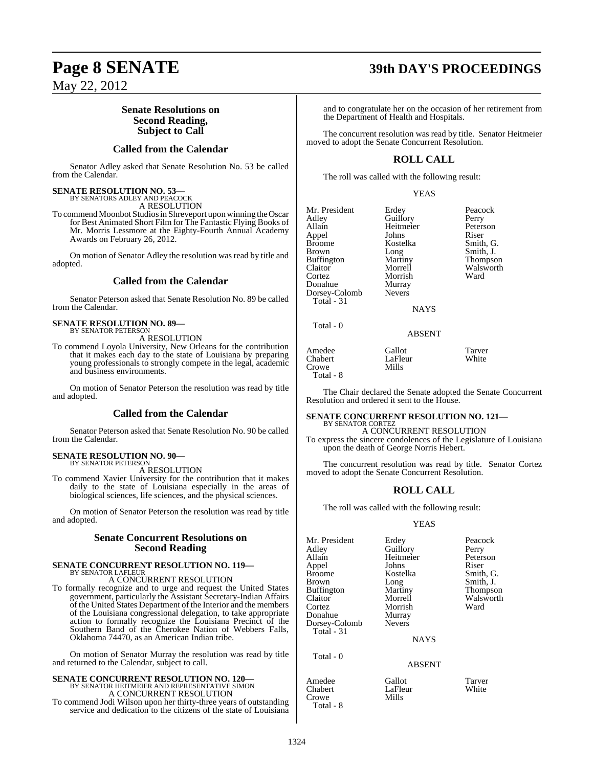#### **Senate Resolutions on Second Reading, Subject to Call**

#### **Called from the Calendar**

Senator Adley asked that Senate Resolution No. 53 be called from the Calendar.

**SENATE RESOLUTION NO. 53—** BY SENATORS ADLEY AND PEACOCK

A RESOLUTION

To commend Moonbot Studiosin Shreveport upon winning the Oscar for Best Animated Short Film for The Fantastic Flying Books of Mr. Morris Lessmore at the Eighty-Fourth Annual Academy Awards on February 26, 2012.

On motion of Senator Adley the resolution was read by title and adopted.

#### **Called from the Calendar**

Senator Peterson asked that Senate Resolution No. 89 be called from the Calendar.

#### **SENATE RESOLUTION NO. 89—** BY SENATOR PETERSON

A RESOLUTION

To commend Loyola University, New Orleans for the contribution that it makes each day to the state of Louisiana by preparing young professionals to strongly compete in the legal, academic and business environments.

On motion of Senator Peterson the resolution was read by title and adopted.

#### **Called from the Calendar**

Senator Peterson asked that Senate Resolution No. 90 be called from the Calendar.

#### **SENATE RESOLUTION NO. 90—** BY SENATOR PETERSON

A RESOLUTION

To commend Xavier University for the contribution that it makes daily to the state of Louisiana especially in the areas of biological sciences, life sciences, and the physical sciences.

On motion of Senator Peterson the resolution was read by title and adopted.

#### **Senate Concurrent Resolutions on Second Reading**

### **SENATE CONCURRENT RESOLUTION NO. 119—** BY SENATOR LAFLEUR A CONCURRENT RESOLUTION

To formally recognize and to urge and request the United States government, particularly the Assistant Secretary-Indian Affairs of the United States Department of the Interior and the members of the Louisiana congressional delegation, to take appropriate action to formally recognize the Louisiana Precinct of the Southern Band of the Cherokee Nation of Webbers Falls, Oklahoma 74470, as an American Indian tribe.

On motion of Senator Murray the resolution was read by title and returned to the Calendar, subject to call.

### **SENATE CONCURRENT RESOLUTION NO. 120—**

BY SENATOR HEITMEIER AND REPRESENTATIVE SIMON A CONCURRENT RESOLUTION

To commend Jodi Wilson upon her thirty-three years of outstanding service and dedication to the citizens of the state of Louisiana

### **Page 8 SENATE 39th DAY'S PROCEEDINGS**

and to congratulate her on the occasion of her retirement from the Department of Health and Hospitals.

The concurrent resolution was read by title. Senator Heitmeier moved to adopt the Senate Concurrent Resolution.

### **ROLL CALL**

The roll was called with the following result:

#### YEAS

Mr. President Erdey Peacock<br>Adley Guillory Perry Adley Guillory Perry Allain Heitmeier Peters<br>Appel Johns Riser Appel Johns<br>Broome Kostelka Broome Kostelka Smith, G.<br>Brown Long Smith, J. Buffington Martiny<br>Claitor Morrell Claitor Morrell Walsworth Donahue Dorsey-Colomb Nevers Total - 31

Total - 0

Long Smith, J.<br>Martiny Thompson Morrish<br>Murray

**NAYS** 

#### ABSENT

Amedee Gallot Tarver<br>
Chabert LaFleur White LaFleur<br>Mills Crowe Total - 8

The Chair declared the Senate adopted the Senate Concurrent Resolution and ordered it sent to the House.

#### **SENATE CONCURRENT RESOLUTION NO. 121—** BY SENATOR CORTEZ

A CONCURRENT RESOLUTION

To express the sincere condolences of the Legislature of Louisiana upon the death of George Norris Hebert.

The concurrent resolution was read by title. Senator Cortez moved to adopt the Senate Concurrent Resolution.

#### **ROLL CALL**

The roll was called with the following result:

#### YEAS

| Erdey         | Peacock   |
|---------------|-----------|
| Guillory      | Perry     |
| Heitmeier     | Peterson  |
| Johns         | Riser     |
| Kostelka      | Smith, G. |
| Long          | Smith, J. |
| Martiny       | Thompson  |
| Morrell       | Walsworth |
| Morrish       | Ward      |
| Murray        |           |
| <b>Nevers</b> |           |
|               |           |
|               |           |

Total - 0

Crowe Total - 8 **NAYS** 

#### ABSENT

Amedee Gallot Tarver<br>
Chabert LaFleur White LaFleur<br>Mills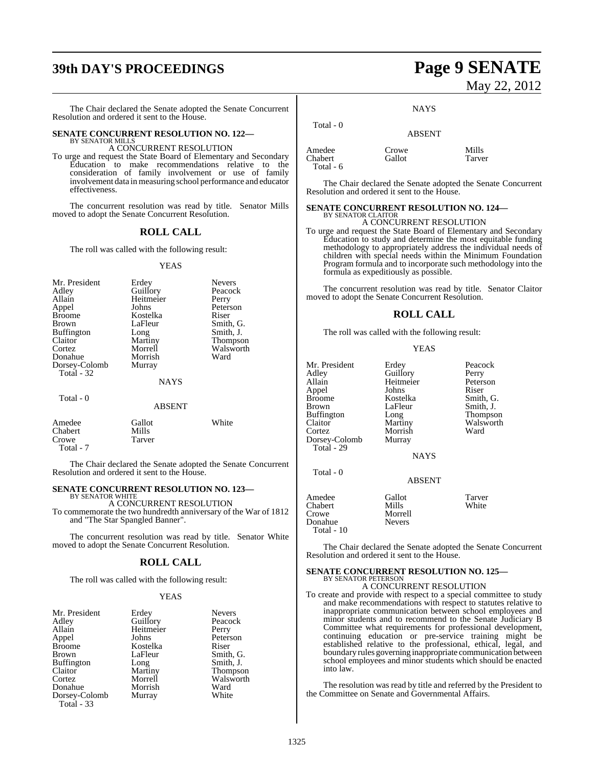# **39th DAY'S PROCEEDINGS Page 9 SENATE**

The Chair declared the Senate adopted the Senate Concurrent Resolution and ordered it sent to the House.

#### **SENATE CONCURRENT RESOLUTION NO. 122—** BY SENATOR MILL

A CONCURRENT RESOLUTION

To urge and request the State Board of Elementary and Secondary Education to make recommendations relative to the consideration of family involvement or use of family involvement data in measuring school performance and educator effectiveness.

The concurrent resolution was read by title. Senator Mills moved to adopt the Senate Concurrent Resolution.

#### **ROLL CALL**

The roll was called with the following result:

#### YEAS

| Mr. President<br>Adley<br>Allain<br>Appel<br><b>Broome</b><br>Brown | Erdey<br>Guillory<br>Heitmeier<br>Johns<br>Kostelka<br>LaFleur | <b>Nevers</b><br>Peacock<br>Perry<br>Peterson<br>Riser<br>Smith, G. |
|---------------------------------------------------------------------|----------------------------------------------------------------|---------------------------------------------------------------------|
| <b>Buffington</b><br>Claitor<br>Cortez                              | Long<br>Martiny<br>Morrell                                     | Smith, J.<br>Thompson<br>Walsworth                                  |
| Donahue<br>Dorsey-Colomb<br><b>Total - 32</b>                       | Morrish<br>Murray                                              | Ward                                                                |
|                                                                     | <b>NAYS</b>                                                    |                                                                     |
| Total - 0                                                           | <b>ABSENT</b>                                                  |                                                                     |
| Amedee<br>Chabert<br>Crowe                                          | Gallot<br>Mills<br>Tarver                                      | White                                                               |

The Chair declared the Senate adopted the Senate Concurrent Resolution and ordered it sent to the House.

#### **SENATE CONCURRENT RESOLUTION NO. 123—** BY SENATOR WHITE

Crowe Total - 7

A CONCURRENT RESOLUTION To commemorate the two hundredth anniversary of the War of 1812 and "The Star Spangled Banner".

The concurrent resolution was read by title. Senator White moved to adopt the Senate Concurrent Resolution.

#### **ROLL CALL**

The roll was called with the following result:

#### YEAS

| Mr. President     | Erdey     | <b>Nevers</b> |
|-------------------|-----------|---------------|
| Adley             | Guillory  | Peacock       |
| Allain            | Heitmeier | Perry         |
| Appel             | Johns     | Peterson      |
| <b>Broome</b>     | Kostelka  | Riser         |
| <b>Brown</b>      | LaFleur   | Smith, G.     |
| <b>Buffington</b> | Long      | Smith, J.     |
| Claitor           | Martiny   | Thompson      |
| Cortez            | Morrell   | Walsworth     |
| Donahue           | Morrish   | Ward          |
| Dorsey-Colomb     | Murray    | White         |
| <b>Total - 33</b> |           |               |

# May 22, 2012

**NAYS** 

| Total - $0$              | <b>ABSENT</b>   |                 |
|--------------------------|-----------------|-----------------|
| Amedee<br><b>Chabert</b> | Crowe<br>Gallot | Mills<br>Tarver |
| Total - 6                |                 |                 |

The Chair declared the Senate adopted the Senate Concurrent Resolution and ordered it sent to the House.

### **SENATE CONCURRENT RESOLUTION NO. 124—** BY SENATOR CLAITOR

#### A CONCURRENT RESOLUTION

To urge and request the State Board of Elementary and Secondary Education to study and determine the most equitable funding methodology to appropriately address the individual needs of children with special needs within the Minimum Foundation Program formula and to incorporate such methodology into the formula as expeditiously as possible.

The concurrent resolution was read by title. Senator Claitor moved to adopt the Senate Concurrent Resolution.

#### **ROLL CALL**

The roll was called with the following result:

#### YEAS

Mr. President Erdey Peacock<br>Adley Guillory Perry Adley Guillory Perry<br>
Allain Heitmeier Peterson Appel Johns<br>Broome Kostelka Broome Kostelka Smith, G.<br>Brown LaFleur Smith, J. Buffington Long<br>Claitor Martiny Claitor Martiny Walsworth<br>
Cortez Morrish Ward Dorsey-Colomb Total - 29

Total - 0

Heitmeier Peters<br>Johns Riser LaFleur Smith, J.<br>Long Thompson

**NAYS** 

Morrish<br>Murrav

ABSENT

| Amedee         | Gallot        | Tarver |
|----------------|---------------|--------|
| <b>Chabert</b> | Mills         | White  |
| Crowe          | Morrell       |        |
| Donahue        | <b>Nevers</b> |        |
| Total - $10$   |               |        |

The Chair declared the Senate adopted the Senate Concurrent Resolution and ordered it sent to the House.

#### **SENATE CONCURRENT RESOLUTION NO. 125—** BY SENATOR PETERSON

#### A CONCURRENT RESOLUTION

To create and provide with respect to a special committee to study and make recommendations with respect to statutes relative to inappropriate communication between school employees and minor students and to recommend to the Senate Judiciary B Committee what requirements for professional development, continuing education or pre-service training might be established relative to the professional, ethical, legal, and boundary rules governing inappropriate communication between school employees and minor students which should be enacted into law.

The resolution was read by title and referred by the President to the Committee on Senate and Governmental Affairs.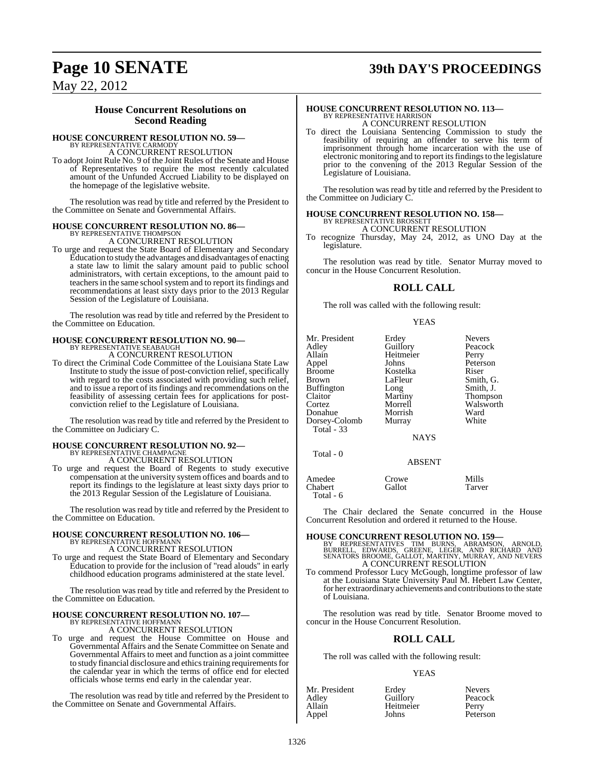## **Page 10 SENATE 39th DAY'S PROCEEDINGS**

May 22, 2012

#### **House Concurrent Resolutions on Second Reading**

# **HOUSE CONCURRENT RESOLUTION NO. 59—**

BY REPRESENTATIVE CARMODY A CONCURRENT RESOLUTION

To adopt Joint Rule No. 9 of the Joint Rules of the Senate and House of Representatives to require the most recently calculated amount of the Unfunded Accrued Liability to be displayed on the homepage of the legislative website.

The resolution was read by title and referred by the President to the Committee on Senate and Governmental Affairs.

#### **HOUSE CONCURRENT RESOLUTION NO. 86—**

BY REPRESENTATIVE THOMPSON A CONCURRENT RESOLUTION

To urge and request the State Board of Elementary and Secondary Education to study the advantages and disadvantages of enacting a state law to limit the salary amount paid to public school administrators, with certain exceptions, to the amount paid to teachers in the same school system and to report its findings and recommendations at least sixty days prior to the 2013 Regular Session of the Legislature of Louisiana.

The resolution was read by title and referred by the President to the Committee on Education.

### **HOUSE CONCURRENT RESOLUTION NO. 90—** BY REPRESENTATIVE SEABAUGH A CONCURRENT RESOLUTION

To direct the Criminal Code Committee of the Louisiana State Law Institute to study the issue of post-conviction relief, specifically with regard to the costs associated with providing such relief, and to issue a report of its findings and recommendations on the feasibility of assessing certain fees for applications for postconviction relief to the Legislature of Louisiana.

The resolution was read by title and referred by the President to the Committee on Judiciary C.

# **HOUSE CONCURRENT RESOLUTION NO. 92—** BY REPRESENTATIVE CHAMPAGNE

A CONCURRENT RESOLUTION

To urge and request the Board of Regents to study executive compensation at the university system offices and boards and to report its findings to the legislature at least sixty days prior to the 2013 Regular Session of the Legislature of Louisiana.

The resolution was read by title and referred by the President to the Committee on Education.

#### **HOUSE CONCURRENT RESOLUTION NO. 106—** BY REPRESENTATIVE HOFFMANN

A CONCURRENT RESOLUTION

To urge and request the State Board of Elementary and Secondary Education to provide for the inclusion of "read alouds" in early childhood education programs administered at the state level.

The resolution was read by title and referred by the President to the Committee on Education.

## **HOUSE CONCURRENT RESOLUTION NO. 107—** BY REPRESENTATIVE HOFFMANN

A CONCURRENT RESOLUTION

To urge and request the House Committee on House and Governmental Affairs and the Senate Committee on Senate and Governmental Affairs to meet and function as a joint committee to study financial disclosure and ethics training requirements for the calendar year in which the terms of office end for elected officials whose terms end early in the calendar year.

The resolution was read by title and referred by the President to the Committee on Senate and Governmental Affairs.

### **HOUSE CONCURRENT RESOLUTION NO. 113—** BY REPRESENTATIVE HARRISON A CONCURRENT RESOLUTION

To direct the Louisiana Sentencing Commission to study the feasibility of requiring an offender to serve his term of imprisonment through home incarceration with the use of electronic monitoring and to report its findings to the legislature prior to the convening of the 2013 Regular Session of the Legislature of Louisiana.

The resolution was read by title and referred by the President to the Committee on Judiciary C.

#### **HOUSE CONCURRENT RESOLUTION NO. 158—** BY REPRESENTATIVE BROSSETT

A CONCURRENT RESOLUTION

To recognize Thursday, May 24, 2012, as UNO Day at the legislature.

The resolution was read by title. Senator Murray moved to concur in the House Concurrent Resolution.

### **ROLL CALL**

The roll was called with the following result:

#### YEAS

| Mr. President<br>Adley<br>Allain<br>Appel<br>Broome<br>Brown<br>Buffington<br>Claitor<br>Cortez<br>Donahue<br>Dorsey-Colomb<br>Total - 33 | Erdey<br>Guillory<br>Heitmeier<br>Johns<br>Kostelka<br>LaFleur<br>Long<br>Martiny<br>Morrell<br>Morrish<br>Murray<br><b>NAYS</b> | <b>Nevers</b><br>Peacock<br>Perry<br>Peterson<br>Riser<br>Smith, G.<br>Smith, J.<br>Thompson<br>Walsworth<br>Ward<br>White |
|-------------------------------------------------------------------------------------------------------------------------------------------|----------------------------------------------------------------------------------------------------------------------------------|----------------------------------------------------------------------------------------------------------------------------|
| Total - 0                                                                                                                                 | <b>ABSENT</b>                                                                                                                    |                                                                                                                            |
| $A = -1 - 1$                                                                                                                              | $\sim$                                                                                                                           | <b>MILL</b>                                                                                                                |

Amedee Crowe Mills Chabert Total - 6

The Chair declared the Senate concurred in the House Concurrent Resolution and ordered it returned to the House.

**HOUSE CONCURRENT RESOLUTION NO. 159**<br>BY REPRESENTATIVES TIM BURNS, ABRAMSON, ARNOLD,<br>BURRELL, EDWARDS, GREENE, LEGER, AND RICHARD AND<br>SENATORS BROOME, GALLOT, MARTINY, MURRAY, AND NEVERS<br>A CONCURRENT RESOLUTION

To commend Professor Lucy McGough, longtime professor of law at the Louisiana State University Paul M. Hebert Law Center, for her extraordinary achievements and contributions to the state of Louisiana.

The resolution was read by title. Senator Broome moved to concur in the House Concurrent Resolution.

### **ROLL CALL**

The roll was called with the following result:

#### YEAS

| Mr. President | Erdev     | <b>Nevers</b> |
|---------------|-----------|---------------|
| Adlev         | Guillory  | Peacock       |
| Allain        | Heitmeier | Perry         |
| Appel         | Johns     | Peterson      |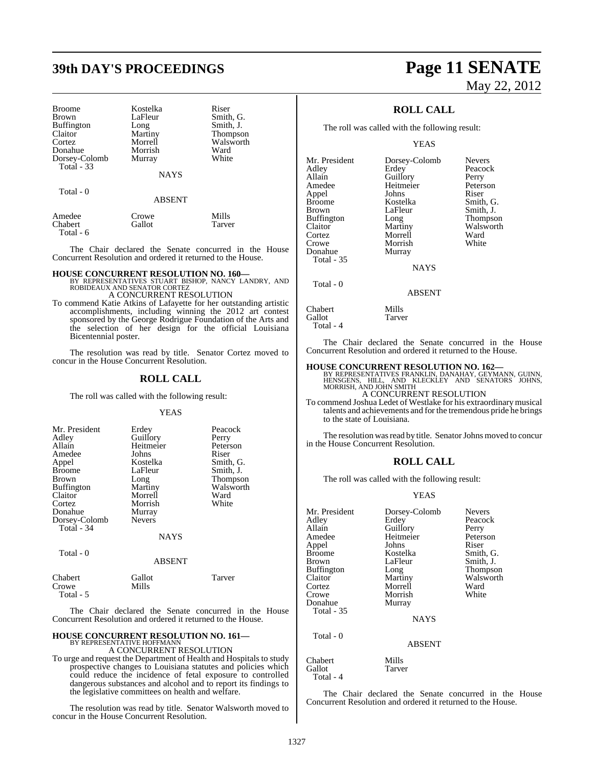# **39th DAY'S PROCEEDINGS Page 11 SENATE**

| <b>Broome</b>     | Kostelka      | Riser     |
|-------------------|---------------|-----------|
| <b>Brown</b>      | LaFleur       | Smith, G. |
| <b>Buffington</b> | Long          | Smith, J. |
| Claitor           | Martiny       | Thompson  |
| Cortez            | Morrell       | Walsworth |
| Donahue           | Morrish       | Ward      |
| Dorsey-Colomb     | Murray        | White     |
| Total $-33$       |               |           |
|                   | <b>NAYS</b>   |           |
| Total - 0         |               |           |
|                   | <b>ABSENT</b> |           |
|                   |               |           |
| $\sim$            |               | 2.711     |

Amedee Crowe Mills<br>
Chabert Gallot Tarver Chabert Total - 6

The Chair declared the Senate concurred in the House Concurrent Resolution and ordered it returned to the House.

**HOUSE CONCURRENT RESOLUTION NO. 160—** BY REPRESENTATIVES STUART BISHOP, NANCY LANDRY, AND ROBIDEAUX AND SENATOR CORTEZ A CONCURRENT RESOLUTION

To commend Katie Atkins of Lafayette for her outstanding artistic accomplishments, including winning the 2012 art contest sponsored by the George Rodrigue Foundation of the Arts and the selection of her design for the official Louisiana Bicentennial poster.

The resolution was read by title. Senator Cortez moved to concur in the House Concurrent Resolution.

#### **ROLL CALL**

The roll was called with the following result:

#### YEAS

| Mr. President<br>Adley<br>Allain<br>Amedee<br>Appel<br><b>Broome</b><br><b>Brown</b><br><b>Buffington</b><br>Claitor<br>Cortez<br>Donahue<br>Dorsey-Colomb | Erdey<br>Guillory<br>Heitmeier<br>Johns<br>Kostelka<br>LaFleur<br>Long<br>Martiny<br>Morrell<br>Morrish<br>Murray<br><b>Nevers</b> | Peacock<br>Perry<br>Peterson<br>Riser<br>Smith, G.<br>Smith, J.<br><b>Thompson</b><br>Walsworth<br>Ward<br>White |
|------------------------------------------------------------------------------------------------------------------------------------------------------------|------------------------------------------------------------------------------------------------------------------------------------|------------------------------------------------------------------------------------------------------------------|
| Total - 34                                                                                                                                                 |                                                                                                                                    |                                                                                                                  |
|                                                                                                                                                            | <b>NAYS</b>                                                                                                                        |                                                                                                                  |

 $Total - 0$ 

#### ABSENT

| Chabert   | Gallot | Tarver |
|-----------|--------|--------|
| Crowe     | Mills  |        |
| Total - 5 |        |        |

The Chair declared the Senate concurred in the House Concurrent Resolution and ordered it returned to the House.

## **HOUSE CONCURRENT RESOLUTION NO. 161—**

BY REPRESENTATIVE HOFFMANN A CONCURRENT RESOLUTION

To urge and request the Department of Health and Hospitals to study prospective changes to Louisiana statutes and policies which could reduce the incidence of fetal exposure to controlled dangerous substances and alcohol and to report its findings to the legislative committees on health and welfare.

The resolution was read by title. Senator Walsworth moved to concur in the House Concurrent Resolution.

# May 22, 2012

### **ROLL CALL**

The roll was called with the following result:

YEAS

| Mr. President     | Dorsey-Colomb | <b>Nevers</b> |
|-------------------|---------------|---------------|
| Adley             | Erdey         | Peacock       |
| Allain            | Guillory      | Perry         |
| Amedee            | Heitmeier     | Peterson      |
| Appel             | Johns         | Riser         |
| <b>Broome</b>     | Kostelka      | Smith, G.     |
| <b>Brown</b>      | LaFleur       | Smith, J.     |
| <b>Buffington</b> | Long          | Thompson      |
| Claitor           | Martiny       | Walsworth     |
| Cortez            | Morrell       | Ward          |
| Crowe             | Morrish       | White         |
| Donahue           | Murray        |               |
| Total - 35        |               |               |
|                   | NAYS          |               |
| Total - 0         |               |               |

#### ABSENT

#### Chabert Mills<br>
Gallot Tarver Gallot Total - 4

The Chair declared the Senate concurred in the House Concurrent Resolution and ordered it returned to the House.

#### **HOUSE CONCURRENT RESOLUTION NO. 162—**

BY REPRESENTATIVES FRANKLIN, DANAHAY, GEYMANN, GUINN,<br>HENSGENS, HILL, AND KLECKLEY AND SENATORS JOHNS,<br>MORRISH, AND JOHN SMITH A CONCURRENT RESOLUTION

To commend Joshua Ledet of Westlake for his extraordinary musical talents and achievements and for the tremendous pride he brings to the state of Louisiana.

The resolution was read by title. Senator Johns moved to concur in the House Concurrent Resolution.

#### **ROLL CALL**

The roll was called with the following result:

#### YEAS

| Mr. President | Dorsey-Colomb | <b>Nevers</b> |
|---------------|---------------|---------------|
| Adley         | Erdey         | Peacock       |
| Allain        | Guillory      | Perry         |
| Amedee        | Heitmeier     | Peterson      |
| Appel         | Johns         | Riser         |
| <b>Broome</b> | Kostelka      | Smith, G.     |
| Brown         | LaFleur       | Smith, J.     |
| Buffington    | Long          | Thompson      |
| Claitor       | Martiny       | Walsworth     |
| Cortez        | Morrell       | Ward          |
| Crowe         | Morrish       | White         |
| Donahue       | Murray        |               |
| Total - 35    |               |               |
|               | <b>NAYS</b>   |               |
| Total - 0     |               |               |
|               | <b>ABSENT</b> |               |
| Chabert       | Mills         |               |
| Gallot        | Tarver        |               |

The Chair declared the Senate concurred in the House Concurrent Resolution and ordered it returned to the House.

Gallot Total - 4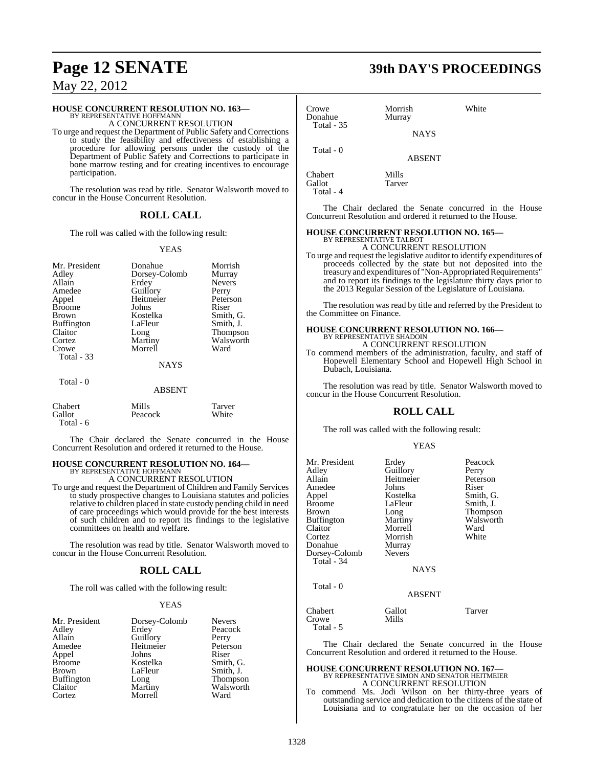### **Page 12 SENATE 39th DAY'S PROCEEDINGS**

May 22, 2012

#### **HOUSE CONCURRENT RESOLUTION NO. 163—**

BY REPRESENTATIVE HOFFMANN A CONCURRENT RESOLUTION

To urge and request the Department of Public Safety and Corrections to study the feasibility and effectiveness of establishing a procedure for allowing persons under the custody of the Department of Public Safety and Corrections to participate in bone marrow testing and for creating incentives to encourage participation.

The resolution was read by title. Senator Walsworth moved to concur in the House Concurrent Resolution.

#### **ROLL CALL**

The roll was called with the following result:

#### YEAS

| Mr. President<br>Adley<br>Allain<br>Amedee<br>Appel<br><b>Broome</b><br>Brown<br>Buffington<br>Claitor | Donahue<br>Dorsey-Colomb<br>Erdey<br>Guillory<br>Heitmeier<br>Johns<br>Kostelka<br>LaFleur<br>Long | Morrish<br>Murray<br><b>Nevers</b><br>Perry<br>Peterson<br>Riser<br>Smith, G.<br>Smith, J.<br>Thompson |
|--------------------------------------------------------------------------------------------------------|----------------------------------------------------------------------------------------------------|--------------------------------------------------------------------------------------------------------|
| Cortez                                                                                                 | Martiny                                                                                            | Walsworth                                                                                              |
| Crowe<br><b>Total - 33</b>                                                                             | Morrell                                                                                            | Ward                                                                                                   |
|                                                                                                        | <b>NAYS</b>                                                                                        |                                                                                                        |
| Total - 0                                                                                              | <b>ABSENT</b>                                                                                      |                                                                                                        |
| Chabert<br>Gallot                                                                                      | Mills<br>Peacock                                                                                   | Tarver<br>White                                                                                        |

The Chair declared the Senate concurred in the House Concurrent Resolution and ordered it returned to the House.

# **HOUSE CONCURRENT RESOLUTION NO. 164—** BY REPRESENTATIVE HOFFMANN A CONCURRENT RESOLUTION

Total - 6

To urge and request the Department of Children and Family Services to study prospective changes to Louisiana statutes and policies relative to children placed in state custody pending child in need of care proceedings which would provide for the best interests of such children and to report its findings to the legislative committees on health and welfare.

The resolution was read by title. Senator Walsworth moved to concur in the House Concurrent Resolution.

### **ROLL CALL**

The roll was called with the following result:

#### YEAS

| Mr. President     | Dorsey-Colomb | <b>Nevers</b> |
|-------------------|---------------|---------------|
| Adley             | Erdey         | Peacock       |
| Allain            | Guillory      | Perry         |
| Amedee            | Heitmeier     | Peterson      |
| Appel             | Johns         | Riser         |
| <b>Broome</b>     | Kostelka      | Smith. G.     |
| <b>Brown</b>      | LaFleur       | Smith, J.     |
| <b>Buffington</b> | Long          | Thompson      |
| Claitor           | Martiny       | Walsworth     |
| Cortez            | Morrell       | Ward          |

| Crowe<br>Donahue<br>Total - 35 | Morrish<br>Murray<br><b>NAYS</b> | White |
|--------------------------------|----------------------------------|-------|
| Total - 0                      | <b>ABSENT</b>                    |       |
| Chabert<br>Gallot              | Mills<br>Tarver                  |       |

Total - 4

The Chair declared the Senate concurred in the House Concurrent Resolution and ordered it returned to the House.

### **HOUSE CONCURRENT RESOLUTION NO. 165—** BY REPRESENTATIVE TALBOT

A CONCURRENT RESOLUTION

To urge and request the legislative auditor to identify expenditures of proceeds collected by the state but not deposited into the treasury and expenditures of "Non-Appropriated Requirements" and to report its findings to the legislature thirty days prior to the 2013 Regular Session of the Legislature of Louisiana.

The resolution was read by title and referred by the President to the Committee on Finance.

### **HOUSE CONCURRENT RESOLUTION NO. 166—** BY REPRESENTATIVE SHADOIN

A CONCURRENT RESOLUTION

To commend members of the administration, faculty, and staff of Hopewell Elementary School and Hopewell High School in Dubach, Louisiana.

The resolution was read by title. Senator Walsworth moved to concur in the House Concurrent Resolution.

### **ROLL CALL**

The roll was called with the following result:

#### YEAS

| Mr. President<br>Adlev<br>Allain<br>Amedee<br>Appel<br>Broome<br>Brown<br>Buffington<br>Claitor<br>Cortez<br>Donahue<br>Dorsey-Colomb<br>Total - 34 | Erdey<br>Guillory<br>Heitmeier<br>Johns<br>Kostelka<br>LaFleur<br>Long<br>Martiny<br>Morrell<br>Morrish<br>Murray<br><b>Nevers</b> | Peacock<br>Perry<br>Peterson<br>Riser<br>Smith, G.<br>Smith, J.<br>Thompson<br>Walsworth<br>Ward<br>White |
|-----------------------------------------------------------------------------------------------------------------------------------------------------|------------------------------------------------------------------------------------------------------------------------------------|-----------------------------------------------------------------------------------------------------------|
|                                                                                                                                                     | <b>NAYS</b>                                                                                                                        |                                                                                                           |
| Total - 0                                                                                                                                           | <b>ABSENT</b>                                                                                                                      |                                                                                                           |
| Chabert                                                                                                                                             | Gallot                                                                                                                             | Tarver                                                                                                    |

The Chair declared the Senate concurred in the House Concurrent Resolution and ordered it returned to the House.

### **HOUSE CONCURRENT RESOLUTION NO. 167—** BY REPRESENTATIVE SIMON AND SENATOR HEITMEIER A CONCURRENT RESOLUTION

Crowe Mills

Total - 5

To commend Ms. Jodi Wilson on her thirty-three years of outstanding service and dedication to the citizens of the state of Louisiana and to congratulate her on the occasion of her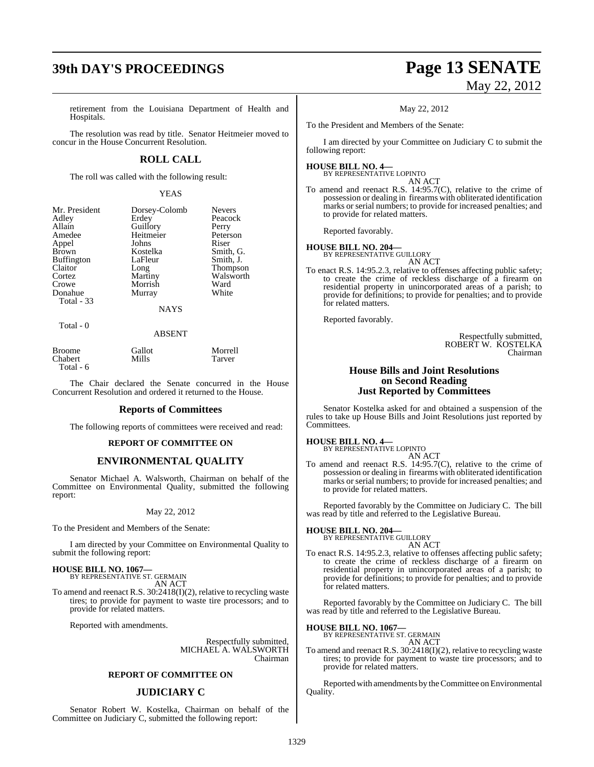## **39th DAY'S PROCEEDINGS Page 13 SENATE**

# May 22, 2012

retirement from the Louisiana Department of Health and Hospitals.

The resolution was read by title. Senator Heitmeier moved to concur in the House Concurrent Resolution.

### **ROLL CALL**

The roll was called with the following result:

YEAS

| Mr. President     | Dorsey-Colomb | <b>Nevers</b>   |
|-------------------|---------------|-----------------|
| Adley             | Erdey         | Peacock         |
| Allain            | Guillory      | Perry           |
| Amedee            | Heitmeier     | Peterson        |
| Appel             | Johns         | Riser           |
| <b>Brown</b>      | Kostelka      | Smith, G.       |
| <b>Buffington</b> | LaFleur       | Smith, J.       |
| Claitor           | Long          | <b>Thompson</b> |
| Cortez            | Martiny       | Walsworth       |
| Crowe             | Morrish       | Ward            |
| Donahue           | Murray        | White           |
| Total - 33        |               |                 |
|                   | <b>NAYS</b>   |                 |

Total - 0

#### ABSENT

| <b>Broome</b> | Gallot | Morrell |
|---------------|--------|---------|
| Chabert       | Mills  | Tarver  |
| Total - 6     |        |         |

The Chair declared the Senate concurred in the House Concurrent Resolution and ordered it returned to the House.

#### **Reports of Committees**

The following reports of committees were received and read:

#### **REPORT OF COMMITTEE ON**

#### **ENVIRONMENTAL QUALITY**

Senator Michael A. Walsworth, Chairman on behalf of the Committee on Environmental Quality, submitted the following report:

#### May 22, 2012

To the President and Members of the Senate:

I am directed by your Committee on Environmental Quality to submit the following report:

#### **HOUSE BILL NO. 1067—** BY REPRESENTATIVE ST. GERMAIN

AN ACT

To amend and reenact R.S. 30:2418(I)(2), relative to recycling waste tires; to provide for payment to waste tire processors; and to provide for related matters.

Reported with amendments.

Respectfully submitted, MICHAEL A. WALSWORTH Chairman

#### **REPORT OF COMMITTEE ON**

#### **JUDICIARY C**

Senator Robert W. Kostelka, Chairman on behalf of the Committee on Judiciary C, submitted the following report:

#### May 22, 2012

To the President and Members of the Senate:

I am directed by your Committee on Judiciary C to submit the following report:

#### **HOUSE BILL NO. 4—**

BY REPRESENTATIVE LOPINTO AN ACT

To amend and reenact R.S. 14:95.7(C), relative to the crime of possession or dealing in firearms with obliterated identification marks or serial numbers; to provide for increased penalties; and to provide for related matters.

Reported favorably.

### **HOUSE BILL NO. 204—** BY REPRESENTATIVE GUILLORY

AN ACT

To enact R.S. 14:95.2.3, relative to offenses affecting public safety; to create the crime of reckless discharge of a firearm on residential property in unincorporated areas of a parish; to provide for definitions; to provide for penalties; and to provide for related matters.

Reported favorably.

Respectfully submitted, ROBERT W. KOSTELKA Chairman

#### **House Bills and Joint Resolutions on Second Reading Just Reported by Committees**

Senator Kostelka asked for and obtained a suspension of the rules to take up House Bills and Joint Resolutions just reported by Committees.

**HOUSE BILL NO. 4—** BY REPRESENTATIVE LOPINTO

- AN ACT
- To amend and reenact R.S. 14:95.7(C), relative to the crime of possession or dealing in firearms with obliterated identification marks or serial numbers; to provide for increased penalties; and to provide for related matters.

Reported favorably by the Committee on Judiciary C. The bill was read by title and referred to the Legislative Bureau.

#### **HOUSE BILL NO. 204—**

BY REPRESENTATIVE GUILLORY AN ACT

To enact R.S. 14:95.2.3, relative to offenses affecting public safety; to create the crime of reckless discharge of a firearm on residential property in unincorporated areas of a parish; to provide for definitions; to provide for penalties; and to provide for related matters.

Reported favorably by the Committee on Judiciary C. The bill was read by title and referred to the Legislative Bureau.

## **HOUSE BILL NO. 1067—** BY REPRESENTATIVE ST. GERMAIN

AN ACT

To amend and reenact R.S. 30:2418(I)(2), relative to recycling waste tires; to provide for payment to waste tire processors; and to provide for related matters.

Reported with amendments by the Committee on Environmental Quality.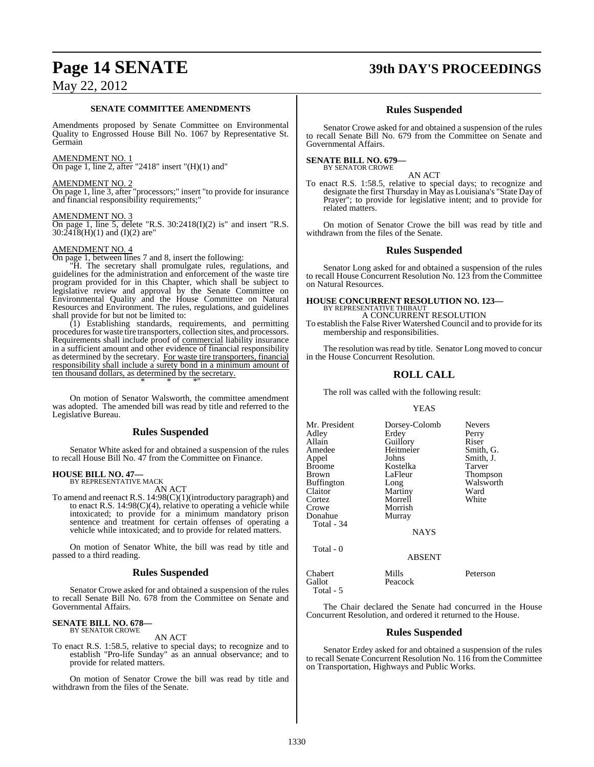### **Page 14 SENATE 39th DAY'S PROCEEDINGS**

### May 22, 2012

#### **SENATE COMMITTEE AMENDMENTS**

Amendments proposed by Senate Committee on Environmental Quality to Engrossed House Bill No. 1067 by Representative St. Germain

#### AMENDMENT NO. 1 On page 1, line 2, after "2418" insert " $(H)(1)$  and"

#### AMENDMENT NO. 2

On page 1, line 3, after "processors;" insert "to provide for insurance and financial responsibility requirements;"

#### AMENDMENT NO. 3

On page 1, line 5, delete "R.S. 30:2418(I)(2) is" and insert "R.S. 30:2418(H)(1) and (I)(2) are"

#### AMENDMENT NO. 4

On page 1, between lines 7 and 8, insert the following:

"H. The secretary shall promulgate rules, regulations, and guidelines for the administration and enforcement of the waste tire program provided for in this Chapter, which shall be subject to legislative review and approval by the Senate Committee on Environmental Quality and the House Committee on Natural Resources and Environment. The rules, regulations, and guidelines shall provide for but not be limited to:

(1) Establishing standards, requirements, and permitting procedures for waste tire transporters, collection sites, and processors. Requirements shall include proof of commercial liability insurance in a sufficient amount and other evidence of financial responsibility as determined by the secretary. For waste tire transporters, financial responsibility shall include a surety bond in a minimum amount of ten thousand dollars, as determined by the secretary. \* \* \*"

On motion of Senator Walsworth, the committee amendment was adopted. The amended bill was read by title and referred to the Legislative Bureau.

#### **Rules Suspended**

Senator White asked for and obtained a suspension of the rules to recall House Bill No. 47 from the Committee on Finance.

### **HOUSE BILL NO. 47—** BY REPRESENTATIVE MACK

AN ACT

To amend and reenact R.S. 14:98(C)(1)(introductory paragraph) and to enact R.S.  $14:98(C)(4)$ , relative to operating a vehicle while intoxicated; to provide for a minimum mandatory prison sentence and treatment for certain offenses of operating a vehicle while intoxicated; and to provide for related matters.

On motion of Senator White, the bill was read by title and passed to a third reading.

#### **Rules Suspended**

Senator Crowe asked for and obtained a suspension of the rules to recall Senate Bill No. 678 from the Committee on Senate and Governmental Affairs.

#### **SENATE BILL NO. 678—** BY SENATOR CROWE

AN ACT

To enact R.S. 1:58.5, relative to special days; to recognize and to establish "Pro-life Sunday" as an annual observance; and to provide for related matters.

On motion of Senator Crowe the bill was read by title and withdrawn from the files of the Senate.

#### **Rules Suspended**

Senator Crowe asked for and obtained a suspension of the rules to recall Senate Bill No. 679 from the Committee on Senate and Governmental Affairs.

#### **SENATE BILL NO. 679—** BY SENATOR CROWE

AN ACT

To enact R.S. 1:58.5, relative to special days; to recognize and designate the first Thursday in May as Louisiana's "State Day of Prayer"; to provide for legislative intent; and to provide for related matters.

On motion of Senator Crowe the bill was read by title and withdrawn from the files of the Senate.

#### **Rules Suspended**

Senator Long asked for and obtained a suspension of the rules to recall House Concurrent Resolution No. 123 from the Committee on Natural Resources.

#### **HOUSE CONCURRENT RESOLUTION NO. 123—** BY REPRESENTATIVE THIBAUT

A CONCURRENT RESOLUTION To establish the False River Watershed Council and to provide for its membership and responsibilities.

The resolution was read by title. Senator Long moved to concur in the House Concurrent Resolution.

#### **ROLL CALL**

The roll was called with the following result:

#### YEAS

| Mr. President     | Dorsey-Colomb | <b>Nevers</b> |
|-------------------|---------------|---------------|
| Adley             | Erdev         | Perry         |
| Allain            | Guillory      | Riser         |
| Amedee            | Heitmeier     | Smith, G.     |
| Appel             | Johns         | Smith, J.     |
| <b>Broome</b>     | Kostelka      | Tarver        |
| <b>Brown</b>      | LaFleur       | Thompson      |
| <b>Buffington</b> | Long          | Walsworth     |
| Claitor           | Martiny       | Ward          |
| Cortez            | Morrell       | White         |
| Crowe             | Morrish       |               |
| Donahue           | Murray        |               |
| Total - 34        |               |               |
|                   | NAYS          |               |
| Total - 0         |               |               |
|                   | ABSENT        |               |

Chabert Mills Peterson Peacock Total - 5

The Chair declared the Senate had concurred in the House Concurrent Resolution, and ordered it returned to the House.

#### **Rules Suspended**

Senator Erdey asked for and obtained a suspension of the rules to recall Senate Concurrent Resolution No. 116 from the Committee on Transportation, Highways and Public Works.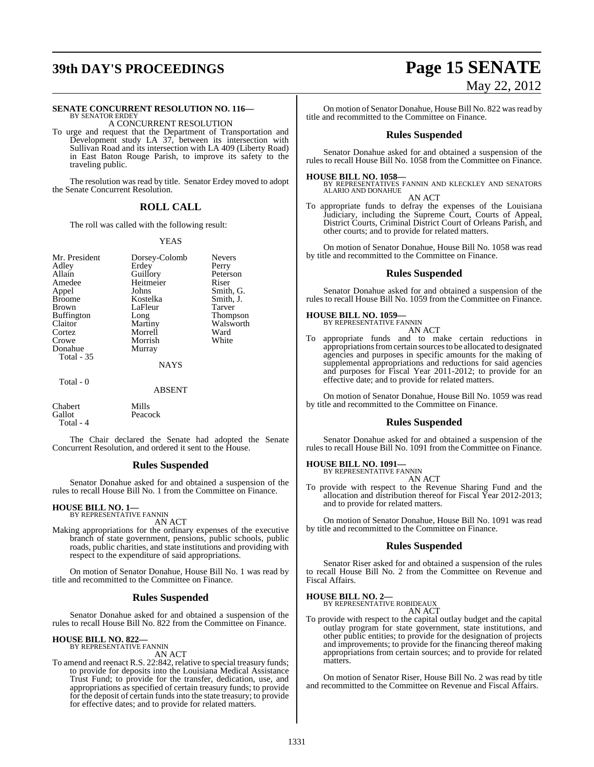# **39th DAY'S PROCEEDINGS Page 15 SENATE**

#### **SENATE CONCURRENT RESOLUTION NO. 116—**

BY SENATOR ERDEY A CONCURRENT RESOLUTION

To urge and request that the Department of Transportation and Development study LA 37, between its intersection with Sullivan Road and its intersection with LA 409 (Liberty Road) in East Baton Rouge Parish, to improve its safety to the traveling public.

The resolution was read by title. Senator Erdey moved to adopt the Senate Concurrent Resolution.

#### **ROLL CALL**

The roll was called with the following result:

#### YEAS

| Mr. President<br>Adley<br>Allain<br>Amedee<br>Appel<br><b>Broome</b><br>Brown<br><b>Buffington</b><br>Claitor<br>Cortez<br>Crowe<br>Donahue<br><b>Total - 35</b> | Dorsey-Colomb<br>Erdey<br>Guillory<br>Heitmeier<br>Johns<br>Kostelka<br>LaFleur<br>Long<br>Martiny<br>Morrell<br>Morrish<br>Murray<br><b>NAYS</b> | <b>Nevers</b><br>Perry<br>Peterson<br>Riser<br>Smith, G.<br>Smith, J.<br>Tarver<br>Thompson<br>Walsworth<br>Ward<br>White |
|------------------------------------------------------------------------------------------------------------------------------------------------------------------|---------------------------------------------------------------------------------------------------------------------------------------------------|---------------------------------------------------------------------------------------------------------------------------|
| Total - 0                                                                                                                                                        | <b>ABSENT</b>                                                                                                                                     |                                                                                                                           |
| Chabert<br>Gallot                                                                                                                                                | Mills<br>Peacock                                                                                                                                  |                                                                                                                           |

Total - 4

The Chair declared the Senate had adopted the Senate Concurrent Resolution, and ordered it sent to the House.

#### **Rules Suspended**

Senator Donahue asked for and obtained a suspension of the rules to recall House Bill No. 1 from the Committee on Finance.

### **HOUSE BILL NO. 1—** BY REPRESENTATIVE FANNIN

AN ACT

Making appropriations for the ordinary expenses of the executive branch of state government, pensions, public schools, public roads, public charities, and state institutions and providing with respect to the expenditure of said appropriations.

On motion of Senator Donahue, House Bill No. 1 was read by title and recommitted to the Committee on Finance.

#### **Rules Suspended**

Senator Donahue asked for and obtained a suspension of the rules to recall House Bill No. 822 from the Committee on Finance.

# **HOUSE BILL NO. 822—** BY REPRESENTATIVE FANNIN

AN ACT

To amend and reenact R.S. 22:842, relative to special treasury funds; to provide for deposits into the Louisiana Medical Assistance Trust Fund; to provide for the transfer, dedication, use, and appropriations as specified of certain treasury funds; to provide for the deposit of certain funds into the state treasury; to provide for effective dates; and to provide for related matters.

# May 22, 2012

On motion of Senator Donahue, House Bill No. 822 wasread by title and recommitted to the Committee on Finance.

#### **Rules Suspended**

Senator Donahue asked for and obtained a suspension of the rules to recall House Bill No. 1058 from the Committee on Finance.

### **HOUSE BILL NO. 1058—**

BY REPRESENTATIVES FANNIN AND KLECKLEY AND SENATORS ALARIO AND DONAHUE

AN ACT

To appropriate funds to defray the expenses of the Louisiana Judiciary, including the Supreme Court, Courts of Appeal, District Courts, Criminal District Court of Orleans Parish, and other courts; and to provide for related matters.

On motion of Senator Donahue, House Bill No. 1058 was read by title and recommitted to the Committee on Finance.

#### **Rules Suspended**

Senator Donahue asked for and obtained a suspension of the rules to recall House Bill No. 1059 from the Committee on Finance.

### **HOUSE BILL NO. 1059—** BY REPRESENTATIVE FANNIN

AN ACT

To appropriate funds and to make certain reductions in appropriations from certain sources to be allocated to designated agencies and purposes in specific amounts for the making of supplemental appropriations and reductions for said agencies and purposes for Fiscal Year 2011-2012; to provide for an effective date; and to provide for related matters.

On motion of Senator Donahue, House Bill No. 1059 was read by title and recommitted to the Committee on Finance.

#### **Rules Suspended**

Senator Donahue asked for and obtained a suspension of the rules to recall House Bill No. 1091 from the Committee on Finance.

## **HOUSE BILL NO. 1091—** BY REPRESENTATIVE FANNIN

AN ACT To provide with respect to the Revenue Sharing Fund and the allocation and distribution thereof for Fiscal Year 2012-2013; and to provide for related matters.

On motion of Senator Donahue, House Bill No. 1091 was read by title and recommitted to the Committee on Finance.

#### **Rules Suspended**

Senator Riser asked for and obtained a suspension of the rules to recall House Bill No. 2 from the Committee on Revenue and Fiscal Affairs.

**HOUSE BILL NO. 2—** BY REPRESENTATIVE ROBIDEAUX

AN ACT

To provide with respect to the capital outlay budget and the capital outlay program for state government, state institutions, and other public entities; to provide for the designation of projects and improvements; to provide for the financing thereof making appropriations from certain sources; and to provide for related matters.

On motion of Senator Riser, House Bill No. 2 was read by title and recommitted to the Committee on Revenue and Fiscal Affairs.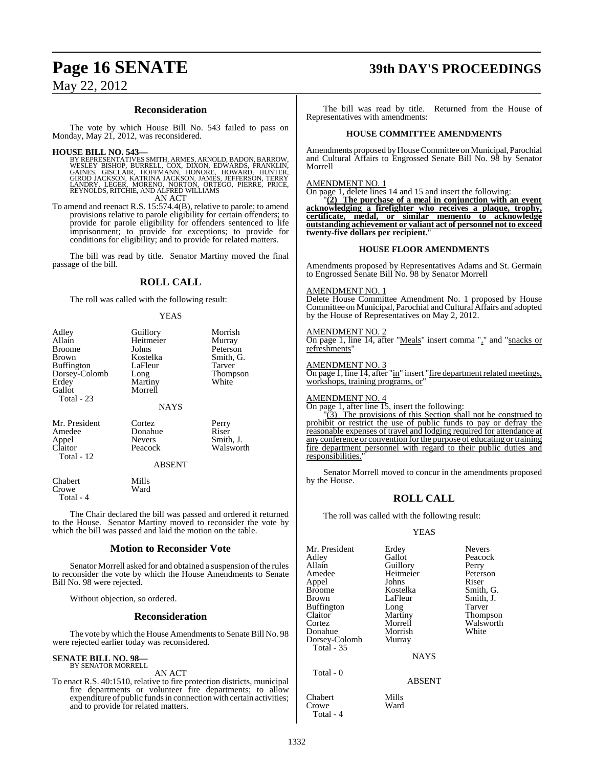#### **Reconsideration**

The vote by which House Bill No. 543 failed to pass on Monday, May 21, 2012, was reconsidered.

#### **HOUSE BILL NO. 543—**

BY REPRESENTATIVES SMITH, ARMES, ARNOLD, BADON, BARROW,<br>WESLEY BISHOP, BURRELL, COX, DIXON, EDWARDS, FRANKLIN,<br>GAINES, GISCLAIR, HOFFMANN, HONORE, HOWARD, HUNTER,<br>GIROD JACKSON, KATRINA JACKSON, JAMES, JEFFERSON, TERRY<br>LAN AN ACT

To amend and reenact R.S. 15:574.4(B), relative to parole; to amend provisions relative to parole eligibility for certain offenders; to provide for parole eligibility for offenders sentenced to life imprisonment; to provide for exceptions; to provide for conditions for eligibility; and to provide for related matters.

The bill was read by title. Senator Martiny moved the final passage of the bill.

#### **ROLL CALL**

The roll was called with the following result:

#### YEAS

| Adley<br>Allain<br><b>Broome</b><br>Brown<br><b>Buffington</b><br>Dorsey-Colomb<br>Erdey<br>Gallot<br>Total - $23$ | Guillory<br>Heitmeier<br>Johns<br>Kostelka<br>LaFleur<br>Long<br>Martiny<br>Morrell | Morrish<br>Murray<br>Peterson<br>Smith, G.<br>Tarver<br>Thompson<br>White |
|--------------------------------------------------------------------------------------------------------------------|-------------------------------------------------------------------------------------|---------------------------------------------------------------------------|
|                                                                                                                    | <b>NAYS</b>                                                                         |                                                                           |
| Mr. President<br>Amedee<br>Appel<br>Claitor<br>Total - 12                                                          | Cortez<br>Donahue<br><b>Nevers</b><br>Peacock<br><b>ABSENT</b>                      | Perry<br>Riser<br>Smith, J.<br>Walsworth                                  |

Chabert Mills<br>Crowe Ward Crowe Total - 4

The Chair declared the bill was passed and ordered it returned to the House. Senator Martiny moved to reconsider the vote by which the bill was passed and laid the motion on the table.

#### **Motion to Reconsider Vote**

Senator Morrell asked for and obtained a suspension of the rules to reconsider the vote by which the House Amendments to Senate Bill No. 98 were rejected.

Without objection, so ordered.

#### **Reconsideration**

The vote by which the House Amendments to Senate Bill No. 98 were rejected earlier today was reconsidered.

#### **SENATE BILL NO. 98—** BY SENATOR MORRELL

#### AN ACT

To enact R.S. 40:1510, relative to fire protection districts, municipal fire departments or volunteer fire departments; to allow expenditure of public funds in connection with certain activities; and to provide for related matters.

### **Page 16 SENATE 39th DAY'S PROCEEDINGS**

The bill was read by title. Returned from the House of Representatives with amendments:

#### **HOUSE COMMITTEE AMENDMENTS**

Amendments proposed by House Committee on Municipal, Parochial and Cultural Affairs to Engrossed Senate Bill No. 98 by Senator Morrell

AMENDMENT NO. 1

On page 1, delete lines 14 and 15 and insert the following:

"**(2) The purchase of a meal in conjunction with an event acknowledging a firefighter who receives a plaque, trophy, certificate, medal, or similar memento to acknowledge outstanding achievement or valiant act of personnel not to exceed twenty-five dollars per recipient.**"

#### **HOUSE FLOOR AMENDMENTS**

Amendments proposed by Representatives Adams and St. Germain to Engrossed Senate Bill No. 98 by Senator Morrell

#### AMENDMENT NO. 1

Delete House Committee Amendment No. 1 proposed by House Committee on Municipal, Parochial and Cultural Affairs and adopted by the House of Representatives on May 2, 2012.

#### AMENDMENT NO. 2

On page 1, line 14, after "<u>Meals</u>" insert comma "," and "snacks or refreshments"

#### AMENDMENT NO. 3

On page 1, line 14, after "in" insert "fire department related meetings, workshops, training programs, or"

#### AMENDMENT NO. 4

On page 1, after line 15, insert the following:

"(3) The provisions of this Section shall not be construed to prohibit or restrict the use of public funds to pay or defray the reasonable expenses of travel and lodging required for attendance at any conference or convention for the purpose of educating ortraining fire department personnel with regard to their public duties and responsibilities.

Senator Morrell moved to concur in the amendments proposed by the House.

#### **ROLL CALL**

The roll was called with the following result:

#### YEAS

| Mr. President     | Erdey         | <b>Nevers</b>   |
|-------------------|---------------|-----------------|
| Adlev             | Gallot        | Peacock         |
| Allain            |               |                 |
|                   | Guillory      | Perry           |
| Amedee            | Heitmeier     | Peterson        |
| Appel             | Johns         | Riser           |
| Broome            | Kostelka      | Smith, G.       |
| Brown             | LaFleur       | Smith, J.       |
| Buffington        | Long          | Tarver          |
| Claitor           | Martiny       | <b>Thompson</b> |
| Cortez            | Morrell       | Walsworth       |
| Donahue           | Morrish       | White           |
| Dorsey-Colomb     | Murray        |                 |
| <b>Total - 35</b> |               |                 |
|                   | <b>NAYS</b>   |                 |
| Total - 0         |               |                 |
|                   | <b>ABSENT</b> |                 |

Chabert Mills<br>Crowe Ward Total - 4

Crowe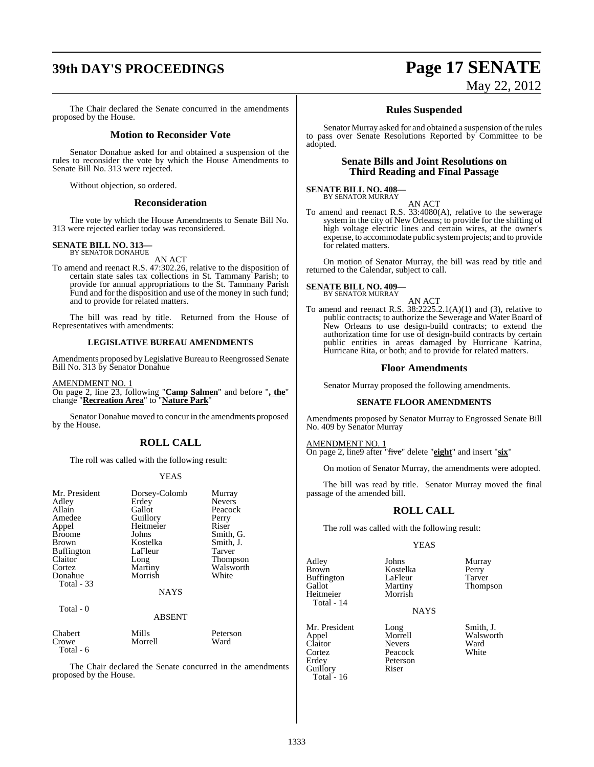## **39th DAY'S PROCEEDINGS Page 17 SENATE**

The Chair declared the Senate concurred in the amendments proposed by the House.

#### **Motion to Reconsider Vote**

Senator Donahue asked for and obtained a suspension of the rules to reconsider the vote by which the House Amendments to Senate Bill No. 313 were rejected.

Without objection, so ordered.

#### **Reconsideration**

The vote by which the House Amendments to Senate Bill No. 313 were rejected earlier today was reconsidered.

#### **SENATE BILL NO. 313** BY SENATOR DONAHUE

AN ACT

To amend and reenact R.S. 47:302.26, relative to the disposition of certain state sales tax collections in St. Tammany Parish; to provide for annual appropriations to the St. Tammany Parish Fund and for the disposition and use of the money in such fund; and to provide for related matters.

The bill was read by title. Returned from the House of Representatives with amendments:

#### **LEGISLATIVE BUREAU AMENDMENTS**

Amendments proposed by Legislative Bureau to Reengrossed Senate Bill No. 313 by Senator Donahue

AMENDMENT NO. 1 On page 2, line 23, following "**Camp Salmen**" and before "**, the**" change "**Recreation Area**" to "**Nature Park**"

Senator Donahue moved to concur in the amendments proposed by the House.

### **ROLL CALL**

The roll was called with the following result:

#### YEAS

| Mr. President<br>Adley<br>Allain<br>Amedee<br>Appel<br><b>Broome</b><br>Brown<br><b>Buffington</b><br>Claitor<br>Cortez<br>Donahue<br>Total - 33<br>Total - 0 | Dorsey-Colomb<br>Erdey<br>Gallot<br>Guillory<br>Heitmeier<br>Johns<br>Kostelka<br>LaFleur<br>Long<br>Martiny<br>Morrish<br><b>NAYS</b> | Murray<br><b>Nevers</b><br>Peacock<br>Perry<br>Riser<br>Smith, G.<br>Smith, J.<br>Tarver<br><b>Thompson</b><br>Walsworth<br>White |
|---------------------------------------------------------------------------------------------------------------------------------------------------------------|----------------------------------------------------------------------------------------------------------------------------------------|-----------------------------------------------------------------------------------------------------------------------------------|
|                                                                                                                                                               | <b>ABSENT</b>                                                                                                                          |                                                                                                                                   |
| Chabert<br>Crowe                                                                                                                                              | Mills<br>Morrell                                                                                                                       | Peterson<br>Ward                                                                                                                  |

The Chair declared the Senate concurred in the amendments proposed by the House.

Total - 6

### **Rules Suspended**

May 22, 2012

Senator Murray asked for and obtained a suspension of the rules to pass over Senate Resolutions Reported by Committee to be adopted.

#### **Senate Bills and Joint Resolutions on Third Reading and Final Passage**

## **SENATE BILL NO. 408—** BY SENATOR MURRAY

AN ACT

To amend and reenact R.S. 33:4080(A), relative to the sewerage system in the city of New Orleans; to provide for the shifting of high voltage electric lines and certain wires, at the owner's expense, to accommodate public systemprojects; and to provide for related matters.

On motion of Senator Murray, the bill was read by title and returned to the Calendar, subject to call.

#### **SENATE BILL NO. 409—**

BY SENATOR MURRAY AN ACT

To amend and reenact R.S.  $38:2225.2.1(A)(1)$  and (3), relative to public contracts; to authorize the Sewerage and Water Board of New Orleans to use design-build contracts; to extend the authorization time for use of design-build contracts by certain public entities in areas damaged by Hurricane Katrina, Hurricane Rita, or both; and to provide for related matters.

#### **Floor Amendments**

Senator Murray proposed the following amendments.

#### **SENATE FLOOR AMENDMENTS**

Amendments proposed by Senator Murray to Engrossed Senate Bill No. 409 by Senator Murray

AMENDMENT NO. 1 On page 2, line9 after "five" delete "**eight**" and insert "**six**"

On motion of Senator Murray, the amendments were adopted.

The bill was read by title. Senator Murray moved the final passage of the amended bill.

### **ROLL CALL**

The roll was called with the following result:

#### **YEAS**

Adley Johns Murray **Buffington** LaFleur<br>Gallot Martiny Heitmeier Morrish Total - 14

Total - 16

Cortez Peacock<br>Erdev Peterson

Guillory Riser

Kostelka Perry<br>LaFleur Tarver

Peterson

Thompson

**NAYS** 

Mr. President Long Smith, J.<br>Appel Morrell Walswor Morrell Walsworth<br>
Nevers Ward Claitor Nevers Ward<br>Cortez Peacock White

1333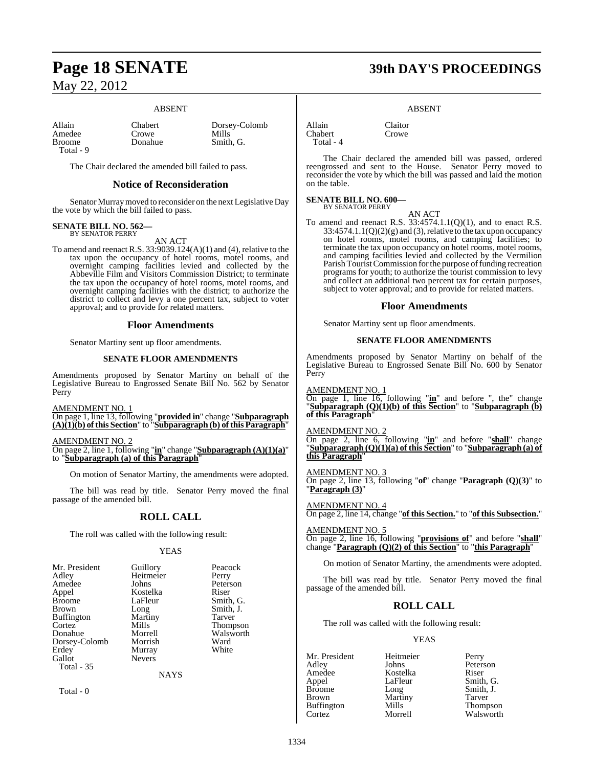#### ABSENT

Amedee Crowe<br>Broome Donahue Total - 9

Allain Chabert Dorsey-Colomb<br>Amedee Crowe Mills

Smith, G.

The Chair declared the amended bill failed to pass.

### **Notice of Reconsideration**

Senator Murray moved to reconsider on the next Legislative Day the vote by which the bill failed to pass.

#### **SENATE BILL NO. 562—** BY SENATOR PERRY

AN ACT

To amend and reenact R.S. 33:9039.124(A)(1) and (4), relative to the tax upon the occupancy of hotel rooms, motel rooms, and overnight camping facilities levied and collected by the Abbeville Film and Visitors Commission District; to terminate the tax upon the occupancy of hotel rooms, motel rooms, and overnight camping facilities with the district; to authorize the district to collect and levy a one percent tax, subject to voter approval; and to provide for related matters.

#### **Floor Amendments**

Senator Martiny sent up floor amendments.

#### **SENATE FLOOR AMENDMENTS**

Amendments proposed by Senator Martiny on behalf of the Legislative Bureau to Engrossed Senate Bill No. 562 by Senator Perry

#### AMENDMENT NO. 1

On page 1, line 13, following "**provided in**" change "**Subparagraph (A)(1)(b) ofthis Section**" to "**Subparagraph (b) of this Paragraph**"

#### AMENDMENT NO. 2

On page 2, line 1, following "**in**" change "**Subparagraph (A)(1)(a)**" to "**Subparagraph (a) of this Paragraph**"

On motion of Senator Martiny, the amendments were adopted.

The bill was read by title. Senator Perry moved the final passage of the amended bill.

#### **ROLL CALL**

The roll was called with the following result:

#### YEAS

Peacock<br>Perry

Peterson<br>Riser

Smith, G. Smith, J.<br>Tarver

Thompson Walsworth<br>Ward

| Mr. President | Guillory      | Peacod |
|---------------|---------------|--------|
| Adley         | Heitmeier     | Perry  |
| Amedee        | Johns         | Peters |
| Appel         | Kostelka      | Riser  |
| Broome        | LaFleur       | Smith, |
| Brown         | Long          | Smith, |
| Buffington    | Martiny       | Tarver |
| Cortez        | Mills         | Thomp  |
| Donahue       | Morrell       | Walsw  |
| Dorsey-Colomb | Morrish       | Ward   |
| Erdey         | Murray        | White  |
| Gallot        | <b>Nevers</b> |        |
| Total - 35    |               |        |
|               | NAYS          |        |

Total - 0

# **Page 18 SENATE 39th DAY'S PROCEEDINGS**

#### ABSENT

Allain Claitor<br>Chabert Crowe Chabert Total - 4

The Chair declared the amended bill was passed, ordered reengrossed and sent to the House. Senator Perry moved to reconsider the vote by which the bill was passed and laid the motion on the table.

### **SENATE BILL NO. 600—** BY SENATOR PERRY

AN ACT To amend and reenact R.S. 33:4574.1.1(Q)(1), and to enact R.S.  $33:4574.1.1(Q)(2)(g)$  and (3), relative to the tax upon occupancy on hotel rooms, motel rooms, and camping facilities; to terminate the tax upon occupancy on hotel rooms, motel rooms, and camping facilities levied and collected by the Vermilion Parish Tourist Commission for the purpose of funding recreation programs for youth; to authorize the tourist commission to levy and collect an additional two percent tax for certain purposes, subject to voter approval; and to provide for related matters.

#### **Floor Amendments**

Senator Martiny sent up floor amendments.

#### **SENATE FLOOR AMENDMENTS**

Amendments proposed by Senator Martiny on behalf of the Legislative Bureau to Engrossed Senate Bill No. 600 by Senator Perry

#### AMENDMENT NO. 1

On page 1, line 16, following "**in**" and before ", the" change "**Subparagraph (Q)(1)(b) of this Section**" to "**Subparagraph (b) of this Paragraph**"

AMENDMENT NO. 2

On page 2, line 6, following "**in**" and before "**shall**" change "**Subparagraph (Q)(1)(a) of this Section**" to "**Subparagraph (a) of this Paragraph**"

#### AMENDMENT NO. 3

On page 2, line 13, following "**of**" change "**Paragraph (Q)(3)**" to "**Paragraph (3)**"

#### AMENDMENT NO. 4

On page 2, line 14, change "**of this Section.**" to "**of this Subsection.**"

#### AMENDMENT NO. 5

On page 2, line 16, following "**provisions of**" and before "**shall**" change "**Paragraph (Q)(2) of this Section**" to "**this Paragraph**"

On motion of Senator Martiny, the amendments were adopted.

The bill was read by title. Senator Perry moved the final passage of the amended bill.

#### **ROLL CALL**

The roll was called with the following result:

#### YEAS

Mr. President Heitmeier Perry<br>Adley Johns Peters Adley Johns Peterson<br>Amedee Kostelka Riser Amedee Kostelka<br>Appel LaFleur Appel LaFleur Smith, G.<br>Broome Long Smith, J. Broome Long Smith, J.<br>Brown Martiny Tarver Buffington Mills<br>Cortez Morrell

Martiny Tarver<br>
Mills Thompson Cortez Morrell Walsworth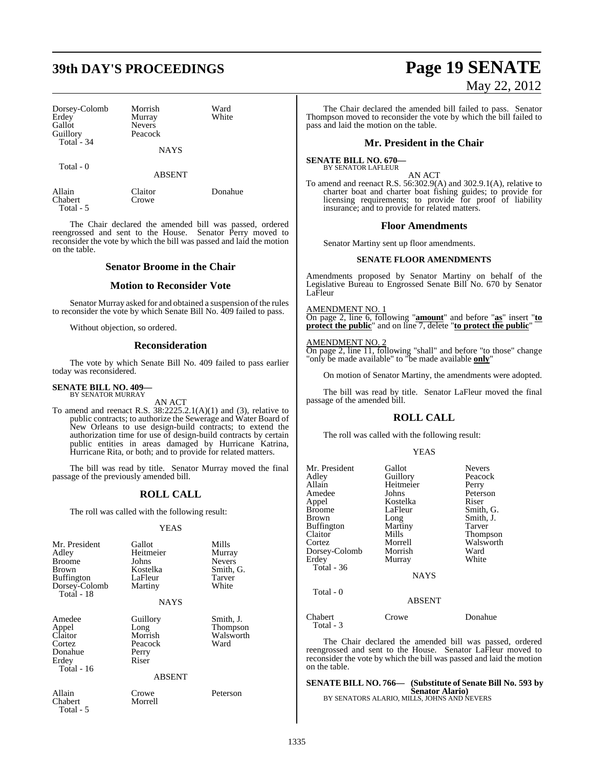# **39th DAY'S PROCEEDINGS Page 19 SENATE**

| Dorsey-Colomb | Morrish       | Ward  |  |
|---------------|---------------|-------|--|
| Erdey         | Murray        | White |  |
| Gallot        | <b>Nevers</b> |       |  |
| Guillory      | Peacock       |       |  |
| Total - 34    |               |       |  |
|               | <b>NAYS</b>   |       |  |

Total - 0

Allain Claitor Donahue<br>
Chabert Crowe Chabert Total - 5

The Chair declared the amended bill was passed, ordered reengrossed and sent to the House. Senator Perry moved to reconsider the vote by which the bill was passed and laid the motion on the table.

ABSENT

#### **Senator Broome in the Chair**

#### **Motion to Reconsider Vote**

Senator Murray asked for and obtained a suspension of the rules to reconsider the vote by which Senate Bill No. 409 failed to pass.

Without objection, so ordered.

#### **Reconsideration**

The vote by which Senate Bill No. 409 failed to pass earlier today was reconsidered.

#### **SENATE BILL NO. 409—** BY SENATOR MURRAY

AN ACT

To amend and reenact R.S.  $38:2225.2.1(A)(1)$  and (3), relative to public contracts; to authorize the Sewerage and Water Board of New Orleans to use design-build contracts; to extend the authorization time for use of design-build contracts by certain public entities in areas damaged by Hurricane Katrina, Hurricane Rita, or both; and to provide for related matters.

The bill was read by title. Senator Murray moved the final passage of the previously amended bill.

#### **ROLL CALL**

The roll was called with the following result:

#### YEAS

| Mr. President<br>Adley<br><b>Broome</b><br>Brown<br><b>Buffington</b><br>Dorsey-Colomb<br>Total - 18 | Gallot<br>Heitmeier<br>Johns<br>Kostelka<br>LaFleur<br>Martiny<br><b>NAYS</b> | Mills<br>Murray<br><b>Nevers</b><br>Smith, G.<br>Tarver<br>White |
|------------------------------------------------------------------------------------------------------|-------------------------------------------------------------------------------|------------------------------------------------------------------|
| Amedee<br>Appel<br>Claitor<br>Cortez<br>Donahue<br>Erdey<br>Total - 16                               | Guillory<br>Long<br>Morrish<br>Peacock<br>Perry<br>Riser                      | Smith, J.<br>Thompson<br>Walsworth<br>Ward                       |
|                                                                                                      | <b>ABSENT</b>                                                                 |                                                                  |
| Allain<br>Chabert<br>Total - 5                                                                       | Crowe<br>Morrell                                                              | Peterson                                                         |

# May 22, 2012

The Chair declared the amended bill failed to pass. Senator Thompson moved to reconsider the vote by which the bill failed to pass and laid the motion on the table.

#### **Mr. President in the Chair**

**SENATE BILL NO. 670—** BY SENATOR LAFLEUR

AN ACT

To amend and reenact R.S. 56:302.9(A) and 302.9.1(A), relative to charter boat and charter boat fishing guides; to provide for licensing requirements; to provide for proof of liability insurance; and to provide for related matters.

#### **Floor Amendments**

Senator Martiny sent up floor amendments.

#### **SENATE FLOOR AMENDMENTS**

Amendments proposed by Senator Martiny on behalf of the Legislative Bureau to Engrossed Senate Bill No. 670 by Senator LaFleur

#### AMENDMENT NO. 1

On page 2, line 6, following "**amount**" and before "**as**" insert "**to protect the public**" and on line 7, delete "**to protect the public**"

#### AMENDMENT NO.

On page 2, line 11, following "shall" and before "to those" change "only be made available" to "be made available **only**"

On motion of Senator Martiny, the amendments were adopted.

The bill was read by title. Senator LaFleur moved the final passage of the amended bill.

#### **ROLL CALL**

The roll was called with the following result:

#### YEAS

| Mr. President<br>Adley<br>Allain<br>Amedee<br>Appel<br><b>Broome</b><br><b>Brown</b><br><b>Buffington</b><br>Claitor<br>Cortez<br>Dorsey-Colomb<br>Erdey<br>Total - $36$ | Gallot<br>Guillory<br>Heitmeier<br>Johns<br>Kostelka<br>LaFleur<br>Long<br>Martiny<br>Mills<br>Morrell<br>Morrish<br>Murray<br><b>NAYS</b> | <b>Nevers</b><br>Peacock<br>Perry<br>Peterson<br>Riser<br>Smith, G.<br>Smith, J.<br>Tarver<br>Thompson<br>Walsworth<br>Ward<br>White |
|--------------------------------------------------------------------------------------------------------------------------------------------------------------------------|--------------------------------------------------------------------------------------------------------------------------------------------|--------------------------------------------------------------------------------------------------------------------------------------|
| Total - 0                                                                                                                                                                | <b>ABSENT</b>                                                                                                                              |                                                                                                                                      |
| Chabert<br>Total - 3                                                                                                                                                     | Crowe                                                                                                                                      | Donahue                                                                                                                              |

The Chair declared the amended bill was passed, ordered reengrossed and sent to the House. Senator LaFleur moved to reconsider the vote by which the bill was passed and laid the motion on the table.

### **SENATE BILL NO. 766— (Substitute of Senate Bill No. 593 by Senator Alario)** BY SENATORS ALARIO, MILLS, JOHNS AND NEVERS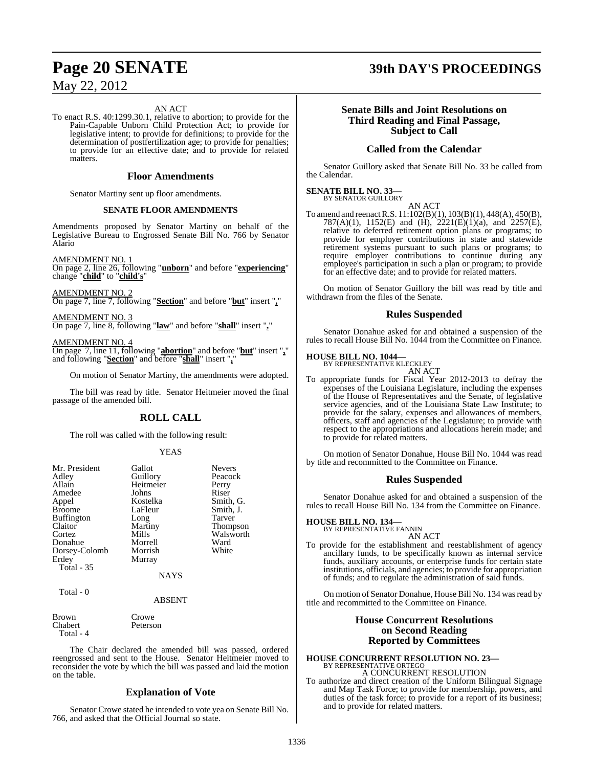#### AN ACT

To enact R.S. 40:1299.30.1, relative to abortion; to provide for the Pain-Capable Unborn Child Protection Act; to provide for legislative intent; to provide for definitions; to provide for the determination of postfertilization age; to provide for penalties; to provide for an effective date; and to provide for related matters.

#### **Floor Amendments**

Senator Martiny sent up floor amendments.

#### **SENATE FLOOR AMENDMENTS**

Amendments proposed by Senator Martiny on behalf of the Legislative Bureau to Engrossed Senate Bill No. 766 by Senator Alario

AMENDMENT NO. 1

On page 2, line 26, following "**unborn**" and before "**experiencing**" change "**child**" to "**child's**"

AMENDMENT NO. 2 On page 7, line 7, following "**Section**" and before "**but**" insert "**,**"

AMENDMENT NO. 3 On page 7, line 8, following "**law**" and before "**shall**" insert "**,**"

AMENDMENT NO. 4

On page 7, line 11, following "**abortion**" and before "**but**" insert "**,**" and following "**Section**" and before "**shall**" insert "**,**"

On motion of Senator Martiny, the amendments were adopted.

The bill was read by title. Senator Heitmeier moved the final passage of the amended bill.

#### **ROLL CALL**

The roll was called with the following result:

#### YEAS

| Mr. President     | Gallot      | <b>Nevers</b>   |
|-------------------|-------------|-----------------|
| Adley             | Guillory    | Peacock         |
| Allain            | Heitmeier   | Perry           |
| Amedee            | Johns       | Riser           |
| Appel             | Kostelka    | Smith, G.       |
| <b>Broome</b>     | LaFleur     | Smith, J.       |
| Buffington        | Long        | Tarver          |
| Claitor           | Martiny     | <b>Thompson</b> |
| Cortez            | Mills       | Walsworth       |
| Donahue           | Morrell     | Ward            |
| Dorsey-Colomb     | Morrish     | White           |
| Erdey             | Murray      |                 |
| <b>Total - 35</b> |             |                 |
|                   | <b>NAYS</b> |                 |
| Total - 0         |             |                 |
|                   | ABSENT      |                 |

| Brown     | Crowe    |
|-----------|----------|
| Chabert   | Peterson |
| Total - 4 |          |

The Chair declared the amended bill was passed, ordered reengrossed and sent to the House. Senator Heitmeier moved to reconsider the vote by which the bill was passed and laid the motion on the table.

### **Explanation of Vote**

Senator Crowe stated he intended to vote yea on Senate Bill No. 766, and asked that the Official Journal so state.

### **Page 20 SENATE 39th DAY'S PROCEEDINGS**

#### **Senate Bills and Joint Resolutions on Third Reading and Final Passage, Subject to Call**

### **Called from the Calendar**

Senator Guillory asked that Senate Bill No. 33 be called from the Calendar.

#### **SENATE BILL NO. 33—**

BY SENATOR GUILLORY AN ACT

To amend and reenact R.S. 11:102(B)(1), 103(B)(1), 448(A), 450(B), 787(A)(1), 1152(E) and (H), 2221(E)(1)(a), and 2257(E), relative to deferred retirement option plans or programs; to provide for employer contributions in state and statewide retirement systems pursuant to such plans or programs; to require employer contributions to continue during any employee's participation in such a plan or program; to provide for an effective date; and to provide for related matters.

On motion of Senator Guillory the bill was read by title and withdrawn from the files of the Senate.

#### **Rules Suspended**

Senator Donahue asked for and obtained a suspension of the rules to recall House Bill No. 1044 from the Committee on Finance.

### **HOUSE BILL NO. 1044—** BY REPRESENTATIVE KLECKLEY

AN ACT

To appropriate funds for Fiscal Year 2012-2013 to defray the expenses of the Louisiana Legislature, including the expenses of the House of Representatives and the Senate, of legislative service agencies, and of the Louisiana State Law Institute; to provide for the salary, expenses and allowances of members, officers, staff and agencies of the Legislature; to provide with respect to the appropriations and allocations herein made; and to provide for related matters.

On motion of Senator Donahue, House Bill No. 1044 was read by title and recommitted to the Committee on Finance.

#### **Rules Suspended**

Senator Donahue asked for and obtained a suspension of the rules to recall House Bill No. 134 from the Committee on Finance.

### **HOUSE BILL NO. 134—** BY REPRESENTATIVE FANNIN

AN ACT

To provide for the establishment and reestablishment of agency ancillary funds, to be specifically known as internal service funds, auxiliary accounts, or enterprise funds for certain state institutions, officials, and agencies; to provide for appropriation of funds; and to regulate the administration of said funds.

On motion of Senator Donahue, House Bill No. 134 wasread by title and recommitted to the Committee on Finance.

#### **House Concurrent Resolutions on Second Reading Reported by Committees**

### **HOUSE CONCURRENT RESOLUTION NO. 23—** BY REPRESENTATIVE ORTEGO A CONCURRENT RESOLUTION

To authorize and direct creation of the Uniform Bilingual Signage and Map Task Force; to provide for membership, powers, and duties of the task force; to provide for a report of its business; and to provide for related matters.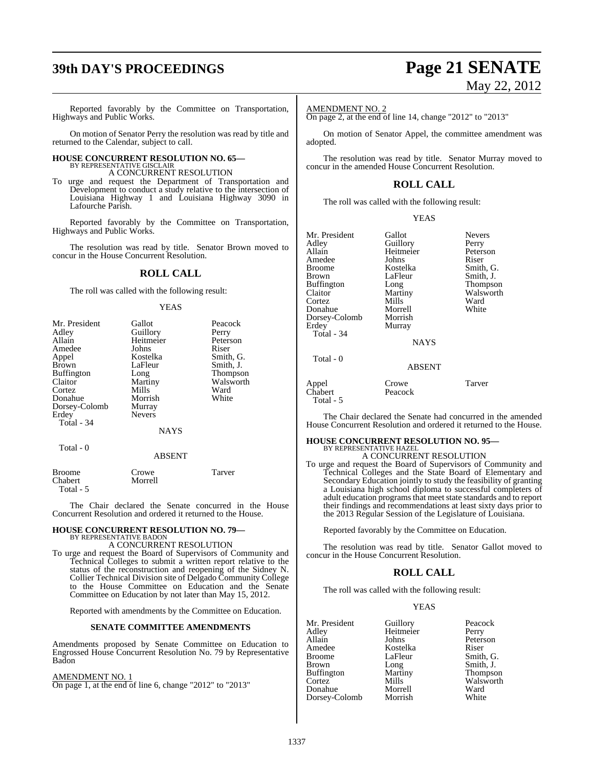# **39th DAY'S PROCEEDINGS Page 21 SENATE**

# May 22, 2012

Reported favorably by the Committee on Transportation, Highways and Public Works.

On motion of Senator Perry the resolution was read by title and returned to the Calendar, subject to call.

#### **HOUSE CONCURRENT RESOLUTION NO. 65—** BY REPRESENTATIVE GISCLAIR

A CONCURRENT RESOLUTION

To urge and request the Department of Transportation and Development to conduct a study relative to the intersection of Louisiana Highway 1 and Louisiana Highway 3090 in Lafourche Parish.

Reported favorably by the Committee on Transportation, Highways and Public Works.

The resolution was read by title. Senator Brown moved to concur in the House Concurrent Resolution.

### **ROLL CALL**

The roll was called with the following result:

#### YEAS

| Mr. President<br>Adley<br>Allain<br>Amedee<br>Appel<br><b>Brown</b><br><b>Buffington</b><br>Claitor<br>Cortez<br>Donahue<br>Dorsey-Colomb<br>Erdey<br>Total - 34 | Gallot<br>Guillory<br>Heitmeier<br>Johns<br>Kostelka<br>LaFleur<br>Long<br>Martiny<br>Mills<br>Morrish<br>Murray<br><b>Nevers</b><br><b>NAYS</b> | Peacock<br>Perry<br>Peterson<br>Riser<br>Smith, G.<br>Smith, J.<br><b>Thompson</b><br>Walsworth<br>Ward<br>White |
|------------------------------------------------------------------------------------------------------------------------------------------------------------------|--------------------------------------------------------------------------------------------------------------------------------------------------|------------------------------------------------------------------------------------------------------------------|
| Total - 0                                                                                                                                                        | <b>ABSENT</b>                                                                                                                                    |                                                                                                                  |

# Broome Crowe Tarver<br>
Chabert Morrell Chabert

The Chair declared the Senate concurred in the House Concurrent Resolution and ordered it returned to the House.

# **HOUSE CONCURRENT RESOLUTION NO. 79—**<br>BY REPRESENTATIVE BADON<br>A CONCURRENT RESOLUTION

To urge and request the Board of Supervisors of Community and Technical Colleges to submit a written report relative to the status of the reconstruction and reopening of the Sidney N. Collier Technical Division site of Delgado Community College to the House Committee on Education and the Senate Committee on Education by not later than May 15, 2012.

Reported with amendments by the Committee on Education.

#### **SENATE COMMITTEE AMENDMENTS**

Amendments proposed by Senate Committee on Education to Engrossed House Concurrent Resolution No. 79 by Representative Badon

#### AMENDMENT NO. 1

Chabert Total - 5

On page 1, at the end of line 6, change "2012" to "2013"

#### AMENDMENT NO. 2

Total - 5

On page 2, at the end of line 14, change "2012" to "2013"

On motion of Senator Appel, the committee amendment was adopted.

The resolution was read by title. Senator Murray moved to concur in the amended House Concurrent Resolution.

### **ROLL CALL**

The roll was called with the following result:

| Mr. President | Gallot        | <b>Nevers</b> |
|---------------|---------------|---------------|
| Adley         | Guillory      | Perry         |
| Allain        | Heitmeier     | Peterson      |
| Amedee        | Johns         | Riser         |
| <b>Broome</b> | Kostelka      | Smith, G.     |
| Brown         | LaFleur       | Smith, J.     |
| Buffington    | Long          | Thompson      |
| Claitor       | Martiny       | Walsworth     |
| Cortez        | Mills         | Ward          |
| Donahue       | Morrell       | White         |
| Dorsey-Colomb | Morrish       |               |
| Erdey         | Murray        |               |
| Total - 34    |               |               |
|               | <b>NAYS</b>   |               |
| Total $-0$    |               |               |
|               | <b>ABSENT</b> |               |
| Appel         | Crowe         | Tarver        |
| Chabert       | Peacock       |               |

The Chair declared the Senate had concurred in the amended House Concurrent Resolution and ordered it returned to the House.

# **HOUSE CONCURRENT RESOLUTION NO. 95—** BY REPRESENTATIVE HAZEL

A CONCURRENT RESOLUTION

To urge and request the Board of Supervisors of Community and Technical Colleges and the State Board of Elementary and Secondary Education jointly to study the feasibility of granting a Louisiana high school diploma to successful completers of adult education programs that meet state standards and to report their findings and recommendations at least sixty days prior to the 2013 Regular Session of the Legislature of Louisiana.

Reported favorably by the Committee on Education.

The resolution was read by title. Senator Gallot moved to concur in the House Concurrent Resolution.

#### **ROLL CALL**

The roll was called with the following result:

YEAS

| Mr. President     | Guillory  | Peacock   |
|-------------------|-----------|-----------|
| Adley             | Heitmeier | Perry     |
| Allain            | Johns     | Peterson  |
| Amedee            | Kostelka  | Riser     |
| <b>Broome</b>     | LaFleur   | Smith, G. |
| <b>Brown</b>      | Long      | Smith, J. |
| <b>Buffington</b> | Martiny   | Thompson  |
| Cortez            | Mills     | Walsworth |
|                   |           |           |
| Donahue           | Morrell   | Ward      |
| Dorsey-Colomb     | Morrish   | White     |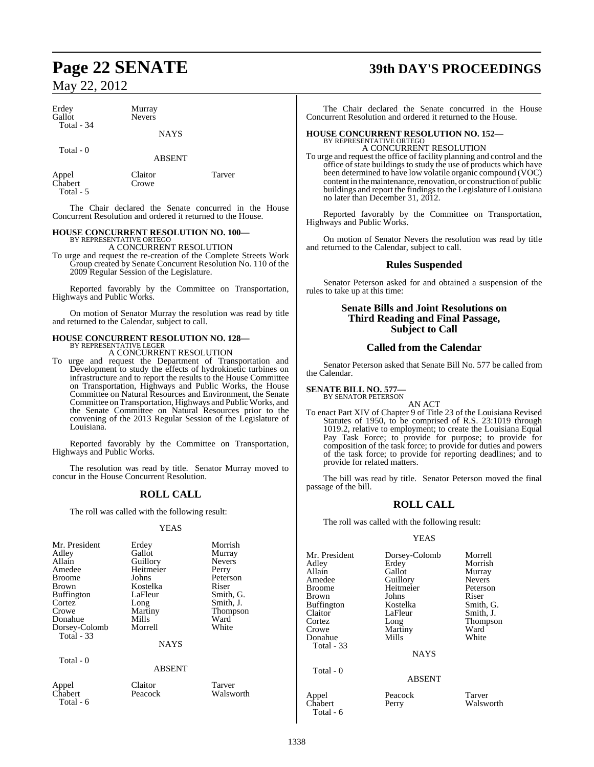| Erdey<br>Gallot | Murray<br><b>Nevers</b> |  |
|-----------------|-------------------------|--|
| Total - 34      | <b>NAYS</b>             |  |

Crowe

Total - 0

ABSENT

| Appel   |  |
|---------|--|
| Chabert |  |
| Fotal   |  |

Claitor Tarver

The Chair declared the Senate concurred in the House Concurrent Resolution and ordered it returned to the House.

#### **HOUSE CONCURRENT RESOLUTION NO. 100—** BY REPRESENTATIVE ORTEGO

A CONCURRENT RESOLUTION

To urge and request the re-creation of the Complete Streets Work Group created by Senate Concurrent Resolution No. 110 of the 2009 Regular Session of the Legislature.

Reported favorably by the Committee on Transportation, Highways and Public Works.

On motion of Senator Murray the resolution was read by title and returned to the Calendar, subject to call.

# **HOUSE CONCURRENT RESOLUTION NO. 128—** BY REPRESENTATIVE LEGER

A CONCURRENT RESOLUTION

To urge and request the Department of Transportation and Development to study the effects of hydrokinetic turbines on infrastructure and to report the results to the House Committee on Transportation, Highways and Public Works, the House Committee on Natural Resources and Environment, the Senate Committee on Transportation, Highways and Public Works, and the Senate Committee on Natural Resources prior to the convening of the 2013 Regular Session of the Legislature of Louisiana.

Reported favorably by the Committee on Transportation, Highways and Public Works.

The resolution was read by title. Senator Murray moved to concur in the House Concurrent Resolution.

### **ROLL CALL**

The roll was called with the following result:

#### YEAS

| Mr. President<br>Adley<br>Allain<br>Amedee<br><b>Broome</b><br><b>Brown</b><br><b>Buffington</b><br>Cortez<br>Crowe<br>Donahue<br>Dorsey-Colomb<br><b>Total - 33</b> | Erdey<br>Gallot<br>Guillory<br>Heitmeier<br>Johns<br>Kostelka<br>LaFleur<br>Long<br>Martiny<br>Mills<br>Morrell | Morrish<br>Murray<br><b>Nevers</b><br>Perry<br>Peterson<br>Riser<br>Smith, G.<br>Smith, J.<br>Thompson<br>Ward<br>White |
|----------------------------------------------------------------------------------------------------------------------------------------------------------------------|-----------------------------------------------------------------------------------------------------------------|-------------------------------------------------------------------------------------------------------------------------|
|                                                                                                                                                                      | <b>NAYS</b>                                                                                                     |                                                                                                                         |
| Total - 0                                                                                                                                                            | <b>ABSENT</b>                                                                                                   |                                                                                                                         |
| Appel<br>Chabert<br>Total - 6                                                                                                                                        | Claitor<br>Peacock                                                                                              | Tarver<br>Walsworth                                                                                                     |

# **Page 22 SENATE 39th DAY'S PROCEEDINGS**

The Chair declared the Senate concurred in the House Concurrent Resolution and ordered it returned to the House.

### **HOUSE CONCURRENT RESOLUTION NO. 152—** BY REPRESENTATIVE ORTEGO

A CONCURRENT RESOLUTION To urge and request the office of facility planning and control and the office of state buildings to study the use of products which have been determined to have low volatile organic compound (VOC) content in the maintenance, renovation, or construction of public buildings and report the findings to the Legislature of Louisiana no later than December 31, 2012.

Reported favorably by the Committee on Transportation, Highways and Public Works.

On motion of Senator Nevers the resolution was read by title and returned to the Calendar, subject to call.

#### **Rules Suspended**

Senator Peterson asked for and obtained a suspension of the rules to take up at this time:

#### **Senate Bills and Joint Resolutions on Third Reading and Final Passage, Subject to Call**

#### **Called from the Calendar**

Senator Peterson asked that Senate Bill No. 577 be called from the Calendar.

## **SENATE BILL NO. 577—** BY SENATOR PETERSON

AN ACT To enact Part XIV of Chapter 9 of Title 23 of the Louisiana Revised Statutes of 1950, to be comprised of R.S. 23:1019 through 1019.2, relative to employment; to create the Louisiana Equal Pay Task Force; to provide for purpose; to provide for composition of the task force; to provide for duties and powers of the task force; to provide for reporting deadlines; and to provide for related matters.

The bill was read by title. Senator Peterson moved the final passage of the bill.

### **ROLL CALL**

The roll was called with the following result:

#### YEAS

| Mr. President<br>Adley        | Dorsey-Colomb<br>Erdey | Morrell<br>Morrish  |
|-------------------------------|------------------------|---------------------|
| Allain                        | Gallot                 | Murray              |
| Amedee                        | Guillory               | <b>Nevers</b>       |
| Broome                        | Heitmeier              | Peterson            |
| Brown                         | Johns                  | Riser               |
| Buffington                    | Kostelka               | Smith, G.           |
| Claitor                       | LaFleur                | Smith, J.           |
| Cortez                        | Long                   | Thompson            |
| Crowe                         | Martiny                | Ward                |
| Donahue                       | Mills                  | White               |
| Total - 33                    |                        |                     |
|                               | <b>NAYS</b>            |                     |
| Total - 0                     | <b>ABSENT</b>          |                     |
|                               |                        |                     |
| Appel<br>Chabert<br>Total - 6 | Peacock<br>Perry       | Tarver<br>Walsworth |
|                               |                        |                     |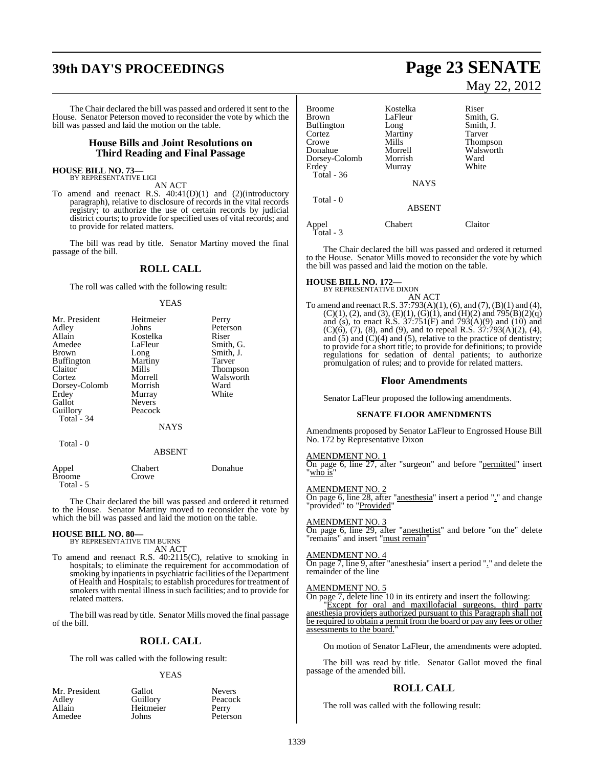## **39th DAY'S PROCEEDINGS Page 23 SENATE**

The Chair declared the bill was passed and ordered it sent to the House. Senator Peterson moved to reconsider the vote by which the bill was passed and laid the motion on the table.

#### **House Bills and Joint Resolutions on Third Reading and Final Passage**

### **HOUSE BILL NO. 73—** BY REPRESENTATIVE LIGI

AN ACT

To amend and reenact R.S. 40:41(D)(1) and (2)(introductory paragraph), relative to disclosure of records in the vital records registry; to authorize the use of certain records by judicial district courts; to provide for specified uses of vital records; and to provide for related matters.

The bill was read by title. Senator Martiny moved the final passage of the bill.

#### **ROLL CALL**

The roll was called with the following result:

#### YEAS

| Mr. President     | Heitmeier     | Perry           |
|-------------------|---------------|-----------------|
| Adley             | Johns         | Peterson        |
| Allain            | Kostelka      | Riser           |
| Amedee            | LaFleur       | Smith, G.       |
| <b>Brown</b>      | Long          | Smith, J.       |
| <b>Buffington</b> | Martiny       | Tarver          |
| Claitor           | Mills         | <b>Thompson</b> |
| Cortez            | Morrell       | Walsworth       |
| Dorsey-Colomb     | Morrish       | Ward            |
| Erdey             | Murray        | White           |
| Gallot            | <b>Nevers</b> |                 |
| Guillory          | Peacock       |                 |
| Total - 34        |               |                 |
|                   | <b>NAYS</b>   |                 |
| Total - 0         |               |                 |

#### ABSENT

| Appel     | <b>Chabert</b> | Donahue |
|-----------|----------------|---------|
| Broome    | Crowe          |         |
| Total - 5 |                |         |

The Chair declared the bill was passed and ordered it returned to the House. Senator Martiny moved to reconsider the vote by which the bill was passed and laid the motion on the table.

#### **HOUSE BILL NO. 80—**

BY REPRESENTATIVE TIM BURNS AN ACT

To amend and reenact R.S. 40:2115(C), relative to smoking in hospitals; to eliminate the requirement for accommodation of smoking by inpatients in psychiatric facilities of the Department of Health and Hospitals; to establish proceduresfor treatment of smokers with mental illnessin such facilities; and to provide for related matters.

The bill was read by title. Senator Mills moved the final passage of the bill.

#### **ROLL CALL**

The roll was called with the following result:

#### YEAS

Peterson

| Mr. President | Gallot    | Nevers  |
|---------------|-----------|---------|
| Adley         | Guillory  | Peacoc  |
| Allain        | Heitmeier | Perry   |
| Amedee        | Johns     | Peterso |

Guillory Peacock<br>
Heitmeier Perry Heitmeier<br>Johns

May 22, 2012

| Broome        | Kostelka      | Riser     |
|---------------|---------------|-----------|
| Brown         | LaFleur       | Smith, G. |
| Buffington    | Long          | Smith, J. |
| Cortez        | Martiny       | Tarver    |
| Crowe         | Mills         | Thompson  |
| Donahue       | Morrell       | Walsworth |
| Dorsey-Colomb | Morrish       | Ward      |
| Erdey         | Murray        | White     |
| Total - 36    |               |           |
|               | <b>NAYS</b>   |           |
| Total - 0     |               |           |
|               | <b>ABSENT</b> |           |
| Appel         | Chabert       | Claitor   |

Total - 3

The Chair declared the bill was passed and ordered it returned to the House. Senator Mills moved to reconsider the vote by which the bill was passed and laid the motion on the table.

#### **HOUSE BILL NO. 172—**

BY REPRESENTATIVE DIXON AN ACT

To amend and reenact R.S. 37:793(A)(1), (6), and (7), (B)(1) and (4),  $(C)(1)$ , (2), and (3), (E)(1), (G)(1), and (H)(2) and 795(B)(2)(q) and (s), to enact R.S. 37:751(F) and 793(A)(9) and (10) and  $(C)(6)$ ,  $(7)$ ,  $(8)$ , and  $(9)$ , and to repeal R.S.  $37:793(A)(2)$ ,  $(4)$ , and  $(5)$  and  $(C)(4)$  and  $(5)$ , relative to the practice of dentistry; to provide for a short title; to provide for definitions; to provide regulations for sedation of dental patients; to authorize promulgation of rules; and to provide for related matters.

#### **Floor Amendments**

Senator LaFleur proposed the following amendments.

#### **SENATE FLOOR AMENDMENTS**

Amendments proposed by Senator LaFleur to Engrossed House Bill No. 172 by Representative Dixon

#### AMENDMENT NO. 1

On page 6, line 27, after "surgeon" and before "permitted" insert 'who is'

#### AMENDMENT NO. 2

On page 6, line 28, after "anesthesia" insert a period "." and change "provided" to "Provided"

#### AMENDMENT NO. 3

On page 6, line 29, after "anesthetist" and before "on the" delete "remains" and insert "must remain"

#### AMENDMENT NO. 4

On page 7, line 9, after "anesthesia" insert a period "." and delete the remainder of the line

#### AMENDMENT NO. 5

On page 7, delete line 10 in its entirety and insert the following:

"Except for oral and maxillofacial surgeons, third party anesthesia providers authorized pursuant to this Paragraph shall not be required to obtain a permit from the board or pay any fees or other assessments to the board."

On motion of Senator LaFleur, the amendments were adopted.

The bill was read by title. Senator Gallot moved the final passage of the amended bill.

#### **ROLL CALL**

The roll was called with the following result: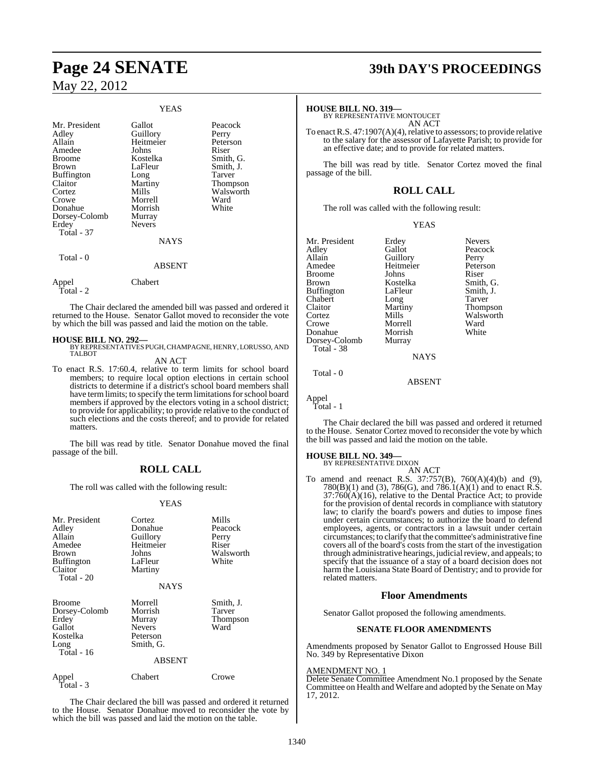|                                                                                                                                                              | YEAS                                                                                                                                                 |                                                                                                                     |
|--------------------------------------------------------------------------------------------------------------------------------------------------------------|------------------------------------------------------------------------------------------------------------------------------------------------------|---------------------------------------------------------------------------------------------------------------------|
| Mr. President<br>Adlev<br>Allain<br>Amedee<br>Broome<br>Brown<br>Buffington<br>Claitor<br>Cortez<br>Crowe<br>Donahue<br>Dorsey-Colomb<br>Erdey<br>Total - 37 | Gallot<br>Guillory<br>Heitmeier<br>Johns<br>Kostelka<br>LaFleur<br>Long<br>Martiny<br>Mills<br>Morrell<br>Morrish<br>Murray<br><b>Nevers</b><br>NAYS | Peacock<br>Perry<br>Peterson<br>Riser<br>Smith, G.<br>Smith, J.<br>Tarver<br>Thompson<br>Walsworth<br>Ward<br>White |
| Total - 0                                                                                                                                                    | <b>ABSENT</b>                                                                                                                                        |                                                                                                                     |
| Appel                                                                                                                                                        | Chabert                                                                                                                                              |                                                                                                                     |

 $\frac{1}{2}$ 

Total - 2

The Chair declared the amended bill was passed and ordered it returned to the House. Senator Gallot moved to reconsider the vote by which the bill was passed and laid the motion on the table.

#### **HOUSE BILL NO. 292—**

BY REPRESENTATIVES PUGH,CHAMPAGNE, HENRY,LORUSSO, AND TALBOT

AN ACT To enact R.S. 17:60.4, relative to term limits for school board members; to require local option elections in certain school districts to determine if a district's school board members shall have term limits; to specify the term limitations for school board members if approved by the electors voting in a school district; to provide for applicability; to provide relative to the conduct of such elections and the costs thereof; and to provide for related matters.

The bill was read by title. Senator Donahue moved the final passage of the bill.

### **ROLL CALL**

The roll was called with the following result:

#### YEAS

| Mr. President<br>Adley<br>Allain<br>Amedee<br>Brown<br>Buffington<br>Claitor<br>Total - 20 | Cortez<br>Donahue<br>Guillory<br>Heitmeier<br>Johns<br>LaFleur<br>Martiny<br><b>NAYS</b> | Mills<br>Peacock<br>Perry<br>Riser<br>Walsworth<br>White |
|--------------------------------------------------------------------------------------------|------------------------------------------------------------------------------------------|----------------------------------------------------------|
| <b>Broome</b><br>Dorsey-Colomb<br>Erdey<br>Gallot<br>Kostelka<br>Long<br>Total - 16        | Morrell<br>Morrish<br>Murray<br><b>Nevers</b><br>Peterson<br>Smith, G.<br><b>ABSENT</b>  | Smith, J.<br>Tarver<br><b>Thompson</b><br>Ward           |
| Appel<br>Total - 3                                                                         | Chabert                                                                                  | Crowe                                                    |

The Chair declared the bill was passed and ordered it returned to the House. Senator Donahue moved to reconsider the vote by which the bill was passed and laid the motion on the table.

## **Page 24 SENATE 39th DAY'S PROCEEDINGS**

#### **HOUSE BILL NO. 319—**

BY REPRESENTATIVE MONTOUCET AN ACT

To enact R.S. 47:1907(A)(4), relative to assessors; to provide relative to the salary for the assessor of Lafayette Parish; to provide for an effective date; and to provide for related matters.

The bill was read by title. Senator Cortez moved the final passage of the bill.

### **ROLL CALL**

The roll was called with the following result:

YEAS

| Mr. President     | Erdey       | <b>Nevers</b> |
|-------------------|-------------|---------------|
| Adley             | Gallot      | Peacock       |
| Allain            | Guillory    | Perry         |
| Amedee            | Heitmeier   | Peterson      |
| <b>Broome</b>     | Johns       | Riser         |
| <b>Brown</b>      | Kostelka    | Smith, G.     |
| <b>Buffington</b> | LaFleur     | Smith, J.     |
| Chabert           | Long        | Tarver        |
| Claitor           | Martiny     | Thompson      |
| Cortez            | Mills       | Walsworth     |
| Crowe             | Morrell     | Ward          |
| Donahue           | Morrish     | White         |
| Dorsey-Colomb     | Murray      |               |
| Total - 38        |             |               |
|                   | <b>NAYS</b> |               |

Total - 0

Appel Total - 1

The Chair declared the bill was passed and ordered it returned to the House. Senator Cortez moved to reconsider the vote by which the bill was passed and laid the motion on the table.

ABSENT

### **HOUSE BILL NO. 349—** BY REPRESENTATIVE DIXON

AN ACT

To amend and reenact R.S. 37:757(B), 760(A)(4)(b) and (9), 780(B)(1) and (3), 786(G), and 786.1(A)(1) and to enact R.S.  $37:760(A)(16)$ , relative to the Dental Practice Act; to provide for the provision of dental records in compliance with statutory law; to clarify the board's powers and duties to impose fines under certain circumstances; to authorize the board to defend employees, agents, or contractors in a lawsuit under certain circumstances; to clarify that the committee's administrative fine covers all of the board's costs from the start of the investigation through administrative hearings, judicial review, and appeals; to specify that the issuance of a stay of a board decision does not harm the Louisiana State Board of Dentistry; and to provide for related matters.

#### **Floor Amendments**

Senator Gallot proposed the following amendments.

#### **SENATE FLOOR AMENDMENTS**

Amendments proposed by Senator Gallot to Engrossed House Bill No. 349 by Representative Dixon

#### AMENDMENT NO. 1

Delete Senate Committee Amendment No.1 proposed by the Senate Committee on Health and Welfare and adopted by the Senate on May 17, 2012.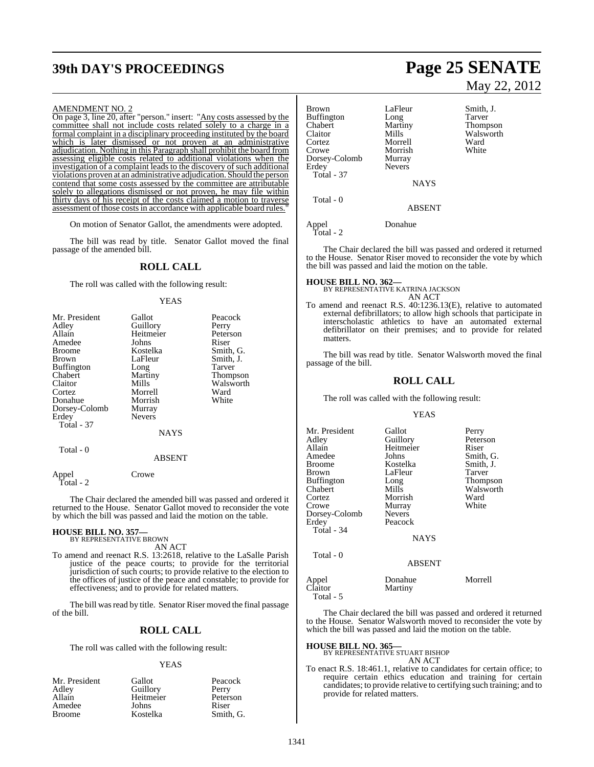# **39th DAY'S PROCEEDINGS Page 25 SENATE**

#### AMENDMENT NO. 2

On page 3, line 20, after "person." insert: "Any costs assessed by the committee shall not include costs related solely to a charge in a formal complaint in a disciplinary proceeding instituted by the board which is later dismissed or not proven at an administrative adjudication. Nothing in this Paragraph shall prohibit the board from assessing eligible costs related to additional violations when the investigation of a complaint leads to the discovery of such additional violations proven at an administrative adjudication. Should the person contend that some costs assessed by the committee are attributable solely to allegations dismissed or not proven, he may file within thirty days of his receipt of the costs claimed a motion to traverse assessment of those costs in accordance with applicable board rules.

On motion of Senator Gallot, the amendments were adopted.

The bill was read by title. Senator Gallot moved the final passage of the amended bill.

#### **ROLL CALL**

The roll was called with the following result:

#### YEAS

| Mr. President     | Gallot        | Peacock         |
|-------------------|---------------|-----------------|
| Adley             | Guillory      | Perry           |
| Allain            | Heitmeier     | Peterson        |
| Amedee            | Johns         | Riser           |
| <b>Broome</b>     | Kostelka      | Smith, G.       |
| <b>Brown</b>      | LaFleur       | Smith, J.       |
| <b>Buffington</b> | Long          | Tarver          |
| Chabert           | Martiny       | <b>Thompson</b> |
| Claitor           | Mills         | Walsworth       |
| Cortez            | Morrell       | Ward            |
| Donahue           | Morrish       | White           |
| Dorsey-Colomb     | Murray        |                 |
| Erdey             | <b>Nevers</b> |                 |
| <b>Total - 37</b> |               |                 |
|                   | <b>NAYS</b>   |                 |
| Total - 0         |               |                 |
|                   | <b>ABSENT</b> |                 |
| Appel             | Crowe         |                 |

 $T_{\text{total}}$  - 2

The Chair declared the amended bill was passed and ordered it returned to the House. Senator Gallot moved to reconsider the vote by which the bill was passed and laid the motion on the table.

### **HOUSE BILL NO. 357—** BY REPRESENTATIVE BROWN

AN ACT

To amend and reenact R.S. 13:2618, relative to the LaSalle Parish justice of the peace courts; to provide for the territorial jurisdiction of such courts; to provide relative to the election to the offices of justice of the peace and constable; to provide for effectiveness; and to provide for related matters.

The bill was read by title. Senator Riser moved the final passage of the bill.

#### **ROLL CALL**

The roll was called with the following result:

#### YEAS

| Gallot    | Peacock   |
|-----------|-----------|
| Guillory  | Perry     |
| Heitmeier | Peterson  |
| Johns     | Riser     |
| Kostelka  | Smith, G. |
|           |           |

# May 22, 2012

| Brown<br>Buffington | LaFleur<br>Long | Smith, J.<br>Tarver |
|---------------------|-----------------|---------------------|
| Chabert             | Martiny         | <b>Thompson</b>     |
| Claitor             | Mills           | Walsworth           |
| Cortez              | Morrell         | Ward                |
| Crowe               | Morrish         | White               |
| Dorsey-Colomb       | Murray          |                     |
| Erdey               | <b>Nevers</b>   |                     |
| <b>Total - 37</b>   |                 |                     |
|                     | <b>NAYS</b>     |                     |
| Total - 0           | <b>ABSENT</b>   |                     |

Appel Donahue

Total - 2

The Chair declared the bill was passed and ordered it returned to the House. Senator Riser moved to reconsider the vote by which the bill was passed and laid the motion on the table.

### **HOUSE BILL NO. 362—** BY REPRESENTATIVE KATRINA JACKSON AN ACT

To amend and reenact R.S. 40:1236.13(E), relative to automated external defibrillators; to allow high schools that participate in interscholastic athletics to have an automated external defibrillator on their premises; and to provide for related matters.

The bill was read by title. Senator Walsworth moved the final passage of the bill.

#### **ROLL CALL**

The roll was called with the following result:

#### YEAS

| Mr. President     | Gallot        | Perry     |
|-------------------|---------------|-----------|
| Adley             | Guillory      | Peterson  |
| Allain            | Heitmeier     | Riser     |
| Amedee            | Johns         | Smith, G. |
| <b>Broome</b>     | Kostelka      | Smith, J. |
| <b>Brown</b>      | LaFleur       | Tarver    |
| <b>Buffington</b> | Long          | Thompson  |
| Chabert           | Mills         | Walsworth |
| Cortez            | Morrish       | Ward      |
| Crowe             | Murray        | White     |
| Dorsey-Colomb     | <b>Nevers</b> |           |
| Erdey             | Peacock       |           |
| Total - 34        |               |           |
|                   | <b>NAYS</b>   |           |
| Total - 0         |               |           |

#### ABSENT

Appel Donahue Morrell<br>Claitor Martiny Martin Martiny Total - 5

The Chair declared the bill was passed and ordered it returned to the House. Senator Walsworth moved to reconsider the vote by which the bill was passed and laid the motion on the table.

#### **HOUSE BILL NO. 365—**

BY REPRESENTATIVE STUART BISHOP AN ACT

To enact R.S. 18:461.1, relative to candidates for certain office; to require certain ethics education and training for certain candidates; to provide relative to certifying such training; and to provide for related matters.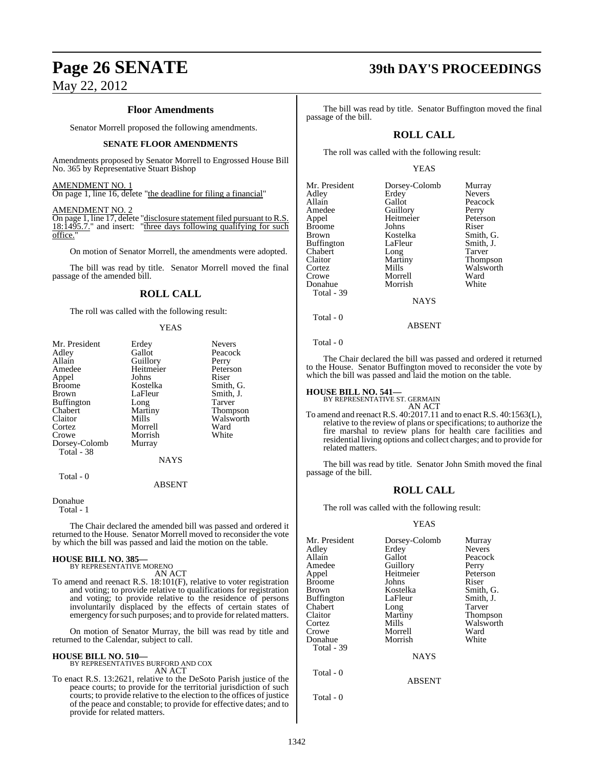#### **Floor Amendments**

Senator Morrell proposed the following amendments.

#### **SENATE FLOOR AMENDMENTS**

Amendments proposed by Senator Morrell to Engrossed House Bill No. 365 by Representative Stuart Bishop

#### AMENDMENT NO. 1

On page 1, line 16, delete "the deadline for filing a financial"

#### AMENDMENT NO. 2

On page 1, line 17, delete "disclosure statement filed pursuant to R.S. 18:1495.7." and insert: "three days following qualifying for such office.

On motion of Senator Morrell, the amendments were adopted.

The bill was read by title. Senator Morrell moved the final passage of the amended bill.

### **ROLL CALL**

The roll was called with the following result:

#### YEAS

| Erdey       | <b>Nevers</b>   |
|-------------|-----------------|
| Gallot      | Peacock         |
|             | Perry           |
| Heitmeier   | Peterson        |
| Johns       | Riser           |
| Kostelka    | Smith, G.       |
| LaFleur     | Smith, J.       |
| Long        | Tarver          |
| Martiny     | <b>Thompson</b> |
| Mills       | Walsworth       |
| Morrell     | Ward            |
| Morrish     | White           |
| Murray      |                 |
|             |                 |
| <b>NAYS</b> |                 |
|             |                 |
|             | Guillory        |

Total - 0

#### ABSENT

Donahue

Total - 1

The Chair declared the amended bill was passed and ordered it returned to the House. Senator Morrell moved to reconsider the vote by which the bill was passed and laid the motion on the table.

# **HOUSE BILL NO. 385—** BY REPRESENTATIVE MORENO

AN ACT

To amend and reenact R.S. 18:101(F), relative to voter registration and voting; to provide relative to qualifications for registration and voting; to provide relative to the residence of persons involuntarily displaced by the effects of certain states of emergency for such purposes; and to provide for related matters.

On motion of Senator Murray, the bill was read by title and returned to the Calendar, subject to call.

#### **HOUSE BILL NO. 510—**

BY REPRESENTATIVES BURFORD AND COX AN ACT

To enact R.S. 13:2621, relative to the DeSoto Parish justice of the peace courts; to provide for the territorial jurisdiction of such courts; to provide relative to the election to the offices of justice of the peace and constable; to provide for effective dates; and to provide for related matters.

### **Page 26 SENATE 39th DAY'S PROCEEDINGS**

The bill was read by title. Senator Buffington moved the final passage of the bill.

### **ROLL CALL**

The roll was called with the following result:

#### YEAS

| Mr. President     | Dorsey-Colomb  | Murray        |
|-------------------|----------------|---------------|
| Adley             | Erdey          | <b>Nevers</b> |
| Allain            | Gallot         | Peacock       |
| Amedee            | Guillory       | Perry         |
| Appel             | Heitmeier      | Peterson      |
| <b>Broome</b>     | Johns          | Riser         |
| <b>Brown</b>      | Kostelka       | Smith, G.     |
| <b>Buffington</b> | LaFleur        | Smith, J.     |
| Chabert           | Long           | Tarver        |
| Claitor           | Martiny        | Thompson      |
| Cortez            | Mills          | Walsworth     |
| Crowe             | Morrell        | Ward          |
| Donahue           | Morrish        | White         |
| Total - 39        |                |               |
|                   | <b>NTA NZC</b> |               |

NAYS

#### ABSENT

Total - 0

Total - 0

The Chair declared the bill was passed and ordered it returned to the House. Senator Buffington moved to reconsider the vote by which the bill was passed and laid the motion on the table.

### **HOUSE BILL NO. 541—** BY REPRESENTATIVE ST. GERMAIN

AN ACT

To amend and reenact R.S. 40:2017.11 and to enact R.S. 40:1563(L), relative to the review of plans or specifications; to authorize the fire marshal to review plans for health care facilities and residential living options and collect charges; and to provide for related matters.

The bill was read by title. Senator John Smith moved the final passage of the bill.

#### **ROLL CALL**

The roll was called with the following result:

#### YEAS

| Mr. President | Dorsey-Colomb | Murray        |
|---------------|---------------|---------------|
| Adley         | Erdey         | <b>Nevers</b> |
| Allain        | Gallot        | Peacock       |
| Amedee        | Guillory      | Perry         |
| Appel         | Heitmeier     | Peterson      |
| Broome        | Johns         | Riser         |
| Brown         | Kostelka      | Smith, G.     |
| Buffington    | LaFleur       | Smith, J.     |
| Chabert       | Long          | Tarver        |
| Claitor       | Martiny       | Thompson      |
| Cortez        | Mills         | Walsworth     |
| Crowe         | Morrell       | Ward          |
| Donahue       | Morrish       | White         |
| Total - 39    |               |               |
|               | <b>NAYS</b>   |               |
| Total - 0     |               |               |
|               | <b>ABSENT</b> |               |
|               |               |               |

Total - 0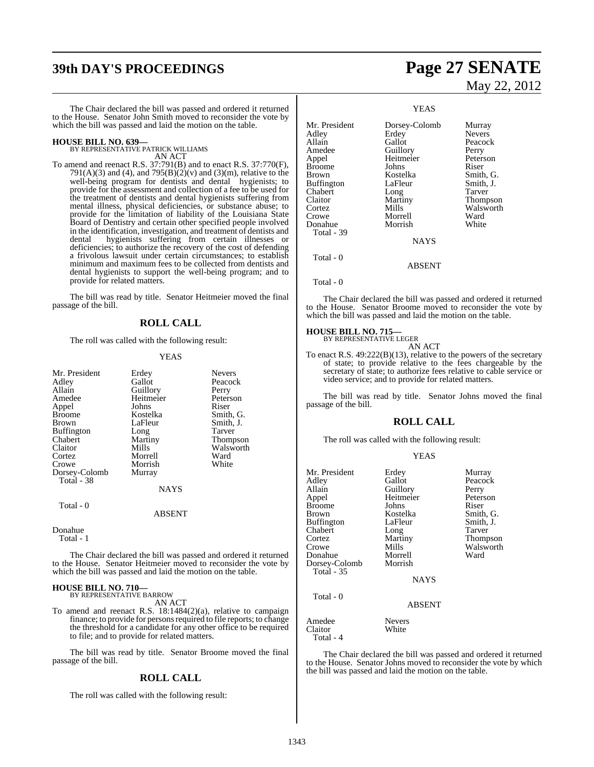# **39th DAY'S PROCEEDINGS Page 27 SENATE**

The Chair declared the bill was passed and ordered it returned to the House. Senator John Smith moved to reconsider the vote by which the bill was passed and laid the motion on the table.

**HOUSE BILL NO. 639—** BY REPRESENTATIVE PATRICK WILLIAMS

AN ACT

To amend and reenact R.S. 37:791(B) and to enact R.S. 37:770(F), 791(A)(3) and (4), and 795(B)(2)(v) and (3)(m), relative to the well-being program for dentists and dental hygienists; to provide for the assessment and collection of a fee to be used for the treatment of dentists and dental hygienists suffering from mental illness, physical deficiencies, or substance abuse; to provide for the limitation of liability of the Louisiana State Board of Dentistry and certain other specified people involved in the identification, investigation, and treatment of dentists and dental hygienists suffering from certain illnesses or deficiencies; to authorize the recovery of the cost of defending a frivolous lawsuit under certain circumstances; to establish minimum and maximum fees to be collected from dentists and dental hygienists to support the well-being program; and to provide for related matters.

The bill was read by title. Senator Heitmeier moved the final passage of the bill.

#### **ROLL CALL**

The roll was called with the following result:

#### YEAS

| Mr. President | Erdey         | <b>Nevers</b> |
|---------------|---------------|---------------|
| Adley         | Gallot        | Peacock       |
| Allain        | Guillory      | Perry         |
| Amedee        | Heitmeier     | Peterson      |
| Appel         | Johns         | Riser         |
| Broome        | Kostelka      | Smith, G.     |
| Brown         | LaFleur       | Smith, J.     |
| Buffington    | Long          | Tarver        |
| Chabert       | Martiny       | Thompson      |
| Claitor       | Mills         | Walsworth     |
| Cortez        | Morrell       | Ward          |
| Crowe         | Morrish       | White         |
| Dorsey-Colomb | Murray        |               |
| Total - 38    |               |               |
|               | <b>NAYS</b>   |               |
| Total - 0     |               |               |
|               | <b>ABSENT</b> |               |
| Donahue       |               |               |

Total - 1

The Chair declared the bill was passed and ordered it returned to the House. Senator Heitmeier moved to reconsider the vote by which the bill was passed and laid the motion on the table.

### **HOUSE BILL NO. 710—** BY REPRESENTATIVE BARROW

AN ACT

To amend and reenact R.S. 18:1484(2)(a), relative to campaign finance; to provide for persons required to file reports; to change the threshold for a candidate for any other office to be required to file; and to provide for related matters.

The bill was read by title. Senator Broome moved the final passage of the bill.

#### **ROLL CALL**

The roll was called with the following result:

# May 22, 2012

YEAS

| Mr. President     | Dorsey-Colomb | Murray        |
|-------------------|---------------|---------------|
| Adley             | Erdey         | <b>Nevers</b> |
| Allain            | Gallot        | Peacock       |
| Amedee            | Guillory      | Perry         |
| Appel             | Heitmeier     | Peterson      |
| <b>Broome</b>     | Johns         | Riser         |
| <b>Brown</b>      | Kostelka      | Smith, G.     |
| <b>Buffington</b> | LaFleur       | Smith, J.     |
| <b>Chabert</b>    | Long          | Tarver        |
| Claitor           | Martiny       | Thompson      |
| Cortez            | Mills         | Walsworth     |
| Crowe             | Morrell       | Ward          |
| Donahue           | Morrish       | White         |
| Total - 39        |               |               |
|                   | <b>NAYS</b>   |               |
| Total - 0         |               |               |
|                   | <b>ABSENT</b> |               |
|                   |               |               |

Total - 0

The Chair declared the bill was passed and ordered it returned to the House. Senator Broome moved to reconsider the vote by which the bill was passed and laid the motion on the table.

### **HOUSE BILL NO. 715—** BY REPRESENTATIVE LEGER

AN ACT

To enact R.S. 49:222(B)(13), relative to the powers of the secretary of state; to provide relative to the fees chargeable by the secretary of state; to authorize fees relative to cable service or video service; and to provide for related matters.

The bill was read by title. Senator Johns moved the final passage of the bill.

#### **ROLL CALL**

The roll was called with the following result:

#### YEAS

| Mr. President     | Erdey         | Murray    |
|-------------------|---------------|-----------|
| Adley             | Gallot        | Peacock   |
| Allain            | Guillory      | Perry     |
| Appel             | Heitmeier     | Peterson  |
| <b>Broome</b>     | Johns         | Riser     |
| Brown             | Kostelka      | Smith, G. |
| <b>Buffington</b> | LaFleur       | Smith, J. |
| Chabert           | Long          | Tarver    |
| Cortez            | Martiny       | Thompson  |
| Crowe             | Mills         | Walsworth |
| Donahue           | Morrell       | Ward      |
| Dorsey-Colomb     | Morrish       |           |
| <b>Total - 35</b> |               |           |
|                   | <b>NAYS</b>   |           |
| Total - 0         |               |           |
|                   | <b>ABSENT</b> |           |
| Amedee            | <b>Nevers</b> |           |
| Claitor           | White         |           |
| Total - 4         |               |           |

The Chair declared the bill was passed and ordered it returned to the House. Senator Johns moved to reconsider the vote by which the bill was passed and laid the motion on the table.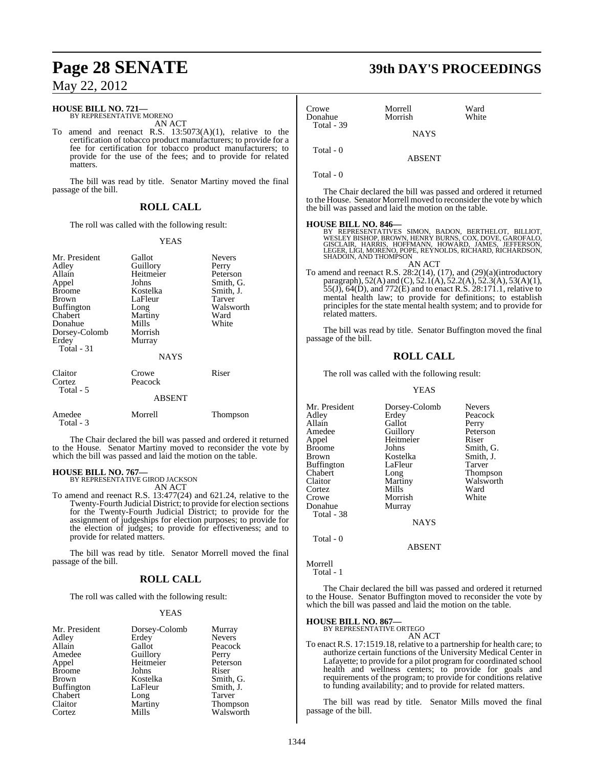### **HOUSE BILL NO. 721—** BY REPRESENTATIVE MORENO

AN ACT

To amend and reenact R.S. 13:5073(A)(1), relative to the certification of tobacco product manufacturers; to provide for a fee for certification for tobacco product manufacturers; to provide for the use of the fees; and to provide for related matters.

The bill was read by title. Senator Martiny moved the final passage of the bill.

#### **ROLL CALL**

The roll was called with the following result:

#### YEAS

| Mr. President<br>Adley<br>Allain<br>Appel<br><b>Broome</b><br><b>Brown</b><br><b>Buffington</b><br>Chabert<br>Donahue<br>Dorsey-Colomb<br>Erdey<br>Total - 31 | Gallot<br>Guillory<br>Heitmeier<br>Johns<br>Kostelka<br>LaFleur<br>Long<br>Martiny<br>Mills<br>Morrish<br>Murray<br><b>NAYS</b> | <b>Nevers</b><br>Perry<br>Peterson<br>Smith, G.<br>Smith, J.<br>Tarver<br>Walsworth<br>Ward<br>White |
|---------------------------------------------------------------------------------------------------------------------------------------------------------------|---------------------------------------------------------------------------------------------------------------------------------|------------------------------------------------------------------------------------------------------|
| Claitor<br>Cortez<br>Total - 5                                                                                                                                | Crowe<br>Peacock<br><b>ABSENT</b>                                                                                               | Riser                                                                                                |
| Amedee<br>Total - 3                                                                                                                                           | Morrell                                                                                                                         | Thompson                                                                                             |

The Chair declared the bill was passed and ordered it returned to the House. Senator Martiny moved to reconsider the vote by which the bill was passed and laid the motion on the table.

#### **HOUSE BILL NO. 767—**

BY REPRESENTATIVE GIROD JACKSON AN ACT

To amend and reenact R.S. 13:477(24) and 621.24, relative to the Twenty-Fourth Judicial District; to provide for election sections for the Twenty-Fourth Judicial District; to provide for the assignment of judgeships for election purposes; to provide for the election of judges; to provide for effectiveness; and to provide for related matters.

The bill was read by title. Senator Morrell moved the final passage of the bill.

#### **ROLL CALL**

The roll was called with the following result:

#### YEAS

| Mr. President     | Dorsey-Colomb | Murray          |
|-------------------|---------------|-----------------|
| Adley             | Erdey         | <b>Nevers</b>   |
| Allain            | Gallot        | Peacock         |
| Amedee            | Guillory      | Perry           |
| Appel             | Heitmeier     | Peterson        |
| <b>Broome</b>     | Johns         | Riser           |
| <b>Brown</b>      | Kostelka      | Smith, G.       |
| <b>Buffington</b> | LaFleur       | Smith, J.       |
| Chabert           | Long          | Tarver          |
| Claitor           | Martiny       | <b>Thompson</b> |
| Cortez            | Mills         | Walsworth       |

### **Page 28 SENATE 39th DAY'S PROCEEDINGS**

| Crowe<br>Donahue | Morrell<br>Morrish | Ward<br>White |  |
|------------------|--------------------|---------------|--|
| Total - 39       | <b>NAYS</b>        |               |  |
| Total - 0        | <b>ABSENT</b>      |               |  |
| Total - 0        |                    |               |  |

The Chair declared the bill was passed and ordered it returned to the House. Senator Morrell moved to reconsider the vote by which the bill was passed and laid the motion on the table.

**HOUSE BILL NO. 846—**<br>BY REPRESENTATIVES SIMON, BADON, BERTHELOT, BILLIOT,<br>WESLEY BISHOP, BROWN, HENRY BURNS, COX, DOVE, GAROFALO,<br>GISCLAIR, HARRIS, HOFFMANN, HOWARD, JAMES, JEFFERSON,<br>LEGER, LIGI, MORENO, POPE, REYNOLDS, SHADOIN, AND THOMPSON AN ACT

To amend and reenact R.S. 28:2(14), (17), and (29)(a)(introductory paragraph), 52(A) and (C), 52.1(A), 52.2(A), 52.3(A), 53(A)(1), 55(J), 64(D), and 772(E) and to enact R.S. 28:171.1, relative to mental health law; to provide for definitions; to establish principles for the state mental health system; and to provide for related matters.

The bill was read by title. Senator Buffington moved the final passage of the bill.

#### **ROLL CALL**

The roll was called with the following result:

#### YEAS

| Peacock                                                     |
|-------------------------------------------------------------|
| Peterson<br>Smith, G.<br>Smith, J.<br>Thompson<br>Walsworth |
|                                                             |
|                                                             |
|                                                             |
|                                                             |
|                                                             |

Total - 0

ABSENT

Morrell

Total - 1

The Chair declared the bill was passed and ordered it returned to the House. Senator Buffington moved to reconsider the vote by which the bill was passed and laid the motion on the table.

#### **HOUSE BILL NO. 867—**

BY REPRESENTATIVE ORTEGO AN ACT

To enact R.S. 17:1519.18, relative to a partnership for health care; to authorize certain functions of the University Medical Center in Lafayette; to provide for a pilot program for coordinated school health and wellness centers; to provide for goals and requirements of the program; to provide for conditions relative to funding availability; and to provide for related matters.

The bill was read by title. Senator Mills moved the final passage of the bill.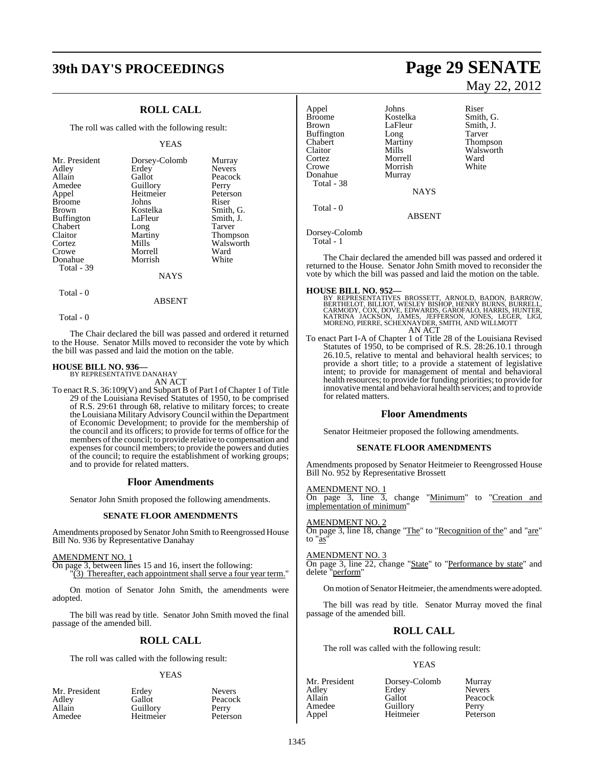# **39th DAY'S PROCEEDINGS Page 29 SENATE**

### **ROLL CALL**

The roll was called with the following result:

#### YEAS

| Mr. President<br>Adley<br>Allain<br>Amedee<br>Appel<br><b>Broome</b><br><b>Brown</b><br>Buffington<br>Chabert<br>Claitor<br>Cortez | Dorsey-Colomb<br>Erdey<br>Gallot<br>Guillory<br>Heitmeier<br>Johns<br>Kostelka<br>LaFleur<br>Long<br>Martiny<br>Mills | Murray<br><b>Nevers</b><br>Peacock<br>Perry<br>Peterson<br>Riser<br>Smith, G.<br>Smith, J.<br>Tarver<br>Thompson<br>Walsworth |
|------------------------------------------------------------------------------------------------------------------------------------|-----------------------------------------------------------------------------------------------------------------------|-------------------------------------------------------------------------------------------------------------------------------|
|                                                                                                                                    |                                                                                                                       |                                                                                                                               |
| Crowe                                                                                                                              | Morrell                                                                                                               | Ward                                                                                                                          |
| Donahue<br>Total - 39                                                                                                              | Morrish                                                                                                               | White                                                                                                                         |
|                                                                                                                                    | <b>NAYS</b>                                                                                                           |                                                                                                                               |

Total - 0

Total - 0

The Chair declared the bill was passed and ordered it returned to the House. Senator Mills moved to reconsider the vote by which the bill was passed and laid the motion on the table.

ABSENT

### **HOUSE BILL NO. 936—** BY REPRESENTATIVE DANAHAY

AN ACT

To enact R.S. 36:109(V) and Subpart B of Part I of Chapter 1 of Title 29 of the Louisiana Revised Statutes of 1950, to be comprised of R.S. 29:61 through 68, relative to military forces; to create the Louisiana Military AdvisoryCouncil within the Department of Economic Development; to provide for the membership of the council and its officers; to provide for terms of office for the members of the council; to provide relative to compensation and expenses for council members; to provide the powers and duties of the council; to require the establishment of working groups; and to provide for related matters.

#### **Floor Amendments**

Senator John Smith proposed the following amendments.

#### **SENATE FLOOR AMENDMENTS**

Amendments proposed by Senator John Smith to Reengrossed House Bill No. 936 by Representative Danahay

AMENDMENT NO. 1

On page 3, between lines 15 and 16, insert the following: (3) Thereafter, each appointment shall serve a four year term."

On motion of Senator John Smith, the amendments were adopted.

The bill was read by title. Senator John Smith moved the final passage of the amended bill.

### **ROLL CALL**

The roll was called with the following result:

#### YEAS

| Mr. President | Erdey     | Nevers  |
|---------------|-----------|---------|
| Adley         | Gallot    | Peacoc  |
| Allain        | Guillory  | Perry   |
| Amedee        | Heitmeier | Peterso |

Gallot Peacock<br>Guillory Perry Guillory Perry<br>
Heitmeier Peterson Heitmeier

# May 22, 2012

Appel Johns Riser<br>Broome Kostelka Smith Broome Kostelka Smith, G.<br>Brown LaFleur Smith, J. LaFleur Smith, J.<br>Long Tarver Buffington Long<br>Chabert Martiny Chabert Martiny Thompson Claitor Mills Walsworth<br>
Cortez Morrell Ward Cortez Morrell Ward Morrish<br>Murray Donahue Total - 38 **NAYS**  Total - 0 **ABSENT** Dorsey-Colomb Total - 1 The Chair declared the amended bill was passed and ordered it

returned to the House. Senator John Smith moved to reconsider the vote by which the bill was passed and laid the motion on the table.

**HOUSE BILL NO. 952—**<br>BY REPRESENTATIVES BROSSETT, ARNOLD, BADON, BARROW, BY REPRESENTATIVES BROSSETT, ARNOLD, BADON, BURRELL, CARMODY, COX, DOVE, EDWARDS, GAROFALO, HARRIS, HUNTER, KATRINA JACKSON, JAMES, LEGER, LIGI, MOR

To enact Part I-A of Chapter 1 of Title 28 of the Louisiana Revised To enact Part I-A of Chapter 1 of Title 28 of the Louisiana Revised<br>Statutes of 1950, to be comprised of R.S. 28:26.10.1 through 26.10.5, relative to mental and behavioral health services; to provide a short title; to a provide a statement of legislative intent; to provide for management of mental and behavioral health resources; to provide for funding priorities; to provide for innovative mental and behavioral health services; and to provide for related matters.

#### **Floor Amendments**

Senator Heitmeier proposed the following amendments.

#### **SENATE FLOOR AMENDMENTS**

Amendments proposed by Senator Heitmeier to Reengrossed House Bill No. 952 by Representative Brossett

#### AMENDMENT NO. 1

On page 3, line 3, change "Minimum" to "Creation and implementation of minimum"

#### AMENDMENT NO. 2

On page 3, line 18, change "The" to "Recognition of the" and "are" to "as"

#### AMENDMENT NO. 3

On page 3, line 22, change "State" to "Performance by state" and delete "perform"

On motion of Senator Heitmeier, the amendments were adopted.

The bill was read by title. Senator Murray moved the final passage of the amended bill.

#### **ROLL CALL**

The roll was called with the following result:

#### YEAS

| Mr. President | Dorsey-Colomb | Murray        |
|---------------|---------------|---------------|
| Adley         | Erdey         | <b>Nevers</b> |
| Allain        | Gallot        | Peacock       |
| Amedee        | Guillory      | Perry         |
| Appel         | Heitmeier     | Peterson      |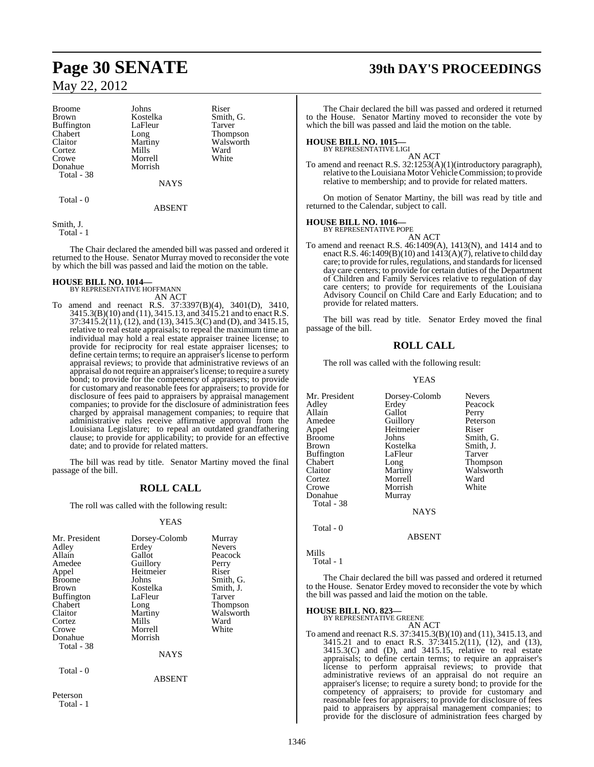Broome Johns Riser<br>Brown Kostelka Smith Buffington LaFle<br>Chabert Long Chabert Long Thompson<br>Claitor Martiny Walsworth Cortez Mills Ward<br>Crowe Morrell White Donahue Total - 38

Kostelka Smith, G.<br>LaFleur Tarver Morrell<br>Morrish

**NAYS** 

Walsworth<br>Ward

Total - 0

ABSENT

Smith, J. Total - 1

The Chair declared the amended bill was passed and ordered it returned to the House. Senator Murray moved to reconsider the vote by which the bill was passed and laid the motion on the table.

# **HOUSE BILL NO. 1014—** BY REPRESENTATIVE HOFFMANN

AN ACT

To amend and reenact R.S. 37:3397(B)(4), 3401(D), 3410, 3415.3(B)(10) and (11), 3415.13, and 3415.21 and to enact R.S.  $37:341\overline{5}.\overline{2}(11), (12), \text{and } (13), 341\overline{5}.\overline{3}(C) \text{ and } (D), \text{and } 341\overline{5}.\overline{15},$ relative to real estate appraisals; to repeal the maximum time an individual may hold a real estate appraiser trainee license; to provide for reciprocity for real estate appraiser licenses; to define certain terms; to require an appraiser's license to perform appraisal reviews; to provide that administrative reviews of an appraisal do notrequire an appraiser'slicense; to require a surety bond; to provide for the competency of appraisers; to provide for customary and reasonable fees for appraisers; to provide for disclosure of fees paid to appraisers by appraisal management companies; to provide for the disclosure of administration fees charged by appraisal management companies; to require that administrative rules receive affirmative approval from the Louisiana Legislature; to repeal an outdated grandfathering clause; to provide for applicability; to provide for an effective date; and to provide for related matters.

The bill was read by title. Senator Martiny moved the final passage of the bill.

### **ROLL CALL**

The roll was called with the following result:

#### YEAS

| Mr. President<br>Adley<br>Allain<br>Amedee<br>Appel<br><b>Broome</b><br>Brown<br><b>Buffington</b><br>Chabert<br>Claitor<br>Cortez<br>Crowe<br>Donahue<br>Total - 38 | Dorsey-Colomb<br>Erdey<br>Gallot<br>Guillory<br>Heitmeier<br>Johns<br>Kostelka<br>LaFleur<br>Long<br>Martiny<br>Mills<br>Morrell<br>Morrish<br><b>NAYS</b> | Murray<br>Nevers<br>Peacock<br>Perry<br>Riser<br>Smith, G.<br>Smith, J.<br>Tarver<br>Thompson<br>Walsworth<br>Ward<br>White |
|----------------------------------------------------------------------------------------------------------------------------------------------------------------------|------------------------------------------------------------------------------------------------------------------------------------------------------------|-----------------------------------------------------------------------------------------------------------------------------|
| Total - 0                                                                                                                                                            | <b>ABSENT</b>                                                                                                                                              |                                                                                                                             |
| Peterson<br>Total - 1                                                                                                                                                |                                                                                                                                                            |                                                                                                                             |

# **Page 30 SENATE 39th DAY'S PROCEEDINGS**

The Chair declared the bill was passed and ordered it returned to the House. Senator Martiny moved to reconsider the vote by which the bill was passed and laid the motion on the table.

# **HOUSE BILL NO. 1015—** BY REPRESENTATIVE LIGI

AN ACT To amend and reenact R.S. 32:1253(A)(1)(introductory paragraph), relative to the Louisiana Motor Vehicle Commission; to provide relative to membership; and to provide for related matters.

On motion of Senator Martiny, the bill was read by title and returned to the Calendar, subject to call.

### **HOUSE BILL NO. 1016—**

BY REPRESENTATIVE POPE AN ACT

To amend and reenact R.S. 46:1409(A), 1413(N), and 1414 and to enact R.S. 46:1409(B)(10) and 1413(A)(7), relative to child day care; to provide for rules, regulations, and standards for licensed day care centers; to provide for certain duties of the Department of Children and Family Services relative to regulation of day care centers; to provide for requirements of the Louisiana Advisory Council on Child Care and Early Education; and to provide for related matters.

The bill was read by title. Senator Erdey moved the final passage of the bill.

### **ROLL CALL**

The roll was called with the following result:

#### YEAS

| Mr. President | Dorsey-Colomb | <b>Nevers</b>   |
|---------------|---------------|-----------------|
| Adley         | Erdey         | Peacock         |
| Allain        | Gallot        | Perry           |
| Amedee        | Guillory      | Peterson        |
| Appel         | Heitmeier     | Riser           |
| Broome        | Johns         | Smith, G.       |
| Brown         | Kostelka      | Smith, J.       |
| Buffington    | LaFleur       | <b>Tarver</b>   |
| Chabert       | Long          | <b>Thompson</b> |
| Claitor       | Martiny       | Walsworth       |
| Cortez        | Morrell       | Ward            |
| Crowe         | Morrish       | White           |
| Donahue       | Murray        |                 |
| Total - 38    |               |                 |
|               | <b>NAYS</b>   |                 |
|               |               |                 |

Total - 0

Mills

Total - 1

The Chair declared the bill was passed and ordered it returned to the House. Senator Erdey moved to reconsider the vote by which the bill was passed and laid the motion on the table.

ABSENT

**HOUSE BILL NO. 823—**

BY REPRESENTATIVE GREENE AN ACT

To amend and reenact R.S. 37:3415.3(B)(10) and (11), 3415.13, and 3415.21 and to enact R.S. 37:3415.2(11), (12), and (13), 3415.3(C) and (D), and 3415.15, relative to real estate appraisals; to define certain terms; to require an appraiser's license to perform appraisal reviews; to provide that administrative reviews of an appraisal do not require an appraiser's license; to require a surety bond; to provide for the competency of appraisers; to provide for customary and reasonable fees for appraisers; to provide for disclosure of fees paid to appraisers by appraisal management companies; to provide for the disclosure of administration fees charged by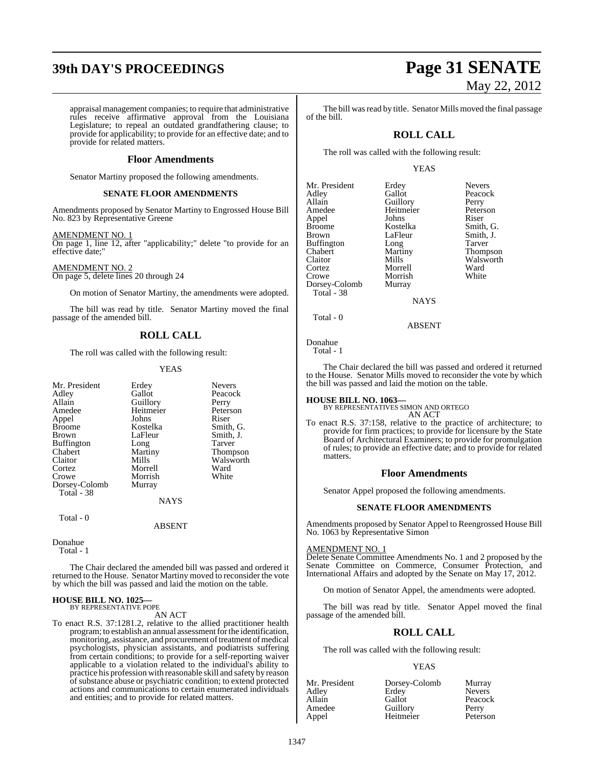## **39th DAY'S PROCEEDINGS Page 31 SENATE**

appraisal management companies; to require that administrative rules receive affirmative approval from the Louisiana Legislature; to repeal an outdated grandfathering clause; to provide for applicability; to provide for an effective date; and to provide for related matters.

#### **Floor Amendments**

Senator Martiny proposed the following amendments.

#### **SENATE FLOOR AMENDMENTS**

Amendments proposed by Senator Martiny to Engrossed House Bill No. 823 by Representative Greene

#### AMENDMENT NO. 1

On page 1, line 12, after "applicability;" delete "to provide for an effective date;"

AMENDMENT NO. 2 On page 5, delete lines 20 through 24

On motion of Senator Martiny, the amendments were adopted.

The bill was read by title. Senator Martiny moved the final passage of the amended bill.

#### **ROLL CALL**

The roll was called with the following result:

#### YEAS

| Mr. President | Erdey       | <b>Nevers</b>   |
|---------------|-------------|-----------------|
| Adley         | Gallot      | Peacock         |
| Allain        | Guillory    | Perry           |
| Amedee        | Heitmeier   | Peterson        |
| Appel         | Johns       | Riser           |
| <b>Broome</b> | Kostelka    | Smith, G.       |
| Brown         | LaFleur     | Smith, J.       |
| Buffington    | Long        | Tarver          |
| Chabert       | Martiny     | <b>Thompson</b> |
| Claitor       | Mills       | Walsworth       |
| Cortez        | Morrell     | Ward            |
| Crowe         | Morrish     | White           |
| Dorsey-Colomb | Murray      |                 |
| Total - 38    |             |                 |
|               | <b>NAYS</b> |                 |

#### ABSENT

Donahue

Total - 1

Total - 0

The Chair declared the amended bill was passed and ordered it returned to the House. Senator Martiny moved to reconsider the vote by which the bill was passed and laid the motion on the table.

#### **HOUSE BILL NO. 1025—** BY REPRESENTATIVE POPE

AN ACT

To enact R.S. 37:1281.2, relative to the allied practitioner health program; to establish an annual assessment for the identification, monitoring, assistance, and procurement of treatment of medical psychologists, physician assistants, and podiatrists suffering from certain conditions; to provide for a self-reporting waiver applicable to a violation related to the individual's ability to practice his profession with reasonable skill and safety by reason of substance abuse or psychiatric condition; to extend protected actions and communications to certain enumerated individuals and entities; and to provide for related matters.

# May 22, 2012

The bill was read by title. Senator Mills moved the final passage of the bill.

#### **ROLL CALL**

The roll was called with the following result:

#### YEAS

Mr. President Erdey Nevers<br>Adley Gallot Peacoc Adley Gallot Peacock<br>Allain Guillory Perry Allain Cuillory Perry<br>Amedee Heitmeier Peterson Appel Johns Riser Broome Kostelka<br>Brown LaFleur Buffington Long<br>Chabert Martiny Chabert Martiny Thompson<br>Claitor Mills Walsworth Claitor Mills Walsworth<br>
Cortez Morrell Ward Cortez Morrell Ward Dorsey-Colomb Total - 38

Heitmeier Peters<br>
Iohns Riser LaFleur Smith, J.<br>Long Tarver

**NAYS** 

Morrish<br>Murray

ABSENT

Donahue Total - 1

Total - 0

The Chair declared the bill was passed and ordered it returned to the House. Senator Mills moved to reconsider the vote by which the bill was passed and laid the motion on the table.

**HOUSE BILL NO. 1063—** BY REPRESENTATIVES SIMON AND ORTEGO AN ACT

To enact R.S. 37:158, relative to the practice of architecture; to provide for firm practices; to provide for licensure by the State Board of Architectural Examiners; to provide for promulgation of rules; to provide an effective date; and to provide for related matters.

#### **Floor Amendments**

Senator Appel proposed the following amendments.

#### **SENATE FLOOR AMENDMENTS**

Amendments proposed by Senator Appel to Reengrossed House Bill No. 1063 by Representative Simon

#### AMENDMENT NO. 1

Delete Senate Committee Amendments No. 1 and 2 proposed by the Senate Committee on Commerce, Consumer Protection, and International Affairs and adopted by the Senate on May 17, 2012.

On motion of Senator Appel, the amendments were adopted.

The bill was read by title. Senator Appel moved the final passage of the amended bill.

#### **ROLL CALL**

The roll was called with the following result:

#### YEAS

| Mr. President | Dorsey-Colomb | Murray        |
|---------------|---------------|---------------|
| Adley         | Erdev         | <b>Nevers</b> |
| Allain        | Gallot        | Peacock       |
| Amedee        | Guillory      | Perry         |
| Appel         | Heitmeier     | Peterson      |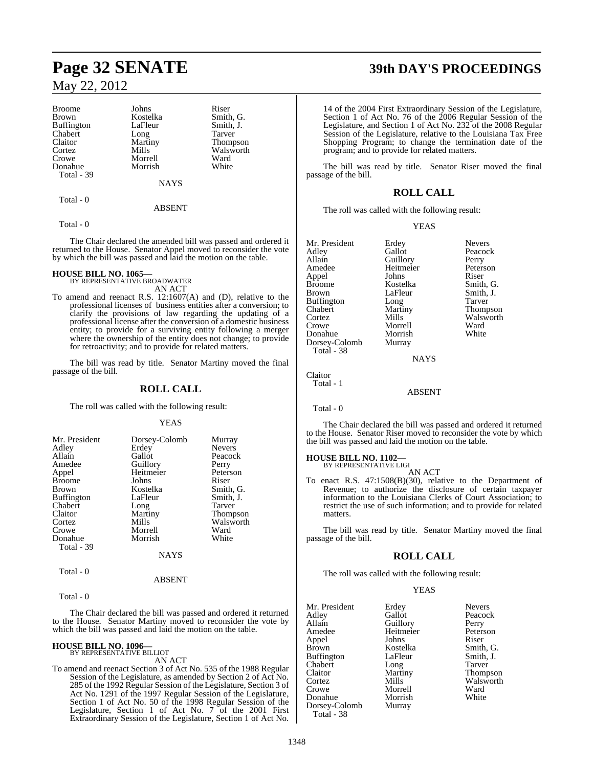Broome Johns Riser<br>Brown Kostelka Smith Buffington LaFleur Smith,<br>
Chabert Long Tarver Chabert Long<br>Claitor Martiny Cortez Mills Walsworth<br>
Crowe Morrell Ward Donahue Total - 39

Kostelka Smith, G.<br>LaFleur Smith, J. Martiny Thompson<br>Mills Walsworth Morrell Ward<br>
Morrish White

**NAYS** 

Total - 0

ABSENT

Total - 0

The Chair declared the amended bill was passed and ordered it returned to the House. Senator Appel moved to reconsider the vote by which the bill was passed and laid the motion on the table.

# **HOUSE BILL NO. 1065—** BY REPRESENTATIVE BROADWATER

AN ACT

To amend and reenact R.S. 12:1607(A) and (D), relative to the professional licenses of business entities after a conversion; to clarify the provisions of law regarding the updating of a professional license after the conversion of a domestic business entity; to provide for a surviving entity following a merger where the ownership of the entity does not change; to provide for retroactivity; and to provide for related matters.

The bill was read by title. Senator Martiny moved the final passage of the bill.

#### **ROLL CALL**

The roll was called with the following result:

#### YEAS

| Mr. President     | Dorsey-Colomb | Murray          |
|-------------------|---------------|-----------------|
| Adley             | Erdey         | <b>Nevers</b>   |
| Allain            | Gallot        | Peacock         |
| Amedee            | Guillory      | Perry           |
| Appel             | Heitmeier     | Peterson        |
| <b>Broome</b>     | Johns         | Riser           |
| Brown             | Kostelka      | Smith, G.       |
| <b>Buffington</b> | LaFleur       | Smith, J.       |
| Chabert           | Long          | Tarver          |
| Claitor           | Martiny       | <b>Thompson</b> |
| Cortez            | Mills         | Walsworth       |
| Crowe             | Morrell       | Ward            |
| Donahue           | Morrish       | White           |
| <b>Total - 39</b> |               |                 |
|                   | <b>NAYS</b>   |                 |

Total - 0

#### ABSENT

Total - 0

The Chair declared the bill was passed and ordered it returned to the House. Senator Martiny moved to reconsider the vote by which the bill was passed and laid the motion on the table.

#### **HOUSE BILL NO. 1096—** BY REPRESENTATIVE BILLIOT

AN ACT

To amend and reenact Section 3 of Act No. 535 of the 1988 Regular Session of the Legislature, as amended by Section 2 of Act No. 285 of the 1992 Regular Session of the Legislature, Section 3 of Act No. 1291 of the 1997 Regular Session of the Legislature, Section 1 of Act No. 50 of the 1998 Regular Session of the Legislature, Section 1 of Act No. 7 of the 2001 First Extraordinary Session of the Legislature, Section 1 of Act No.

### **Page 32 SENATE 39th DAY'S PROCEEDINGS**

14 of the 2004 First Extraordinary Session of the Legislature, Section 1 of Act No. 76 of the 2006 Regular Session of the Legislature, and Section 1 of Act No. 232 of the 2008 Regular Session of the Legislature, relative to the Louisiana Tax Free Shopping Program; to change the termination date of the program; and to provide for related matters.

The bill was read by title. Senator Riser moved the final passage of the bill.

#### **ROLL CALL**

The roll was called with the following result:

#### YEAS

| Mr. President     |           | <b>Nevers</b> |
|-------------------|-----------|---------------|
|                   | Erdey     |               |
| Adley             | Gallot    | Peacock       |
| Allain            | Guillory  | Perry         |
| Amedee            | Heitmeier | Peterson      |
| Appel             | Johns     | Riser         |
| <b>Broome</b>     | Kostelka  | Smith, G.     |
| <b>Brown</b>      | LaFleur   | Smith, J.     |
| <b>Buffington</b> | Long      | Tarver        |
| Chabert           | Martiny   | Thompson      |
| Cortez            | Mills     | Walsworth     |
| Crowe             | Morrell   | Ward          |
| Donahue           | Morrish   | White         |
| Dorsey-Colomb     | Murray    |               |
| Total - 38        |           |               |
|                   | NAYS      |               |

Claitor Total - 1

ABSENT

Total - 0

The Chair declared the bill was passed and ordered it returned to the House. Senator Riser moved to reconsider the vote by which the bill was passed and laid the motion on the table.

#### **HOUSE BILL NO. 1102—**

BY REPRESENTATIVE LIGI AN ACT

To enact R.S. 47:1508(B)(30), relative to the Department of Revenue; to authorize the disclosure of certain taxpayer information to the Louisiana Clerks of Court Association; to restrict the use of such information; and to provide for related matters.

The bill was read by title. Senator Martiny moved the final passage of the bill.

#### **ROLL CALL**

The roll was called with the following result:

#### YEAS

| Mr. President<br>Adley | Erdey<br>Gallot | <b>Nevers</b><br>Peacock |
|------------------------|-----------------|--------------------------|
| Allain                 | Guillory        | Perry                    |
| Amedee                 | Heitmeier       | Peterson                 |
| Appel                  | Johns           | Riser                    |
| Brown                  | Kostelka        | Smith, G.                |
| <b>Buffington</b>      | LaFleur         | Smith, J.                |
| Chabert                | Long            | Tarver                   |
| Claitor                | Martiny         | <b>Thompson</b>          |
| Cortez                 | Mills           | Walsworth                |
| Crowe                  | Morrell         | Ward                     |
| Donahue                | Morrish         | White                    |
| Dorsey-Colomb          | Murray          |                          |
| Total - 38             |                 |                          |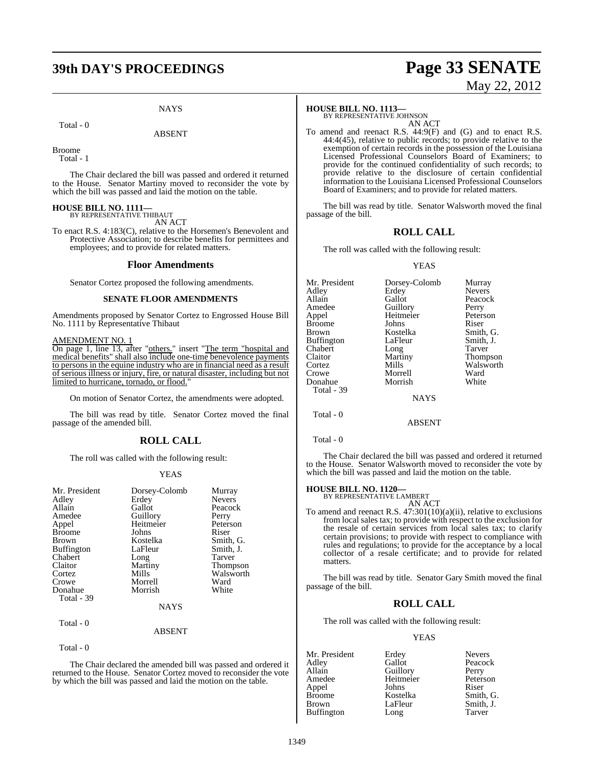### **39th DAY'S PROCEEDINGS Page 33 SENATE**

#### **NAYS**

Total - 0

#### ABSENT

Broome

Total - 1

The Chair declared the bill was passed and ordered it returned to the House. Senator Martiny moved to reconsider the vote by which the bill was passed and laid the motion on the table.

### **HOUSE BILL NO. 1111—** BY REPRESENTATIVE THIBAUT

AN ACT

To enact R.S. 4:183(C), relative to the Horsemen's Benevolent and Protective Association; to describe benefits for permittees and employees; and to provide for related matters.

#### **Floor Amendments**

Senator Cortez proposed the following amendments.

#### **SENATE FLOOR AMENDMENTS**

Amendments proposed by Senator Cortez to Engrossed House Bill No. 1111 by Representative Thibaut

#### AMENDMENT NO. 1

On page 1, line 13, after "others." insert "The term "hospital and medical benefits" shall also include one-time benevolence payments to persons in the equine industry who are in financial need as a result of serious illness or injury, fire, or natural disaster, including but not limited to hurricane, tornado, or flood.

On motion of Senator Cortez, the amendments were adopted.

The bill was read by title. Senator Cortez moved the final passage of the amended bill.

#### **ROLL CALL**

The roll was called with the following result:

#### YEAS

| Mr. President | Dorsey-Colomb | Murray          |
|---------------|---------------|-----------------|
| Adley         | Erdey         | <b>Nevers</b>   |
| Allain        | Gallot        | Peacock         |
| Amedee        | Guillory      | Perry           |
| Appel         | Heitmeier     | Peterson        |
| <b>Broome</b> | Johns         | Riser           |
| <b>Brown</b>  | Kostelka      | Smith, G.       |
| Buffington    | LaFleur       | Smith, J.       |
| Chabert       | Long          | Tarver          |
| Claitor       | Martiny       | <b>Thompson</b> |
| Cortez        | Mills         | Walsworth       |
| Crowe         | Morrell       | Ward            |
| Donahue       | Morrish       | White           |
| Total - 39    |               |                 |
|               | NAYS          |                 |

Total - 0

#### ABSENT

Total - 0

The Chair declared the amended bill was passed and ordered it returned to the House. Senator Cortez moved to reconsider the vote by which the bill was passed and laid the motion on the table.

#### **HOUSE BILL NO. 1113—**

BY REPRESENTATIVE JOHNSON AN ACT

To amend and reenact R.S. 44:9(F) and (G) and to enact R.S. 44:4(45), relative to public records; to provide relative to the exemption of certain records in the possession of the Louisiana Licensed Professional Counselors Board of Examiners; to provide for the continued confidentiality of such records; to provide relative to the disclosure of certain confidential information to the Louisiana Licensed Professional Counselors Board of Examiners; and to provide for related matters.

The bill was read by title. Senator Walsworth moved the final passage of the bill.

#### **ROLL CALL**

The roll was called with the following result:

#### YEAS

| Mr. President | Dorsey-Colomb | Murray          |
|---------------|---------------|-----------------|
| Adley         | Erdey         | <b>Nevers</b>   |
| Allain        | Gallot        | Peacock         |
| Amedee        | Guillory      | Perry           |
| Appel         | Heitmeier     | Peterson        |
| Broome        | Johns         | Riser           |
| Brown         | Kostelka      | Smith, G.       |
| Buffington    | LaFleur       | Smith, J.       |
| Chabert       | Long          | Tarver          |
| Claitor       | Martiny       | <b>Thompson</b> |
| Cortez        | Mills         | Walsworth       |
| Crowe         | Morrell       | Ward            |
| Donahue       | Morrish       | White           |
| Total - 39    |               |                 |
|               | <b>NAYS</b>   |                 |
| Total - $0$   |               |                 |

#### ABSENT

Total - 0

The Chair declared the bill was passed and ordered it returned to the House. Senator Walsworth moved to reconsider the vote by which the bill was passed and laid the motion on the table.

### **HOUSE BILL NO. 1120—** BY REPRESENTATIVE LAMBERT

AN ACT

To amend and reenact R.S. 47:301(10)(a)(ii), relative to exclusions from local sales tax; to provide with respect to the exclusion for the resale of certain services from local sales tax; to clarify certain provisions; to provide with respect to compliance with rules and regulations; to provide for the acceptance by a local collector of a resale certificate; and to provide for related matters.

The bill was read by title. Senator Gary Smith moved the final passage of the bill.

#### **ROLL CALL**

The roll was called with the following result:

#### YEAS

| Mr. President     | Erdey     | <b>Nevers</b> |
|-------------------|-----------|---------------|
| Adley             | Gallot    | Peacock       |
| Allain            | Guillory  | Perry         |
| Amedee            | Heitmeier | Peterson      |
| Appel             | Johns     | Riser         |
| <b>Broome</b>     | Kostelka  | Smith, G.     |
| Brown             | LaFleur   | Smith, J.     |
| <b>Buffington</b> | Long      | Tarver        |

# May 22, 2012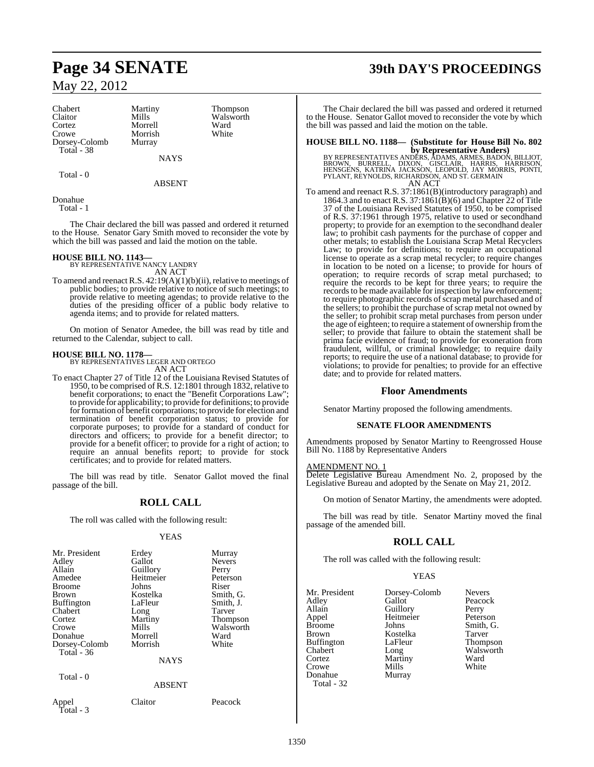Chabert Martiny Thompson Claitor Mills Walsworth<br>Cortez Morrell Ward Cortez Morrell Ward Dorsey-Colomb Total - 38

Morrish<br>Murray

Total - 0

NAYS ABSENT

Donahue Total - 1

The Chair declared the bill was passed and ordered it returned to the House. Senator Gary Smith moved to reconsider the vote by which the bill was passed and laid the motion on the table.

**HOUSE BILL NO. 1143—** BY REPRESENTATIVE NANCY LANDRY AN ACT

To amend and reenact R.S. 42:19(A)(1)(b)(ii), relative to meetings of public bodies; to provide relative to notice of such meetings; to provide relative to meeting agendas; to provide relative to the duties of the presiding officer of a public body relative to agenda items; and to provide for related matters.

On motion of Senator Amedee, the bill was read by title and returned to the Calendar, subject to call.

**HOUSE BILL NO. 1178—** BY REPRESENTATIVES LEGER AND ORTEGO AN ACT

To enact Chapter 27 of Title 12 of the Louisiana Revised Statutes of 1950, to be comprised of R.S. 12:1801 through 1832, relative to benefit corporations; to enact the "Benefit Corporations Law"; to provide for applicability; to provide for definitions; to provide for formation of benefit corporations; to provide for election and termination of benefit corporation status; to provide for corporate purposes; to provide for a standard of conduct for directors and officers; to provide for a benefit director; to provide for a benefit officer; to provide for a right of action; to require an annual benefits report; to provide for stock certificates; and to provide for related matters.

The bill was read by title. Senator Gallot moved the final passage of the bill.

### **ROLL CALL**

The roll was called with the following result:

#### YEAS

| Mr. President<br>Adley<br>Allain<br>Amedee<br><b>Broome</b><br><b>Brown</b><br><b>Buffington</b><br>Chabert<br>Cortez<br>Crowe<br>Donahue<br>Dorsey-Colomb<br>Total - 36<br>Total - 0 | Erdey<br>Gallot<br>Guillory<br>Heitmeier<br>Johns<br>Kostelka<br>LaFleur<br>Long<br>Martiny<br>Mills<br>Morrell<br>Morrish<br><b>NAYS</b> | Murray<br><b>Nevers</b><br>Perry<br>Peterson<br>Riser<br>Smith, G.<br>Smith, J.<br>Tarver<br><b>Thompson</b><br>Walsworth<br>Ward<br>White |
|---------------------------------------------------------------------------------------------------------------------------------------------------------------------------------------|-------------------------------------------------------------------------------------------------------------------------------------------|--------------------------------------------------------------------------------------------------------------------------------------------|
|                                                                                                                                                                                       | <b>ABSENT</b>                                                                                                                             |                                                                                                                                            |
| Appel<br>Total - 3                                                                                                                                                                    | Claitor                                                                                                                                   | Peacock                                                                                                                                    |

# **Page 34 SENATE 39th DAY'S PROCEEDINGS**

The Chair declared the bill was passed and ordered it returned to the House. Senator Gallot moved to reconsider the vote by which the bill was passed and laid the motion on the table.

### **HOUSE BILL NO. 1188— (Substitute for House Bill No. 802**

**by Representative Anders)**<br>BY REPRESENTATIVES ANDERS, ADAMS, ARMES, BADON, BILLIOT,<br>BROWN, BURRELL, DIXON, GISCLAIR, HARRISON, HENSGENS, HATRINA JACKSON, LEOPOLD, JAY MORRIS, PONTI,<br>PYLANT, REYNOLDS, RICHARDSON, AND ST. G AN ACT

To amend and reenact R.S. 37:1861(B)(introductory paragraph) and 1864.3 and to enact R.S. 37:1861(B)(6) and Chapter 22 of Title 37 of the Louisiana Revised Statutes of 1950, to be comprised of R.S. 37:1961 through 1975, relative to used or secondhand property; to provide for an exemption to the secondhand dealer law; to prohibit cash payments for the purchase of copper and other metals; to establish the Louisiana Scrap Metal Recyclers Law; to provide for definitions; to require an occupational license to operate as a scrap metal recycler; to require changes in location to be noted on a license; to provide for hours of operation; to require records of scrap metal purchased; to require the records to be kept for three years; to require the records to be made available for inspection by law enforcement; to require photographic records of scrap metal purchased and of the sellers; to prohibit the purchase of scrap metal not owned by the seller; to prohibit scrap metal purchases from person under the age of eighteen; to require a statement of ownership fromthe seller; to provide that failure to obtain the statement shall be prima facie evidence of fraud; to provide for exoneration from fraudulent, willful, or criminal knowledge; to require daily reports; to require the use of a national database; to provide for violations; to provide for penalties; to provide for an effective date; and to provide for related matters.

#### **Floor Amendments**

Senator Martiny proposed the following amendments.

#### **SENATE FLOOR AMENDMENTS**

Amendments proposed by Senator Martiny to Reengrossed House Bill No. 1188 by Representative Anders

#### <u>AMENDMENT NO. 1</u>

Delete Legislative Bureau Amendment No. 2, proposed by the Legislative Bureau and adopted by the Senate on May 21, 2012.

On motion of Senator Martiny, the amendments were adopted.

The bill was read by title. Senator Martiny moved the final passage of the amended bill.

### **ROLL CALL**

The roll was called with the following result:

#### YEAS

Mr. President Dorsey-Colomb Nevers<br>Adley Gallot Peacoc Adley Gallot Peacock<br>Allain Guillory Perry Allain Guillory Perry<br>
Appel Heitmeier Peterson Appel Heitmeier<br>Broome Johns Broome Johns Smith, G.<br>Brown Kostelka Tarver Buffington LaFle<br>Chabert Long Chabert Long Walsworth<br>
Cortez Martiny Ward Cortez Martiny<br>Crowe Mills Donahue Total - 32

Kostelka Tarver<br>LaFleur Thompson Mills White<br>
Murray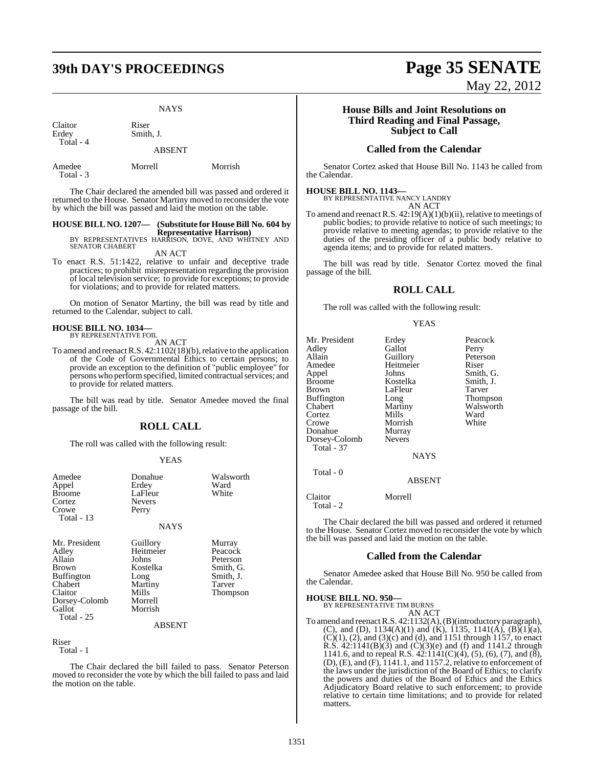# **39th DAY'S PROCEEDINGS Page 35 SENATE**

**NAYS** 

Claitor Riser<br>Erdey Smith Total - 4

Smith, J.

ABSENT

Total - 3

Amedee Morrell Morrish

The Chair declared the amended bill was passed and ordered it returned to the House. Senator Martiny moved to reconsider the vote by which the bill was passed and laid the motion on the table.

### **HOUSE BILL NO. 1207— (Substitute for House Bill No. 604 by**

**Representative Harrison)** BY REPRESENTATIVES HARRISON, DOVE, AND WHITNEY AND SENATOR CHABERT

AN ACT

To enact R.S. 51:1422, relative to unfair and deceptive trade practices; to prohibit misrepresentation regarding the provision of local television service; to provide for exceptions; to provide for violations; and to provide for related matters.

On motion of Senator Martiny, the bill was read by title and returned to the Calendar, subject to call.

## **HOUSE BILL NO. 1034—** BY REPRESENTATIVE FOIL

AN ACT

To amend and reenact R.S. 42:1102(18)(b), relative to the application of the Code of Governmental Ethics to certain persons; to provide an exception to the definition of "public employee" for persons who performspecified, limited contractualservices; and to provide for related matters.

The bill was read by title. Senator Amedee moved the final passage of the bill.

#### **ROLL CALL**

The roll was called with the following result:

#### YEAS

| Amedee<br>Appel<br><b>Broome</b><br>Cortez<br>Crowe<br>Total - 13                                                              | Donahue<br>Erdey<br>LaFleur<br><b>Nevers</b><br>Perry<br><b>NAYS</b>                         | Walsworth<br>Ward<br>White                                                           |
|--------------------------------------------------------------------------------------------------------------------------------|----------------------------------------------------------------------------------------------|--------------------------------------------------------------------------------------|
| Mr. President<br>Adley<br>Allain<br>Brown<br><b>Buffington</b><br>Chabert<br>Claitor<br>Dorsey-Colomb<br>Gallot<br>Total $-25$ | Guillory<br>Heitmeier<br>Johns<br>Kostelka<br>Long<br>Martiny<br>Mills<br>Morrell<br>Morrish | Murray<br>Peacock<br>Peterson<br>Smith, G.<br>Smith, J.<br>Tarver<br><b>Thompson</b> |
|                                                                                                                                | ABSENT                                                                                       |                                                                                      |

Riser Total - 1

The Chair declared the bill failed to pass. Senator Peterson moved to reconsider the vote by which the bill failed to pass and laid the motion on the table.

# May 22, 2012

#### **House Bills and Joint Resolutions on Third Reading and Final Passage, Subject to Call**

### **Called from the Calendar**

Senator Cortez asked that House Bill No. 1143 be called from the Calendar.

**HOUSE BILL NO. 1143—** BY REPRESENTATIVE NANCY LANDRY AN ACT

To amend and reenact R.S.  $42:19(A)(1)(b)(ii)$ , relative to meetings of public bodies; to provide relative to notice of such meetings; to provide relative to meeting agendas; to provide relative to the duties of the presiding officer of a public body relative to agenda items; and to provide for related matters.

The bill was read by title. Senator Cortez moved the final passage of the bill.

### **ROLL CALL**

The roll was called with the following result:

Gallot

#### YEAS

Mr. President Erdey Peacock<br>Adley Gallot Perry Allain Guillory Peterson<br>Amedee Heitmeier Riser Amedee Heitmeier<br>
Appel Johns Appel Johns Smith, G.<br>Broome Kostelka Smith, J. Broome Kostelka Smith, J. Buffington Long<br>Chabert Martiny Cortez Mills Ward<br>Crowe Morrish White Crowe Morrish<br>
Donahue Murray Donahue Murray<br>Dorsev-Colomb Nevers Dorsey-Colomb Total - 37

Total - 0

LaFleur Tarver<br>
Long Thompson Martiny Walsworth<br>
Mills Ward

**NAYS** 

ABSENT

Claitor Morrell Total - 2

The Chair declared the bill was passed and ordered it returned to the House. Senator Cortez moved to reconsider the vote by which the bill was passed and laid the motion on the table.

#### **Called from the Calendar**

Senator Amedee asked that House Bill No. 950 be called from the Calendar.

**HOUSE BILL NO. 950—** BY REPRESENTATIVE TIM BURNS AN ACT To amend and reenactR.S. 42:1132(A),(B)(introductory paragraph), (C), and (D),  $1134(A)(1)$  and (K),  $1135$ ,  $1141(A)$ ,  $(B)(1)(a)$ ,  $(C)(1)$ ,  $(2)$ , and  $(3)(c)$  and  $(d)$ , and 1151 through 1157, to enact R.S.  $42:1141(B)(3)$  and  $(C)(3)(e)$  and (f) and 1141.2 through 1141.6, and to repeal R.S.  $42:1141(C)(4)$ , (5), (6), (7), and (8), (D), (E), and (F), 1141.1, and 1157.2, relative to enforcement of the laws under the jurisdiction of the Board of Ethics; to clarify the powers and duties of the Board of Ethics and the Ethics Adjudicatory Board relative to such enforcement; to provide relative to certain time limitations; and to provide for related matters.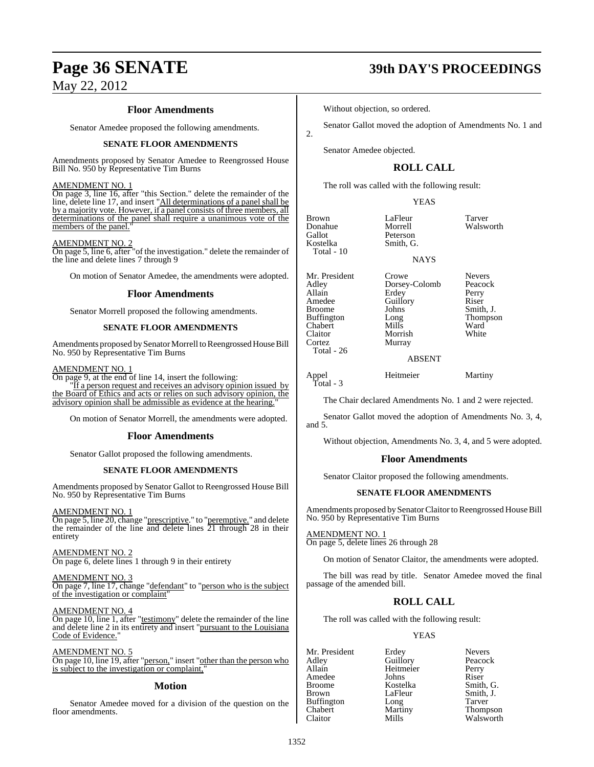#### **Floor Amendments**

Senator Amedee proposed the following amendments.

#### **SENATE FLOOR AMENDMENTS**

Amendments proposed by Senator Amedee to Reengrossed House Bill No. 950 by Representative Tim Burns

#### AMENDMENT NO. 1

On page 3, line 16, after "this Section." delete the remainder of the line, delete line 17, and insert "All determinations of a panel shall be by a majority vote. However, if a panel consists of three members, all determinations of the panel shall require a unanimous vote of the members of the panel."

#### AMENDMENT NO. 2

On page 5, line 6, after "of the investigation." delete the remainder of the line and delete lines 7 through 9

On motion of Senator Amedee, the amendments were adopted.

#### **Floor Amendments**

Senator Morrell proposed the following amendments.

#### **SENATE FLOOR AMENDMENTS**

Amendments proposed by Senator Morrell to Reengrossed House Bill No. 950 by Representative Tim Burns

#### AMENDMENT NO. 1

On page 9, at the end of line 14, insert the following:

"If a person request and receives an advisory opinion issued by the Board of Ethics and acts or relies on such advisory opinion, the advisory opinion shall be admissible as evidence at the hearing."

On motion of Senator Morrell, the amendments were adopted.

#### **Floor Amendments**

Senator Gallot proposed the following amendments.

#### **SENATE FLOOR AMENDMENTS**

Amendments proposed by Senator Gallot to Reengrossed House Bill No. 950 by Representative Tim Burns

#### AMENDMENT NO. 1

On page 5, line 20, change "prescriptive." to "peremptive." and delete the remainder of the line and delete lines 21 through 28 in their entirety

#### AMENDMENT NO. 2

On page 6, delete lines 1 through 9 in their entirety

#### AMENDMENT NO. 3

On page 7, line 17, change "defendant" to "person who is the subject of the investigation or complaint"

#### AMENDMENT NO. 4

On page 10, line 1, after "testimony" delete the remainder of the line and delete line 2 in its entirety and insert "pursuant to the Louisiana Code of Evidence.

AMENDMENT NO. 5 On page 10, line 19, after "person," insert "other than the person who is subject to the investigation or complaint,

#### **Motion**

Senator Amedee moved for a division of the question on the floor amendments.

## **Page 36 SENATE 39th DAY'S PROCEEDINGS**

Without objection, so ordered.

Senator Gallot moved the adoption of Amendments No. 1 and 2.

Senator Amedee objected.

### **ROLL CALL**

The roll was called with the following result:

#### YEAS

Brown 12 LaFleur Tarver<br>1991 - Donahue Morrell 1991 - Walsworth Donahue<br>Gallot Total - 10

Gallot Peterson<br>Kostelka Smith, G Smith, G.

NAYS

Mr. President Crowe Nevers<br>Adley Dorsey-Colomb Peacock Allain **Erdey** Perry<br>
Amedee Guillory Riser Amedee Guillory<br>Broome Johns Broome Johns Smith, J.<br>Buffington Long Thompse Chabert Mills Ward<br>Claitor Morrish White Claitor Morrish<br>Cortez Murray Total - 26

Long Thompson<br>Mills Ward

ABSENT

Dorsey-Colomb

Murray

Appel Heitmeier Martiny

Total - 3

The Chair declared Amendments No. 1 and 2 were rejected.

Senator Gallot moved the adoption of Amendments No. 3, 4, and  $5$ .

Without objection, Amendments No. 3, 4, and 5 were adopted.

#### **Floor Amendments**

Senator Claitor proposed the following amendments.

#### **SENATE FLOOR AMENDMENTS**

Amendments proposed by Senator Claitor to Reengrossed House Bill No. 950 by Representative Tim Burns

AMENDMENT NO. 1

On page 5, delete lines 26 through 28

On motion of Senator Claitor, the amendments were adopted.

The bill was read by title. Senator Amedee moved the final passage of the amended bill.

#### **ROLL CALL**

The roll was called with the following result:

Guillory

#### YEAS

Allain Heitmeier Perry Amedee Johns<br>Broome Kostelka Brown LaFleur Smith, J.<br>Buffington Long Tarver Buffington Long<br>Chabert Martiny

Mr. President Erdey Nevers<br>
Adley Guillory Peacock Smith, G. Chabert Martiny Thompson Walsworth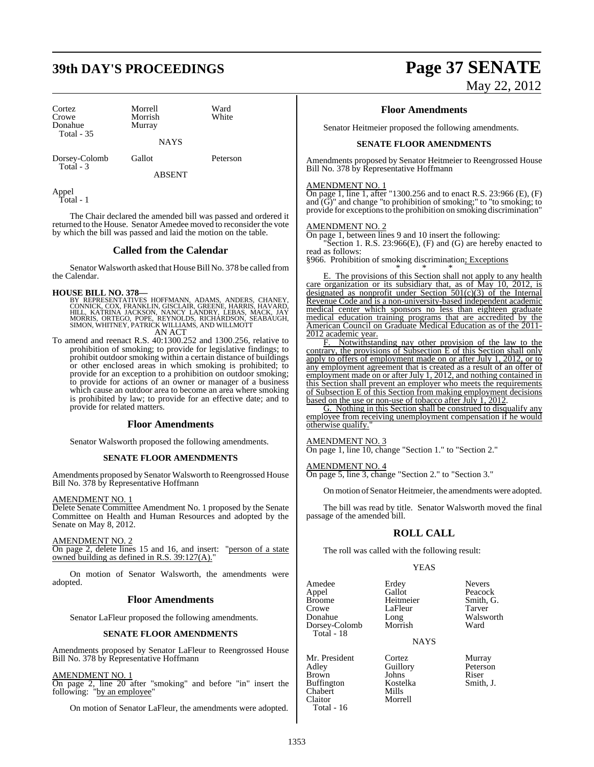## **39th DAY'S PROCEEDINGS Page 37 SENATE**

| Cortez            | Morrell        | Ward  |
|-------------------|----------------|-------|
| Crowe             | Morrish        | White |
| Donahue           | Murray         |       |
| <b>Total - 35</b> |                |       |
|                   | <b>ATA 370</b> |       |

**NAYS** 

Dorsey-Colomb Gallot Peterson Total - 3

ABSENT

White

Appel Total - 1

The Chair declared the amended bill was passed and ordered it returned to the House. Senator Amedee moved to reconsider the vote by which the bill was passed and laid the motion on the table.

### **Called from the Calendar**

Senator Walsworth asked that House Bill No. 378 be called from the Calendar.

**HOUSE BILL NO. 378—**<br>BY REPRESENTATIVES HOFFMANN, ADAMS, ANDERS, CHANEY,<br>CONNICK, COX, FRANKLIN, GISCLAIR, GREENE, HARRIS, HAVARD,<br>HILL, KATRINA JACKSON, NANCY LANDRY, LEBAS, MACK, JAY<br>MORRIS, ORTEGO, POPE, REYNOLDS, RICH AN ACT

To amend and reenact R.S. 40:1300.252 and 1300.256, relative to prohibition of smoking; to provide for legislative findings; to prohibit outdoor smoking within a certain distance of buildings or other enclosed areas in which smoking is prohibited; to provide for an exception to a prohibition on outdoor smoking; to provide for actions of an owner or manager of a business which cause an outdoor area to become an area where smoking is prohibited by law; to provide for an effective date; and to provide for related matters.

#### **Floor Amendments**

Senator Walsworth proposed the following amendments.

#### **SENATE FLOOR AMENDMENTS**

Amendments proposed by Senator Walsworth to Reengrossed House Bill No. 378 by Representative Hoffmann

AMENDMENT NO. 1

Delete Senate Committee Amendment No. 1 proposed by the Senate Committee on Health and Human Resources and adopted by the Senate on May 8, 2012.

AMENDMENT NO. 2 On page 2, delete lines 15 and 16, and insert: "person of a state owned building as defined in R.S. 39:127(A)."

On motion of Senator Walsworth, the amendments were adopted.

#### **Floor Amendments**

Senator LaFleur proposed the following amendments.

#### **SENATE FLOOR AMENDMENTS**

Amendments proposed by Senator LaFleur to Reengrossed House Bill No. 378 by Representative Hoffmann

#### AMENDMENT NO. 1

On page 2, line 20 after "smoking" and before "in" insert the following: "by an employee"

On motion of Senator LaFleur, the amendments were adopted.

# May 22, 2012

#### **Floor Amendments**

Senator Heitmeier proposed the following amendments.

#### **SENATE FLOOR AMENDMENTS**

Amendments proposed by Senator Heitmeier to Reengrossed House Bill No. 378 by Representative Hoffmann

#### AMENDMENT NO. 1

On page 1, line 1, after "1300.256 and to enact R.S. 23:966 (E), (F) and  $(\tilde{G})$ " and change "to prohibition of smoking;" to "to smoking; to provide for exceptionsto the prohibition on smoking discrimination"

#### AMENDMENT NO. 2

On page 1, between lines 9 and 10 insert the following:

"Section 1. R.S. 23:966(E), (F) and (G) are hereby enacted to read as follows:

§966. Prohibition of smoking discrimination; Exceptions

\* \* \* E. The provisions of this Section shall not apply to any health care organization or its subsidiary that, as of May 10, 2012, is designated as nonprofit under Section 501(c)(3) of the Internal Revenue Code and is a non-university-based independent academic medical center which sponsors no less than eighteen graduate medical education training programs that are accredited by the American Council on Graduate Medical Education as of the 2011- 2012 academic year.

Notwithstanding nay other provision of the law to the contrary, the provisions of Subsection E of this Section shall only apply to offers of employment made on or after July 1, 2012, or to any employment agreement that is created as a result of an offer of employment made on or after July 1, 2012, and nothing contained in this Section shall prevent an employer who meets the requirements of Subsection E of this Section from making employment decisions based on the use or non-use of tobacco after July 1, 2012.

G. Nothing in this Section shall be construed to disqualify any employee from receiving unemployment compensation if he would otherwise qualify.

#### AMENDMENT NO. 3

On page 1, line 10, change "Section 1." to "Section 2."

AMENDMENT NO. 4

On page 5, line 3, change "Section 2." to "Section 3."

On motion of Senator Heitmeier, the amendments were adopted.

The bill was read by title. Senator Walsworth moved the final passage of the amended bill.

### **ROLL CALL**

The roll was called with the following result:

#### YEAS

Amedee Erdey Nevers<br>
Appel Gallot Peacoc Appel Gallot Peacock<br>Broome Heitmeier Smith, G. Broome Heitmeier Smith,<br>Crowe LaFleur Tarver Crowe LaFleur<br>Donahue Long Dorsey-Colomb Morrish Ward Total - 18

 $\begin{matrix} \text{Long} \\ \text{Morrish} \\ \text{Ward} \end{matrix}$ 

NAYS

Mr. President Cortez Murray<br>Adley Guillory Peterson Brown Johns Riser<br>Buffington Kostelka Smith. J. Buffington Koste<br>Chabert Mills Morrell

Guillory Peters<br>Johns Riser

Chabert<br>Claitor

Total - 16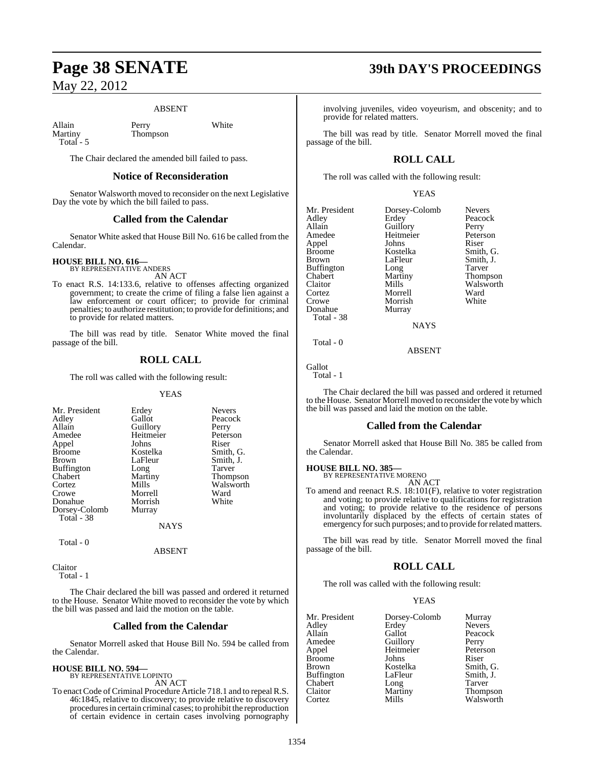#### ABSENT

Allain Perry White<br>
Martiny Thompson Total - 5

Thompson

The Chair declared the amended bill failed to pass.

#### **Notice of Reconsideration**

Senator Walsworth moved to reconsider on the next Legislative Day the vote by which the bill failed to pass.

### **Called from the Calendar**

Senator White asked that House Bill No. 616 be called from the Calendar.

### **HOUSE BILL NO. 616—** BY REPRESENTATIVE ANDERS

to provide for related matters.

AN ACT To enact R.S. 14:133.6, relative to offenses affecting organized government; to create the crime of filing a false lien against a law enforcement or court officer; to provide for criminal penalties; to authorize restitution; to provide for definitions; and

The bill was read by title. Senator White moved the final passage of the bill.

### **ROLL CALL**

The roll was called with the following result:

#### YEAS

| Mr. President     | Erdey     | <b>Nevers</b>   |
|-------------------|-----------|-----------------|
| Adley             | Gallot    | Peacock         |
| Allain            | Guillory  | Perry           |
| Amedee            | Heitmeier | Peterson        |
| Appel             | Johns     | Riser           |
| <b>Broome</b>     | Kostelka  | Smith, G.       |
| Brown             | LaFleur   | Smith, J.       |
| <b>Buffington</b> | Long      | Tarver          |
| Chabert           | Martiny   | <b>Thompson</b> |
| Cortez            | Mills     | Walsworth       |
| Crowe             | Morrell   | Ward            |
| Donahue           | Morrish   | White           |
| Dorsey-Colomb     | Murray    |                 |
| Total - 38        |           |                 |
|                   | NAYS      |                 |

Total - 0

ABSENT

Claitor Total - 1

The Chair declared the bill was passed and ordered it returned to the House. Senator White moved to reconsider the vote by which the bill was passed and laid the motion on the table.

#### **Called from the Calendar**

Senator Morrell asked that House Bill No. 594 be called from the Calendar.

# **HOUSE BILL NO. 594—** BY REPRESENTATIVE LOPINTO

AN ACT

To enact Code of Criminal Procedure Article 718.1 and to repeal R.S. 46:1845, relative to discovery; to provide relative to discovery procedures in certain criminal cases; to prohibit the reproduction of certain evidence in certain cases involving pornography

## **Page 38 SENATE 39th DAY'S PROCEEDINGS**

involving juveniles, video voyeurism, and obscenity; and to provide for related matters.

The bill was read by title. Senator Morrell moved the final passage of the bill.

### **ROLL CALL**

The roll was called with the following result:

YEAS

| Mr. President<br>Adley<br>Allain<br>Amedee<br>Appel<br><b>Broome</b><br><b>Brown</b><br><b>Buffington</b><br>Chabert<br>Claitor<br>Cortez<br>Crowe | Dorsey-Colomb<br>Erdey<br>Guillory<br>Heitmeier<br>Johns<br>Kostelka<br>LaFleur<br>Long<br>Martiny<br>Mills<br>Morrell<br>Morrish | <b>Nevers</b><br>Peacock<br>Perry<br>Peterson<br>Riser<br>Smith, G.<br>Smith, J.<br><b>Tarver</b><br>Thompson<br>Walsworth<br>Ward<br>White |
|----------------------------------------------------------------------------------------------------------------------------------------------------|-----------------------------------------------------------------------------------------------------------------------------------|---------------------------------------------------------------------------------------------------------------------------------------------|
|                                                                                                                                                    |                                                                                                                                   |                                                                                                                                             |
| Donahue<br>Total - 38                                                                                                                              | Murray                                                                                                                            |                                                                                                                                             |
|                                                                                                                                                    | <b>NAYS</b>                                                                                                                       |                                                                                                                                             |

Total - 0

Gallot Total - 1

The Chair declared the bill was passed and ordered it returned to the House. Senator Morrell moved to reconsider the vote by which the bill was passed and laid the motion on the table.

ABSENT

#### **Called from the Calendar**

Senator Morrell asked that House Bill No. 385 be called from the Calendar.

**HOUSE BILL NO. 385—** BY REPRESENTATIVE MORENO

### AN ACT

To amend and reenact R.S. 18:101(F), relative to voter registration and voting; to provide relative to qualifications for registration and voting; to provide relative to the residence of persons involuntarily displaced by the effects of certain states of emergency for such purposes; and to provide for related matters.

The bill was read by title. Senator Morrell moved the final passage of the bill.

### **ROLL CALL**

The roll was called with the following result:

#### YEAS

| Mr. President | Dorsey-Colomb | Murray          |
|---------------|---------------|-----------------|
| Adley         | Erdey         | <b>Nevers</b>   |
| Allain        | Gallot        | Peacock         |
| Amedee        | Guillory      | Perry           |
| Appel         | Heitmeier     | Peterson        |
| <b>Broome</b> | Johns         | Riser           |
| Brown         | Kostelka      | Smith, G.       |
| Buffington    | LaFleur       | Smith, J.       |
| Chabert       | Long          | Tarver          |
| Claitor       | Martiny       | <b>Thompson</b> |
| Cortez        | Mills         | Walsworth       |
|               |               |                 |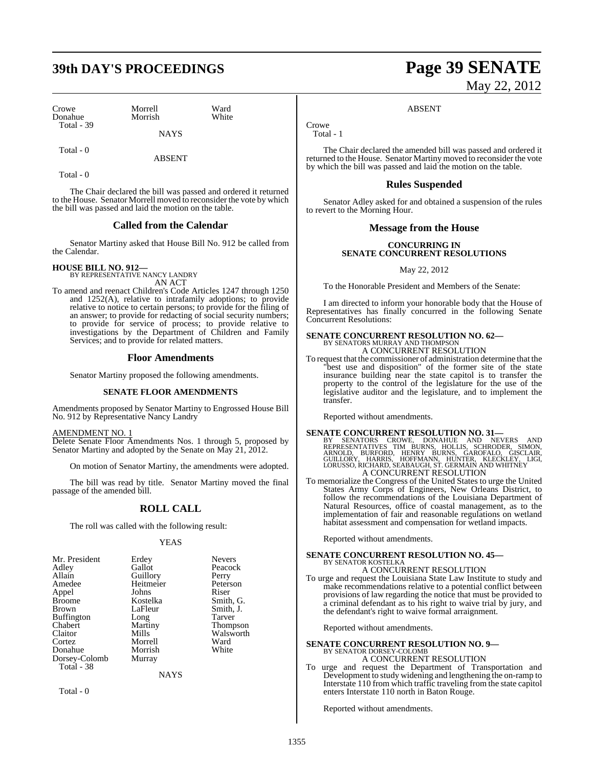## **39th DAY'S PROCEEDINGS Page 39 SENATE**

Crowe Morrell Ward<br>
Morrish White<br>
Morrish White Donahue Total - 39

Total - 0

ABSENT

**NAYS** 

Total - 0

The Chair declared the bill was passed and ordered it returned to the House. Senator Morrell moved to reconsider the vote by which the bill was passed and laid the motion on the table.

#### **Called from the Calendar**

Senator Martiny asked that House Bill No. 912 be called from the Calendar.

**HOUSE BILL NO. 912—** BY REPRESENTATIVE NANCY LANDRY

AN ACT To amend and reenact Children's Code Articles 1247 through 1250 and 1252(A), relative to intrafamily adoptions; to provide relative to notice to certain persons; to provide for the filing of an answer; to provide for redacting of social security numbers; to provide for service of process; to provide relative to investigations by the Department of Children and Family

Services; and to provide for related matters.

#### **Floor Amendments**

Senator Martiny proposed the following amendments.

#### **SENATE FLOOR AMENDMENTS**

Amendments proposed by Senator Martiny to Engrossed House Bill No. 912 by Representative Nancy Landry

#### AMENDMENT NO. 1

Delete Senate Floor Amendments Nos. 1 through 5, proposed by Senator Martiny and adopted by the Senate on May 21, 2012.

On motion of Senator Martiny, the amendments were adopted.

The bill was read by title. Senator Martiny moved the final passage of the amended bill.

### **ROLL CALL**

The roll was called with the following result:

#### YEAS

| Mr. President     | Erdey     | <b>Nevers</b>   |
|-------------------|-----------|-----------------|
| Adley             | Gallot    | Peacock         |
| Allain            | Guillory  | Perry           |
| Amedee            | Heitmeier | Peterson        |
| Appel             | Johns     | Riser           |
| <b>Broome</b>     | Kostelka  | Smith, G.       |
| <b>Brown</b>      | LaFleur   | Smith, J.       |
| <b>Buffington</b> | Long      | Tarver          |
| Chabert           | Martiny   | <b>Thompson</b> |
| Claitor           | Mills     | Walsworth       |
| Cortez            | Morrell   | Ward            |
| Donahue           | Morrish   | White           |
| Dorsey-Colomb     | Murray    |                 |
| Total - 38        |           |                 |
|                   | NAYS      |                 |

Total - 0

# May 22, 2012

#### ABSENT

Crowe Total - 1

The Chair declared the amended bill was passed and ordered it returned to the House. Senator Martiny moved to reconsider the vote by which the bill was passed and laid the motion on the table.

#### **Rules Suspended**

Senator Adley asked for and obtained a suspension of the rules to revert to the Morning Hour.

#### **Message from the House**

#### **CONCURRING IN SENATE CONCURRENT RESOLUTIONS**

May 22, 2012

To the Honorable President and Members of the Senate:

I am directed to inform your honorable body that the House of Representatives has finally concurred in the following Senate Concurrent Resolutions:

# **SENATE CONCURRENT RESOLUTION NO. 62—** BY SENATORS MURRAY AND THOMPSON

A CONCURRENT RESOLUTION

To request that the commissioner of administration determine that the "best use and disposition" of the former site of the state insurance building near the state capitol is to transfer the property to the control of the legislature for the use of the legislative auditor and the legislature, and to implement the transfer.

Reported without amendments.

 $\begin{tabular}{l|c|c|c} \textbf{SENATE CONCURRENT RESOLUTION NO. 31}\footnotesize\textbf{B0} & \textbf{B0} & \textbf{S1} & \textbf{S0} & \textbf{N0} & \textbf{S1} & \textbf{S0} & \textbf{N0} & \textbf{N0} & \textbf{N0} & \textbf{N0} & \textbf{N0} & \textbf{N0} & \textbf{N0} & \textbf{N0} & \textbf{N0} & \textbf{N0} & \textbf{N0} & \textbf{N0} & \textbf{N0} & \textbf{N0} & \textbf{N0} & \textbf{N0} &$ 

To memorialize the Congress of the United States to urge the United States Army Corps of Engineers, New Orleans District, to follow the recommendations of the Louisiana Department of Natural Resources, office of coastal management, as to the implementation of fair and reasonable regulations on wetland habitat assessment and compensation for wetland impacts.

Reported without amendments.

### **SENATE CONCURRENT RESOLUTION NO. 45—** BY SENATOR KOSTELKA A CONCURRENT RESOLUTION

To urge and request the Louisiana State Law Institute to study and make recommendations relative to a potential conflict between provisions of law regarding the notice that must be provided to a criminal defendant as to his right to waive trial by jury, and the defendant's right to waive formal arraignment.

Reported without amendments.

### **SENATE CONCURRENT RESOLUTION NO. 9—** BY SENATOR DORSEY-COLOMB A CONCURRENT RESOLUTION

To urge and request the Department of Transportation and Development to study widening and lengthening the on-ramp to Interstate 110 from which traffic traveling from the state capitol enters Interstate 110 north in Baton Rouge.

Reported without amendments.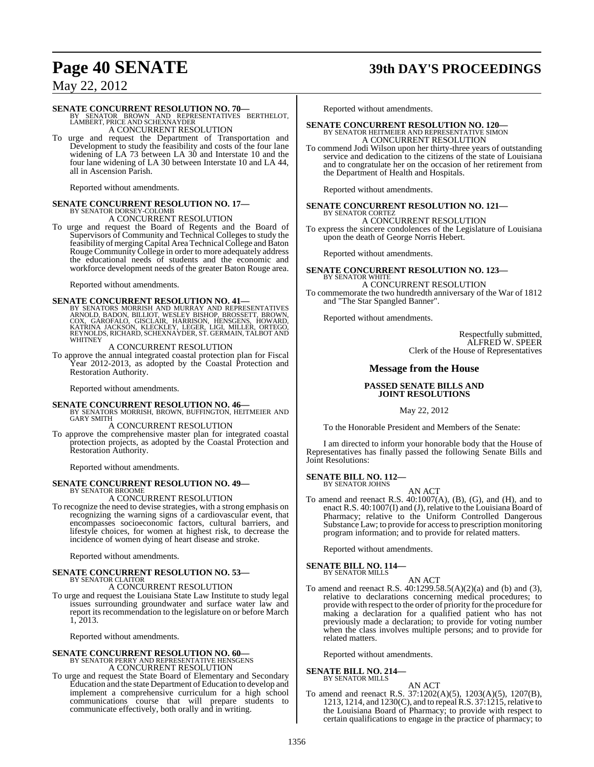## **Page 40 SENATE 39th DAY'S PROCEEDINGS**

May 22, 2012

**SENATE CONCURRENT RESOLUTION NO. 70—**<br>BY SENATOR BROWN AND REPRESENTATIVES BERTHELOT,<br>LAMBERT, PRICE AND SCHEXNAYDER A CONCURRENT RESOLUTION

To urge and request the Department of Transportation and Development to study the feasibility and costs of the four lane widening of LA 73 between LA 30 and Interstate 10 and the four lane widening of LA 30 between Interstate 10 and LA 44, all in Ascension Parish.

Reported without amendments.

# **SENATE CONCURRENT RESOLUTION NO. 17—**<br>BY SENATOR DORSEY-COLOMB<br>A CONCURRENT RESOLUTION

To urge and request the Board of Regents and the Board of Supervisors of Community and Technical Colleges to study the feasibility of merging Capital Area Technical College and Baton Rouge CommunityCollege in order to more adequately address the educational needs of students and the economic and workforce development needs of the greater Baton Rouge area.

Reported without amendments.

#### **SENATE CONCURRENT RESOLUTION NO. 41—**

BY SENATORS MORRISH AND MURRAY AND REPRESENTATIVES<br>ARNOLD, BADON, BILLIOT, WESLEY BISHOP, BROSSETT, BROWN,<br>COX, GAROFALO, GISCLAIR, HARRISON, HENSGENS, HOWARD,<br>KATRINA JACKSON, KLECKLEY, LEGER, LIGI, MILLER, ORTEGO,<br>REYNOL **WHITNEY** 

#### A CONCURRENT RESOLUTION

To approve the annual integrated coastal protection plan for Fiscal Year 2012-2013, as adopted by the Coastal Protection and Restoration Authority.

Reported without amendments.

### **SENATE CONCURRENT RESOLUTION NO. 46—** BY SENATORS MORRISH, BROWN, BUFFINGTON, HEITMEIER AND GARY SMITH

A CONCURRENT RESOLUTION

To approve the comprehensive master plan for integrated coastal protection projects, as adopted by the Coastal Protection and Restoration Authority.

Reported without amendments.

### **SENATE CONCURRENT RESOLUTION NO. 49—** BY SENATOR BROOME

A CONCURRENT RESOLUTION

To recognize the need to devise strategies, with a strong emphasis on recognizing the warning signs of a cardiovascular event, that encompasses socioeconomic factors, cultural barriers, and lifestyle choices, for women at highest risk, to decrease the incidence of women dying of heart disease and stroke.

Reported without amendments.

#### **SENATE CONCURRENT RESOLUTION NO. 53—** BY SENATOR CLAITOR

A CONCURRENT RESOLUTION

To urge and request the Louisiana State Law Institute to study legal issues surrounding groundwater and surface water law and report its recommendation to the legislature on or before March 1, 2013.

Reported without amendments.

# **SENATE CONCURRENT RESOLUTION NO. 60—**<br>BY SENATOR PERRY AND REPRESENTATIVE HENSGENS A CONCURRENT RESOLUTION

To urge and request the State Board of Elementary and Secondary Education and the state Department of Education to develop and implement a comprehensive curriculum for a high school communications course that will prepare students to communicate effectively, both orally and in writing.

Reported without amendments.

- **SENATE CONCURRENT RESOLUTION NO. 120—** BY SENATOR HEITMEIER AND REPRESENTATIVE SIMON A CONCURRENT RESOLUTION
- To commend Jodi Wilson upon her thirty-three years of outstanding service and dedication to the citizens of the state of Louisiana and to congratulate her on the occasion of her retirement from the Department of Health and Hospitals.

Reported without amendments.

### **SENATE CONCURRENT RESOLUTION NO. 121—**

BY SENATOR CORTEZ A CONCURRENT RESOLUTION

To express the sincere condolences of the Legislature of Louisiana upon the death of George Norris Hebert.

Reported without amendments.

#### **SENATE CONCURRENT RESOLUTION NO. 123—** BY SENATOR WHITE

A CONCURRENT RESOLUTION To commemorate the two hundredth anniversary of the War of 1812 and "The Star Spangled Banner".

Reported without amendments.

Respectfully submitted, ALFRED W. SPEER Clerk of the House of Representatives

#### **Message from the House**

#### **PASSED SENATE BILLS AND JOINT RESOLUTIONS**

May 22, 2012

To the Honorable President and Members of the Senate:

I am directed to inform your honorable body that the House of Representatives has finally passed the following Senate Bills and Joint Resolutions:

#### **SENATE BILL NO. 112—** BY SENATOR JOHNS

AN ACT

To amend and reenact R.S. 40:1007(A), (B), (G), and (H), and to enact R.S. 40:1007(I) and (J), relative to the Louisiana Board of Pharmacy; relative to the Uniform Controlled Dangerous Substance Law; to provide for accessto prescription monitoring program information; and to provide for related matters.

Reported without amendments.

**SENATE BILL NO. 114—** BY SENATOR MILLS

AN ACT

To amend and reenact R.S.  $40:1299.58.5(A)(2)(a)$  and (b) and (3), relative to declarations concerning medical procedures; to provide with respect to the order of priority for the procedure for making a declaration for a qualified patient who has not previously made a declaration; to provide for voting number when the class involves multiple persons; and to provide for related matters.

Reported without amendments.

### **SENATE BILL NO. 214—** BY SENATOR MILLS

### AN ACT

To amend and reenact R.S. 37:1202(A)(5), 1203(A)(5), 1207(B), 1213, 1214, and 1230(C), and to repealR.S. 37:1215, relative to the Louisiana Board of Pharmacy; to provide with respect to certain qualifications to engage in the practice of pharmacy; to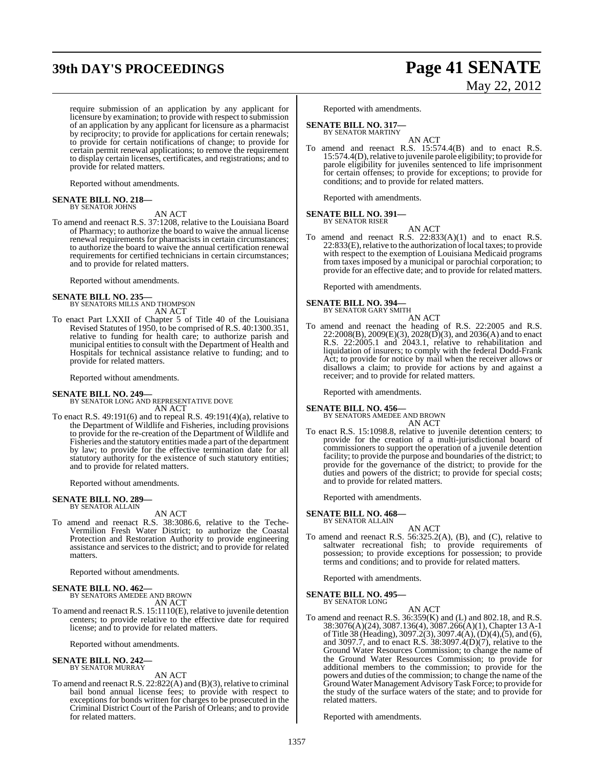# **39th DAY'S PROCEEDINGS Page 41 SENATE**

require submission of an application by any applicant for licensure by examination; to provide with respect to submission of an application by any applicant for licensure as a pharmacist by reciprocity; to provide for applications for certain renewals; to provide for certain notifications of change; to provide for certain permit renewal applications; to remove the requirement to display certain licenses, certificates, and registrations; and to provide for related matters.

Reported without amendments.

## **SENATE BILL NO. 218—** BY SENATOR JOHNS

AN ACT

To amend and reenact R.S. 37:1208, relative to the Louisiana Board of Pharmacy; to authorize the board to waive the annual license renewal requirements for pharmacists in certain circumstances; to authorize the board to waive the annual certification renewal requirements for certified technicians in certain circumstances; and to provide for related matters.

Reported without amendments.

#### **SENATE BILL NO. 235—**

BY SENATORS MILLS AND THOMPSON AN ACT

To enact Part LXXII of Chapter 5 of Title 40 of the Louisiana Revised Statutes of 1950, to be comprised of R.S. 40:1300.351, relative to funding for health care; to authorize parish and municipal entities to consult with the Department of Health and Hospitals for technical assistance relative to funding; and to provide for related matters.

Reported without amendments.

#### **SENATE BILL NO. 249—**

BY SENATOR LONG AND REPRESENTATIVE DOVE AN ACT

To enact R.S. 49:191(6) and to repeal R.S. 49:191(4)(a), relative to the Department of Wildlife and Fisheries, including provisions to provide for the re-creation of the Department of Wildlife and Fisheries and the statutory entities made a part of the department by law; to provide for the effective termination date for all statutory authority for the existence of such statutory entities; and to provide for related matters.

Reported without amendments.

### **SENATE BILL NO. 289—** BY SENATOR ALLAIN

AN ACT

To amend and reenact R.S. 38:3086.6, relative to the Teche-Vermilion Fresh Water District; to authorize the Coastal Protection and Restoration Authority to provide engineering assistance and services to the district; and to provide for related matters.

Reported without amendments.

**SENATE BILL NO. 462—** BY SENATORS AMEDEE AND BROWN

AN ACT

To amend and reenact R.S. 15:1110(E), relative to juvenile detention centers; to provide relative to the effective date for required license; and to provide for related matters.

Reported without amendments.

# **SENATE BILL NO. 242—** BY SENATOR MURRAY

#### AN ACT

To amend and reenact R.S. 22:822(A) and (B)(3), relative to criminal bail bond annual license fees; to provide with respect to exceptions for bonds written for charges to be prosecuted in the Criminal District Court of the Parish of Orleans; and to provide for related matters.

# May 22, 2012

Reported with amendments.

#### **SENATE BILL NO. 317—**

BY SENATOR MARTINY AN ACT

To amend and reenact R.S. 15:574.4(B) and to enact R.S. 15:574.4(D), relative to juvenile parole eligibility; to provide for parole eligibility for juveniles sentenced to life imprisonment for certain offenses; to provide for exceptions; to provide for conditions; and to provide for related matters.

Reported with amendments.

#### **SENATE BILL NO. 391—** BY SENATOR RISER

- AN ACT
- To amend and reenact R.S. 22:833(A)(1) and to enact R.S.  $22:833(E)$ , relative to the authorization of local taxes; to provide with respect to the exemption of Louisiana Medicaid programs from taxes imposed by a municipal or parochial corporation; to provide for an effective date; and to provide for related matters.

Reported with amendments.

### **SENATE BILL NO. 394—** BY SENATOR GARY SMITH

AN ACT

To amend and reenact the heading of R.S. 22:2005 and R.S.  $22:2008(B), 2009(E)(3), 2028(D)(3),$  and  $2036(A)$  and to enact R.S. 22:2005.1 and 2043.1, relative to rehabilitation and liquidation of insurers; to comply with the federal Dodd-Frank Act; to provide for notice by mail when the receiver allows or disallows a claim; to provide for actions by and against a receiver; and to provide for related matters.

Reported with amendments.

#### **SENATE BILL NO. 456—**

BY SENATORS AMEDEE AND BROWN AN ACT

To enact R.S. 15:1098.8, relative to juvenile detention centers; to provide for the creation of a multi-jurisdictional board of commissioners to support the operation of a juvenile detention facility; to provide the purpose and boundaries of the district; to provide for the governance of the district; to provide for the duties and powers of the district; to provide for special costs; and to provide for related matters.

Reported with amendments.

**SENATE BILL NO. 468—**

BY SENATOR ALLAIN

AN ACT To amend and reenact R.S. 56:325.2(A), (B), and (C), relative to saltwater recreational fish; to provide requirements of possession; to provide exceptions for possession; to provide terms and conditions; and to provide for related matters.

Reported with amendments.

**SENATE BILL NO. 495—**

BY SENATOR LONG

#### AN ACT

To amend and reenact R.S. 36:359(K) and (L) and 802.18, and R.S. 38:3076(A)(24), 3087.136(4), 3087.266(A)(1), Chapter 13 A-1 ofTitle 38 (Heading), 3097.2(3), 3097.4(A),(D)(4),(5), and (6), and 3097.7, and to enact R.S. 38:3097.4(D)(7), relative to the Ground Water Resources Commission; to change the name of the Ground Water Resources Commission; to provide for additional members to the commission; to provide for the powers and duties of the commission; to change the name of the GroundWaterManagement AdvisoryTask Force; to provide for the study of the surface waters of the state; and to provide for related matters.

Reported with amendments.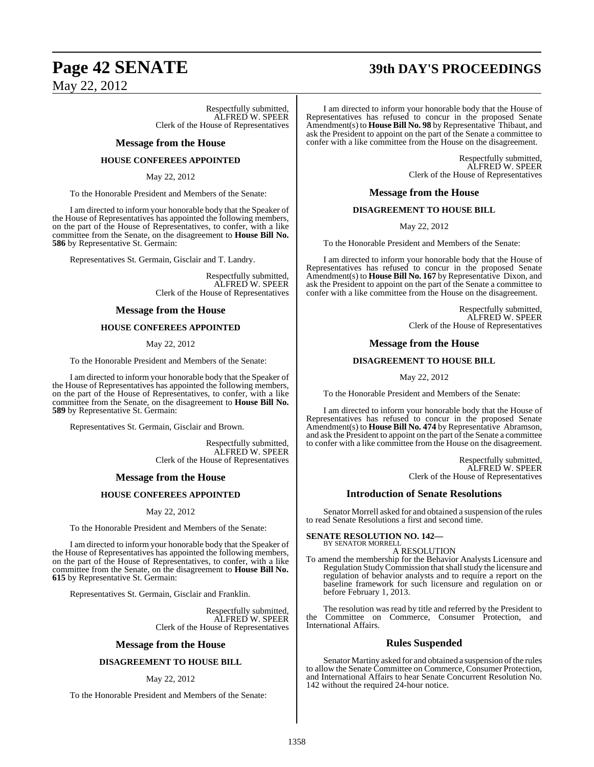## **Page 42 SENATE 39th DAY'S PROCEEDINGS**

May 22, 2012

Respectfully submitted, ALFRED W. SPEER Clerk of the House of Representatives

#### **Message from the House**

#### **HOUSE CONFEREES APPOINTED**

#### May 22, 2012

To the Honorable President and Members of the Senate:

I am directed to inform your honorable body that the Speaker of the House of Representatives has appointed the following members, on the part of the House of Representatives, to confer, with a like committee from the Senate, on the disagreement to **House Bill No. 586** by Representative St. Germain:

Representatives St. Germain, Gisclair and T. Landry.

Respectfully submitted, ALFRED W. SPEER Clerk of the House of Representatives

#### **Message from the House**

#### **HOUSE CONFEREES APPOINTED**

#### May 22, 2012

To the Honorable President and Members of the Senate:

I am directed to inform your honorable body that the Speaker of the House of Representatives has appointed the following members, on the part of the House of Representatives, to confer, with a like committee from the Senate, on the disagreement to **House Bill No. 589** by Representative St. Germain:

Representatives St. Germain, Gisclair and Brown.

Respectfully submitted, ALFRED W. SPEER Clerk of the House of Representatives

#### **Message from the House**

#### **HOUSE CONFEREES APPOINTED**

#### May 22, 2012

To the Honorable President and Members of the Senate:

I am directed to inform your honorable body that the Speaker of the House of Representatives has appointed the following members, on the part of the House of Representatives, to confer, with a like committee from the Senate, on the disagreement to **House Bill No. 615** by Representative St. Germain:

Representatives St. Germain, Gisclair and Franklin.

Respectfully submitted, ALFRED W. SPEER Clerk of the House of Representatives

#### **Message from the House**

#### **DISAGREEMENT TO HOUSE BILL**

#### May 22, 2012

To the Honorable President and Members of the Senate:

I am directed to inform your honorable body that the House of Representatives has refused to concur in the proposed Senate Amendment(s) to **House Bill No. 98** byRepresentative Thibaut, and ask the President to appoint on the part of the Senate a committee to confer with a like committee from the House on the disagreement.

> Respectfully submitted, ALFRED W. SPEER Clerk of the House of Representatives

#### **Message from the House**

#### **DISAGREEMENT TO HOUSE BILL**

May 22, 2012

To the Honorable President and Members of the Senate:

I am directed to inform your honorable body that the House of Representatives has refused to concur in the proposed Senate Amendment(s) to **House Bill No. 167** by Representative Dixon, and ask the President to appoint on the part of the Senate a committee to confer with a like committee from the House on the disagreement.

> Respectfully submitted, ALFRED W. SPEER Clerk of the House of Representatives

#### **Message from the House**

#### **DISAGREEMENT TO HOUSE BILL**

May 22, 2012

To the Honorable President and Members of the Senate:

I am directed to inform your honorable body that the House of Representatives has refused to concur in the proposed Senate Amendment(s) to **House Bill No. 474** by Representative Abramson, and ask the President to appoint on the part of the Senate a committee to confer with a like committee from the House on the disagreement.

> Respectfully submitted, ALFRED W. SPEER Clerk of the House of Representatives

#### **Introduction of Senate Resolutions**

Senator Morrell asked for and obtained a suspension of the rules to read Senate Resolutions a first and second time.

#### **SENATE RESOLUTION NO. 142—**

BY SENATOR MORRELL A RESOLUTION To amend the membership for the Behavior Analysts Licensure and Regulation Study Commission that shall study the licensure and regulation of behavior analysts and to require a report on the baseline framework for such licensure and regulation on or before February 1, 2013.

The resolution was read by title and referred by the President to the Committee on Commerce, Consumer Protection, and International Affairs.

#### **Rules Suspended**

Senator Martiny asked for and obtained a suspension of the rules to allow the Senate Committee on Commerce, Consumer Protection, and International Affairs to hear Senate Concurrent Resolution No. 142 without the required 24-hour notice.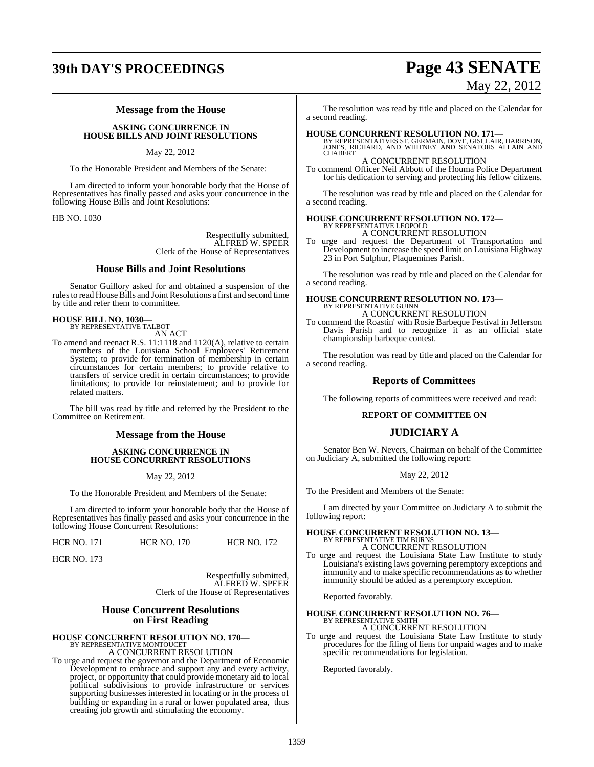#### **Message from the House**

**ASKING CONCURRENCE IN HOUSE BILLS AND JOINT RESOLUTIONS**

May 22, 2012

To the Honorable President and Members of the Senate:

I am directed to inform your honorable body that the House of Representatives has finally passed and asks your concurrence in the following House Bills and Joint Resolutions:

HB NO. 1030

Respectfully submitted, ALFRED W. SPEER Clerk of the House of Representatives

### **House Bills and Joint Resolutions**

Senator Guillory asked for and obtained a suspension of the rules to read House Bills and Joint Resolutions a first and second time by title and refer them to committee.

### **HOUSE BILL NO. 1030—**

BY REPRESENTATIVE TALBOT AN ACT

To amend and reenact R.S. 11:1118 and 1120(A), relative to certain members of the Louisiana School Employees' Retirement System; to provide for termination of membership in certain circumstances for certain members; to provide relative to transfers of service credit in certain circumstances; to provide limitations; to provide for reinstatement; and to provide for related matters.

The bill was read by title and referred by the President to the Committee on Retirement.

#### **Message from the House**

#### **ASKING CONCURRENCE IN HOUSE CONCURRENT RESOLUTIONS**

May 22, 2012

To the Honorable President and Members of the Senate:

I am directed to inform your honorable body that the House of Representatives has finally passed and asks your concurrence in the following House Concurrent Resolutions:

| <b>HCR NO. 171</b> | <b>HCR NO. 170</b> | <b>HCR NO. 172</b> |
|--------------------|--------------------|--------------------|
|                    |                    |                    |

HCR NO. 173

Respectfully submitted, ALFRED W. SPEER Clerk of the House of Representatives

#### **House Concurrent Resolutions on First Reading**

### **HOUSE CONCURRENT RESOLUTION NO. 170—** BY REPRESENTATIVE MONTOUCET

A CONCURRENT RESOLUTION

To urge and request the governor and the Department of Economic Development to embrace and support any and every activity, project, or opportunity that could provide monetary aid to local political subdivisions to provide infrastructure or services supporting businesses interested in locating or in the process of building or expanding in a rural or lower populated area, thus creating job growth and stimulating the economy.

# **39th DAY'S PROCEEDINGS Page 43 SENATE** May 22, 2012

The resolution was read by title and placed on the Calendar for a second reading.

**HOUSE CONCURRENT RESOLUTION NO. 171—** BY REPRESENTATIVES ST. GERMAIN, DOVE, GISCLAIR, HARRISON, JONES, RICHARD, AND WHITNEY AND SENATORS ALLAIN AND CHABERT

A CONCURRENT RESOLUTION

To commend Officer Neil Abbott of the Houma Police Department for his dedication to serving and protecting his fellow citizens.

The resolution was read by title and placed on the Calendar for a second reading.

# **HOUSE CONCURRENT RESOLUTION NO. 172—** BY REPRESENTATIVE LEOPOLD

A CONCURRENT RESOLUTION

To urge and request the Department of Transportation and Development to increase the speed limit on Louisiana Highway 23 in Port Sulphur, Plaquemines Parish.

The resolution was read by title and placed on the Calendar for a second reading.

### **HOUSE CONCURRENT RESOLUTION NO. 173—** BY REPRESENTATIVE GUINN A CONCURRENT RESOLUTION

To commend the Roastin' with Rosie Barbeque Festival in Jefferson Davis Parish and to recognize it as an official state championship barbeque contest.

The resolution was read by title and placed on the Calendar for a second reading.

### **Reports of Committees**

The following reports of committees were received and read:

#### **REPORT OF COMMITTEE ON**

#### **JUDICIARY A**

Senator Ben W. Nevers, Chairman on behalf of the Committee on Judiciary A, submitted the following report:

May 22, 2012

To the President and Members of the Senate:

I am directed by your Committee on Judiciary A to submit the following report:

### **HOUSE CONCURRENT RESOLUTION NO. 13—** BY REPRESENTATIVE TIM BURNS A CONCURRENT RESOLUTION

To urge and request the Louisiana State Law Institute to study Louisiana's existing laws governing peremptory exceptions and immunity and to make specific recommendations as to whether immunity should be added as a peremptory exception.

Reported favorably.

### **HOUSE CONCURRENT RESOLUTION NO. 76—** BY REPRESENTATIVE SMITH

### A CONCURRENT RESOLUTION

To urge and request the Louisiana State Law Institute to study procedures for the filing of liens for unpaid wages and to make specific recommendations for legislation.

Reported favorably.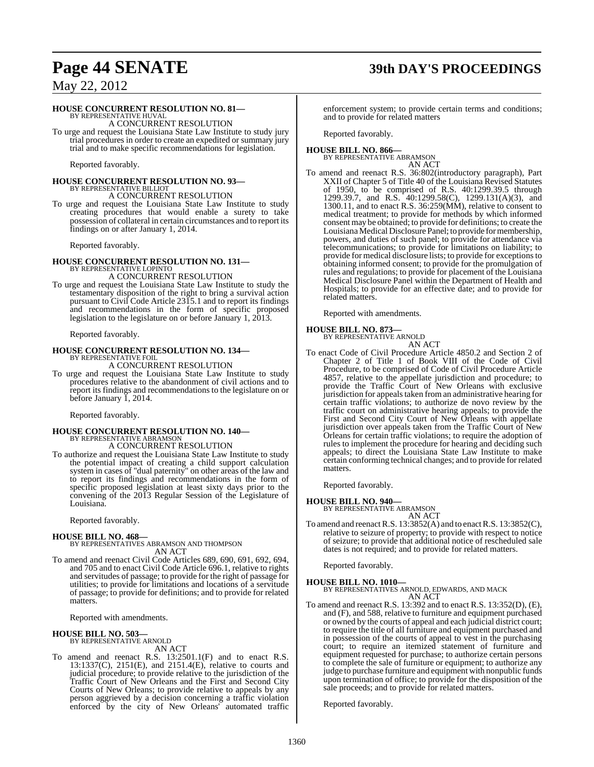# **Page 44 SENATE 39th DAY'S PROCEEDINGS**

### May 22, 2012

#### **HOUSE CONCURRENT RESOLUTION NO. 81—**

BY REPRESENTATIVE HUVAL A CONCURRENT RESOLUTION

To urge and request the Louisiana State Law Institute to study jury trial procedures in order to create an expedited or summary jury trial and to make specific recommendations for legislation.

Reported favorably.

#### **HOUSE CONCURRENT RESOLUTION NO. 93—** BY REPRESENTATIVE BILLIOT A CONCURRENT RESOLUTION

To urge and request the Louisiana State Law Institute to study creating procedures that would enable a surety to take possession of collateral in certain circumstances and to report its findings on or after January 1, 2014.

Reported favorably.

# **HOUSE CONCURRENT RESOLUTION NO. 131—** BY REPRESENTATIVE LOPINTO

- A CONCURRENT RESOLUTION To urge and request the Louisiana State Law Institute to study the testamentary disposition of the right to bring a survival action
- pursuant to Civil Code Article 2315.1 and to report its findings and recommendations in the form of specific proposed legislation to the legislature on or before January 1, 2013.

Reported favorably.

### **HOUSE CONCURRENT RESOLUTION NO. 134—** BY REPRESENTATIVE FOIL

#### A CONCURRENT RESOLUTION

To urge and request the Louisiana State Law Institute to study procedures relative to the abandonment of civil actions and to report its findings and recommendations to the legislature on or before January 1, 2014.

Reported favorably.

### **HOUSE CONCURRENT RESOLUTION NO. 140—** BY REPRESENTATIVE ABRAMSON A CONCURRENT RESOLUTION

To authorize and request the Louisiana State Law Institute to study the potential impact of creating a child support calculation system in cases of "dual paternity" on other areas of the law and to report its findings and recommendations in the form of specific proposed legislation at least sixty days prior to the convening of the 2013 Regular Session of the Legislature of Louisiana.

Reported favorably.

#### **HOUSE BILL NO. 468—**

BY REPRESENTATIVES ABRAMSON AND THOMPSON AN ACT

To amend and reenact Civil Code Articles 689, 690, 691, 692, 694, and 705 and to enact Civil Code Article 696.1, relative to rights and servitudes of passage; to provide for the right of passage for utilities; to provide for limitations and locations of a servitude of passage; to provide for definitions; and to provide for related matters.

Reported with amendments.

#### **HOUSE BILL NO. 503—**

BY REPRESENTATIVE ARNOLD AN ACT

To amend and reenact R.S. 13:2501.1(F) and to enact R.S. 13:1337(C), 2151(E), and 2151.4(E), relative to courts and judicial procedure; to provide relative to the jurisdiction of the Traffic Court of New Orleans and the First and Second City Courts of New Orleans; to provide relative to appeals by any person aggrieved by a decision concerning a traffic violation enforced by the city of New Orleans' automated traffic enforcement system; to provide certain terms and conditions; and to provide for related matters

Reported favorably.

#### **HOUSE BILL NO. 866—** BY REPRESENTATIVE ABRAMSON

AN ACT

To amend and reenact R.S. 36:802(introductory paragraph), Part XXII of Chapter 5 of Title 40 of the Louisiana Revised Statutes of 1950, to be comprised of R.S. 40:1299.39.5 through 1299.39.7, and R.S. 40:1299.58(C), 1299.131(A)(3), and 1300.11, and to enact R.S. 36:259(MM), relative to consent to medical treatment; to provide for methods by which informed consent may be obtained; to provide for definitions; to create the Louisiana Medical Disclosure Panel; to provide for membership, powers, and duties of such panel; to provide for attendance via telecommunications; to provide for limitations on liability; to provide for medical disclosure lists; to provide for exceptionsto obtaining informed consent; to provide for the promulgation of rules and regulations; to provide for placement of the Louisiana Medical Disclosure Panel within the Department of Health and Hospitals; to provide for an effective date; and to provide for related matters.

Reported with amendments.

#### **HOUSE BILL NO. 873—**

BY REPRESENTATIVE ARNOLD AN ACT

To enact Code of Civil Procedure Article 4850.2 and Section 2 of Chapter 2 of Title 1 of Book VIII of the Code of Civil Procedure, to be comprised of Code of Civil Procedure Article 4857, relative to the appellate jurisdiction and procedure; to provide the Traffic Court of New Orleans with exclusive jurisdiction for appeals taken from an administrative hearing for certain traffic violations; to authorize de novo review by the traffic court on administrative hearing appeals; to provide the First and Second City Court of New Orleans with appellate jurisdiction over appeals taken from the Traffic Court of New Orleans for certain traffic violations; to require the adoption of rules to implement the procedure for hearing and deciding such appeals; to direct the Louisiana State Law Institute to make certain conforming technical changes; and to provide for related matters.

Reported favorably.

### **HOUSE BILL NO. 940—** BY REPRESENTATIVE ABRAMSON

AN ACT

To amend and reenactR.S. 13:3852(A) and to enactR.S. 13:3852(C), relative to seizure of property; to provide with respect to notice of seizure; to provide that additional notice of rescheduled sale dates is not required; and to provide for related matters.

Reported favorably.

#### **HOUSE BILL NO. 1010—**

BY REPRESENTATIVES ARNOLD, EDWARDS, AND MACK AN ACT

To amend and reenact R.S. 13:392 and to enact R.S. 13:352(D), (E), and (F), and 588, relative to furniture and equipment purchased or owned by the courts of appeal and each judicial district court; to require the title of all furniture and equipment purchased and in possession of the courts of appeal to vest in the purchasing court; to require an itemized statement of furniture and equipment requested for purchase; to authorize certain persons to complete the sale of furniture or equipment; to authorize any judge to purchase furniture and equipment with nonpublic funds upon termination of office; to provide for the disposition of the sale proceeds; and to provide for related matters.

Reported favorably.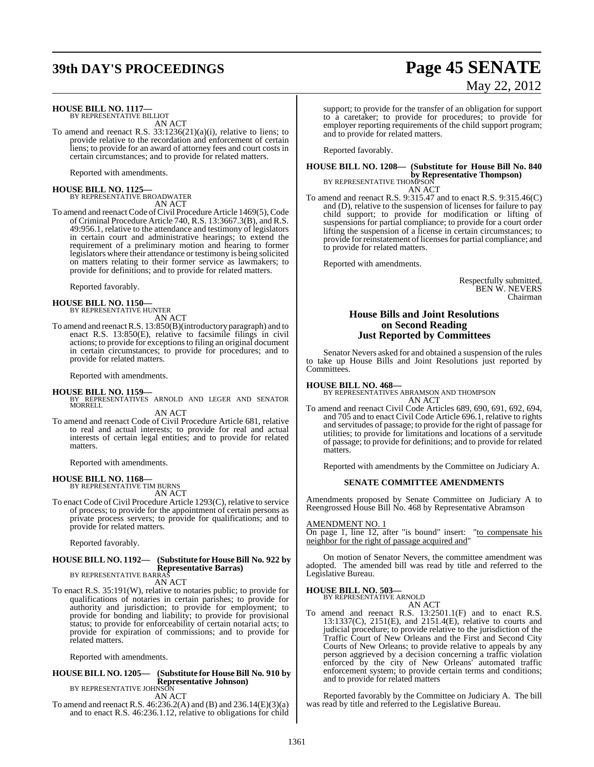# **39th DAY'S PROCEEDINGS Page 45 SENATE**

# May 22, 2012

**HOUSE BILL NO. 1117—** BY REPRESENTATIVE BILLIOT

AN ACT

To amend and reenact R.S. 33:1236(21)(a)(i), relative to liens; to provide relative to the recordation and enforcement of certain liens; to provide for an award of attorney fees and court costs in certain circumstances; and to provide for related matters.

Reported with amendments.

**HOUSE BILL NO. 1125—** BY REPRESENTATIVE BROADWATER

AN ACT

To amend and reenact Code of Civil Procedure Article 1469(5), Code of Criminal Procedure Article 740, R.S. 13:3667.3(B), and R.S. 49:956.1, relative to the attendance and testimony of legislators in certain court and administrative hearings; to extend the requirement of a preliminary motion and hearing to former legislators where their attendance or testimony is being solicited on matters relating to their former service as lawmakers; to provide for definitions; and to provide for related matters.

Reported favorably.

**HOUSE BILL NO. 1150—** BY REPRESENTATIVE HUNTER

AN ACT

To amend and reenactR.S. 13:850(B)(introductory paragraph) and to enact R.S. 13:850(E), relative to facsimile filings in civil actions; to provide for exceptionsto filing an original document in certain circumstances; to provide for procedures; and to provide for related matters.

Reported with amendments.

**HOUSE BILL NO. 1159—** BY REPRESENTATIVES ARNOLD AND LEGER AND SENATOR MORRELL

AN ACT

To amend and reenact Code of Civil Procedure Article 681, relative to real and actual interests; to provide for real and actual interests of certain legal entities; and to provide for related matters.

Reported with amendments.

**HOUSE BILL NO. 1168—** BY REPRESENTATIVE TIM BURNS

AN ACT

To enact Code of Civil Procedure Article 1293(C), relative to service of process; to provide for the appointment of certain persons as private process servers; to provide for qualifications; and to provide for related matters.

Reported favorably.

### **HOUSE BILL NO. 1192— (Substitute for House Bill No. 922 by Representative Barras)** BY REPRESENTATIVE BARRAS

AN ACT

To enact R.S. 35:191(W), relative to notaries public; to provide for qualifications of notaries in certain parishes; to provide for authority and jurisdiction; to provide for employment; to provide for bonding and liability; to provide for provisional status; to provide for enforceability of certain notarial acts; to provide for expiration of commissions; and to provide for related matters.

Reported with amendments.

#### **HOUSE BILL NO. 1205— (Substitute for HouseBill No. 910 by Representative Johnson)** BY REPRESENTATIVE JOHNSON

AN ACT

To amend and reenact R.S. 46:236.2(A) and (B) and 236.14(E)(3)(a) and to enact R.S. 46:236.1.12, relative to obligations for child

support; to provide for the transfer of an obligation for support to a caretaker; to provide for procedures; to provide for employer reporting requirements of the child support program; and to provide for related matters.

Reported favorably.

### **HOUSE BILL NO. 1208— (Substitute for House Bill No. 840 by Representative Thompson)**<br>BY REPRESENTATIVE THOMPSON

AN ACT

To amend and reenact R.S. 9:315.47 and to enact R.S. 9:315.46(C) and (D), relative to the suspension of licenses for failure to pay child support; to provide for modification or lifting of suspensions for partial compliance; to provide for a court order lifting the suspension of a license in certain circumstances; to provide for reinstatement of licenses for partial compliance; and to provide for related matters.

Reported with amendments.

Respectfully submitted, BEN W. NEVERS Chairman

#### **House Bills and Joint Resolutions on Second Reading Just Reported by Committees**

Senator Nevers asked for and obtained a suspension of the rules to take up House Bills and Joint Resolutions just reported by Committees.

#### **HOUSE BILL NO. 468—**

BY REPRESENTATIVES ABRAMSON AND THOMPSON AN ACT

To amend and reenact Civil Code Articles 689, 690, 691, 692, 694, and 705 and to enact Civil Code Article 696.1, relative to rights and servitudes of passage; to provide for the right of passage for utilities; to provide for limitations and locations of a servitude of passage; to provide for definitions; and to provide for related matters.

Reported with amendments by the Committee on Judiciary A.

#### **SENATE COMMITTEE AMENDMENTS**

Amendments proposed by Senate Committee on Judiciary A to Reengrossed House Bill No. 468 by Representative Abramson

#### AMENDMENT NO. 1

On page 1, line 12, after "is bound" insert: "to compensate his neighbor for the right of passage acquired and"

On motion of Senator Nevers, the committee amendment was adopted. The amended bill was read by title and referred to the Legislative Bureau.

#### **HOUSE BILL NO. 503—**

BY REPRESENTATIVE ARNOLD AN ACT

To amend and reenact R.S. 13:2501.1(F) and to enact R.S. 13:1337(C), 2151(E), and 2151.4(E), relative to courts and judicial procedure; to provide relative to the jurisdiction of the Traffic Court of New Orleans and the First and Second City Courts of New Orleans; to provide relative to appeals by any person aggrieved by a decision concerning a traffic violation enforced by the city of New Orleans' automated traffic enforcement system; to provide certain terms and conditions; and to provide for related matters

Reported favorably by the Committee on Judiciary A. The bill was read by title and referred to the Legislative Bureau.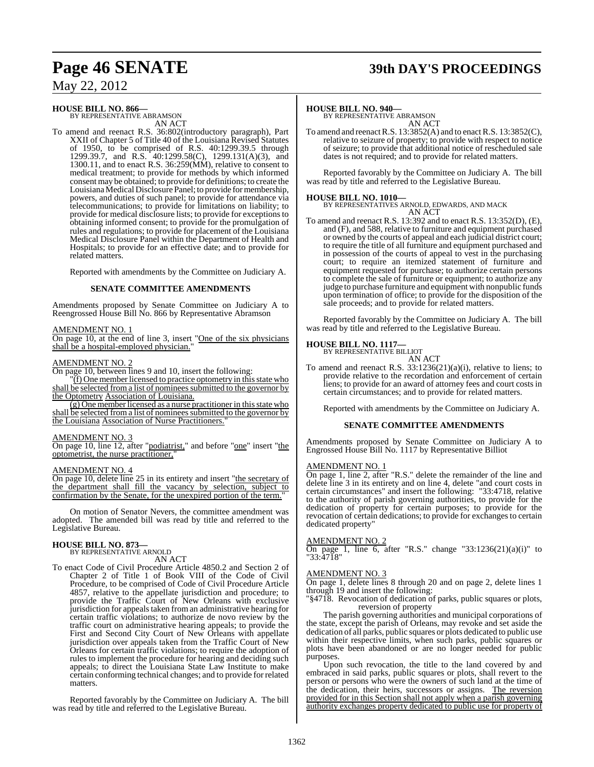## **Page 46 SENATE 39th DAY'S PROCEEDINGS**

### May 22, 2012

#### **HOUSE BILL NO. 866—** BY REPRESENTATIVE ABRAMSON

AN ACT

To amend and reenact R.S. 36:802(introductory paragraph), Part XXII of Chapter 5 of Title 40 of the Louisiana Revised Statutes of 1950, to be comprised of R.S. 40:1299.39.5 through 1299.39.7, and R.S. 40:1299.58(C), 1299.131(A)(3), and 1300.11, and to enact R.S. 36:259(MM), relative to consent to medical treatment; to provide for methods by which informed consent may be obtained; to provide for definitions; to create the LouisianaMedical Disclosure Panel; to provide for membership, powers, and duties of such panel; to provide for attendance via telecommunications; to provide for limitations on liability; to provide for medical disclosure lists; to provide for exceptionsto obtaining informed consent; to provide for the promulgation of rules and regulations; to provide for placement of the Louisiana Medical Disclosure Panel within the Department of Health and Hospitals; to provide for an effective date; and to provide for related matters.

Reported with amendments by the Committee on Judiciary A.

#### **SENATE COMMITTEE AMENDMENTS**

Amendments proposed by Senate Committee on Judiciary A to Reengrossed House Bill No. 866 by Representative Abramson

#### AMENDMENT NO. 1

On page 10, at the end of line 3, insert "One of the six physicians shall be a hospital-employed physician."

#### AMENDMENT NO. 2

On page 10, between lines 9 and 10, insert the following:

 $\overline{f}$ ) One member licensed to practice optometry in this state who shall be selected from a list of nominees submitted to the governor by the Optometry Association of Louisiana.

 $(g)$  One member licensed as a nurse practitioner in this state who shall be selected from a list of nominees submitted to the governor by the Louisiana Association of Nurse Practitioners."

#### AMENDMENT NO. 3

On page 10, line 12, after "podiatrist," and before "one" insert "the optometrist, the nurse practitioner,"

#### AMENDMENT NO. 4

On page 10, delete line 25 in its entirety and insert "the secretary of the department shall fill the vacancy by selection, subject to confirmation by the Senate, for the unexpired portion of the term."

On motion of Senator Nevers, the committee amendment was adopted. The amended bill was read by title and referred to the Legislative Bureau.

#### **HOUSE BILL NO. 873—**

BY REPRESENTATIVE ARNOLD AN ACT

To enact Code of Civil Procedure Article 4850.2 and Section 2 of Chapter 2 of Title 1 of Book VIII of the Code of Civil Procedure, to be comprised of Code of Civil Procedure Article 4857, relative to the appellate jurisdiction and procedure; to provide the Traffic Court of New Orleans with exclusive jurisdiction for appeals taken from an administrative hearing for certain traffic violations; to authorize de novo review by the traffic court on administrative hearing appeals; to provide the First and Second City Court of New Orleans with appellate jurisdiction over appeals taken from the Traffic Court of New Orleans for certain traffic violations; to require the adoption of rules to implement the procedure for hearing and deciding such appeals; to direct the Louisiana State Law Institute to make certain conforming technical changes; and to provide for related matters.

Reported favorably by the Committee on Judiciary A. The bill was read by title and referred to the Legislative Bureau.

#### **HOUSE BILL NO. 940—**

BY REPRESENTATIVE ABRAMSON AN ACT

To amend and reenactR.S. 13:3852(A) and to enactR.S. 13:3852(C), relative to seizure of property; to provide with respect to notice of seizure; to provide that additional notice of rescheduled sale dates is not required; and to provide for related matters.

Reported favorably by the Committee on Judiciary A. The bill was read by title and referred to the Legislative Bureau.

**HOUSE BILL NO. 1010—** BY REPRESENTATIVES ARNOLD, EDWARDS, AND MACK AN ACT

To amend and reenact R.S. 13:392 and to enact R.S. 13:352(D), (E), and (F), and 588, relative to furniture and equipment purchased or owned by the courts of appeal and each judicial district court; to require the title of all furniture and equipment purchased and in possession of the courts of appeal to vest in the purchasing court; to require an itemized statement of furniture and equipment requested for purchase; to authorize certain persons to complete the sale of furniture or equipment; to authorize any judge to purchase furniture and equipment with nonpublic funds upon termination of office; to provide for the disposition of the sale proceeds; and to provide for related matters.

Reported favorably by the Committee on Judiciary A. The bill was read by title and referred to the Legislative Bureau.

#### **HOUSE BILL NO. 1117—**

BY REPRESENTATIVE BILLIOT AN ACT

To amend and reenact R.S. 33:1236(21)(a)(i), relative to liens; to provide relative to the recordation and enforcement of certain liens; to provide for an award of attorney fees and court costs in certain circumstances; and to provide for related matters.

Reported with amendments by the Committee on Judiciary A.

#### **SENATE COMMITTEE AMENDMENTS**

Amendments proposed by Senate Committee on Judiciary A to Engrossed House Bill No. 1117 by Representative Billiot

#### AMENDMENT NO. 1

On page 1, line 2, after "R.S." delete the remainder of the line and delete line 3 in its entirety and on line 4, delete "and court costs in certain circumstances" and insert the following: "33:4718, relative to the authority of parish governing authorities, to provide for the dedication of property for certain purposes; to provide for the revocation of certain dedications; to provide for exchanges to certain dedicated property"

#### AMENDMENT NO. 2

On page 1, line 6, after "R.S." change "33:1236(21)(a)(i)" to "33:4718"

#### AMENDMENT NO. 3

On page 1, delete lines 8 through 20 and on page 2, delete lines 1 through 19 and insert the following:

"§4718. Revocation of dedication of parks, public squares or plots, reversion of property

The parish governing authorities and municipal corporations of the state, except the parish of Orleans, may revoke and set aside the dedication of all parks, public squares or plots dedicated to public use within their respective limits, when such parks, public squares or plots have been abandoned or are no longer needed for public purposes.

Upon such revocation, the title to the land covered by and embraced in said parks, public squares or plots, shall revert to the person or persons who were the owners of such land at the time of the dedication, their heirs, successors or assigns. The reversion provided for in this Section shall not apply when a parish governing authority exchanges property dedicated to public use for property of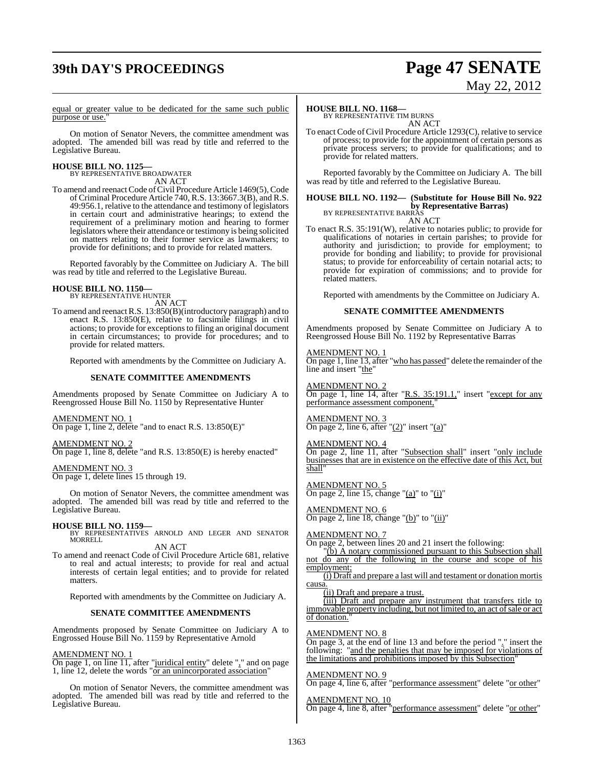# **39th DAY'S PROCEEDINGS Page 47 SENATE**

# May 22, 2012

equal or greater value to be dedicated for the same such public purpose or use."

On motion of Senator Nevers, the committee amendment was adopted. The amended bill was read by title and referred to the Legislative Bureau.

#### **HOUSE BILL NO. 1125—**

BY REPRESENTATIVE BROADWATER AN ACT

To amend and reenact Code of Civil Procedure Article 1469(5), Code of Criminal Procedure Article 740, R.S. 13:3667.3(B), and R.S. 49:956.1, relative to the attendance and testimony of legislators in certain court and administrative hearings; to extend the requirement of a preliminary motion and hearing to former legislators where their attendance or testimony is being solicited on matters relating to their former service as lawmakers; to provide for definitions; and to provide for related matters.

Reported favorably by the Committee on Judiciary A. The bill was read by title and referred to the Legislative Bureau.

#### **HOUSE BILL NO. 1150—** BY REPRESENTATIVE HUNTER

AN ACT

To amend and reenact R.S. 13:850(B)(introductory paragraph) and to enact R.S. 13:850(E), relative to facsimile filings in civil actions; to provide for exceptionsto filing an original document in certain circumstances; to provide for procedures; and to provide for related matters.

Reported with amendments by the Committee on Judiciary A.

#### **SENATE COMMITTEE AMENDMENTS**

Amendments proposed by Senate Committee on Judiciary A to Reengrossed House Bill No. 1150 by Representative Hunter

#### AMENDMENT NO. 1

On page 1, line 2, delete "and to enact R.S. 13:850(E)"

### AMENDMENT NO. 2

On page 1, line 8, delete "and R.S. 13:850(E) is hereby enacted"

#### AMENDMENT NO. 3

On page 1, delete lines 15 through 19.

On motion of Senator Nevers, the committee amendment was adopted. The amended bill was read by title and referred to the Legislative Bureau.

#### **HOUSE BILL NO. 1159—**

BY REPRESENTATIVES ARNOLD AND LEGER AND SENATOR MORRELL

AN ACT

To amend and reenact Code of Civil Procedure Article 681, relative to real and actual interests; to provide for real and actual interests of certain legal entities; and to provide for related matters.

Reported with amendments by the Committee on Judiciary A.

#### **SENATE COMMITTEE AMENDMENTS**

Amendments proposed by Senate Committee on Judiciary A to Engrossed House Bill No. 1159 by Representative Arnold

#### AMENDMENT NO.

On page 1, on line 11, after "juridical entity" delete "," and on page 1, line 12, delete the words "or an unincorporated association"

On motion of Senator Nevers, the committee amendment was adopted. The amended bill was read by title and referred to the Legislative Bureau.

#### **HOUSE BILL NO. 1168—**

BY REPRESENTATIVE TIM BURNS AN ACT

To enact Code of Civil Procedure Article 1293(C), relative to service of process; to provide for the appointment of certain persons as private process servers; to provide for qualifications; and to provide for related matters.

Reported favorably by the Committee on Judiciary A. The bill was read by title and referred to the Legislative Bureau.

#### **HOUSE BILL NO. 1192— (Substitute for House Bill No. 922 by Representative Barras)** BY REPRESENTATIVE BARRAS

AN ACT

To enact R.S. 35:191(W), relative to notaries public; to provide for qualifications of notaries in certain parishes; to provide for authority and jurisdiction; to provide for employment; to provide for bonding and liability; to provide for provisional status; to provide for enforceability of certain notarial acts; to provide for expiration of commissions; and to provide for related matters.

Reported with amendments by the Committee on Judiciary A.

#### **SENATE COMMITTEE AMENDMENTS**

Amendments proposed by Senate Committee on Judiciary A to Reengrossed House Bill No. 1192 by Representative Barras

#### AMENDMENT NO. 1

On page 1, line 13, after "who has passed" delete the remainder of the line and insert "the"

AMENDMENT NO. 2 On page 1, line 14, after "R.S. 35:191.1," insert "except for any performance assessment component,'

AMENDMENT NO. 3 On page 2, line 6, after  $"(2)"$  insert  $"(a)"$ 

AMENDMENT NO. 4

On page 2, line 11, after "Subsection shall" insert "only include businesses that are in existence on the effective date of shall"

AMENDMENT NO. 5 On page 2, line 15, change " $(a)$ " to " $(i)$ "

AMENDMENT NO. 6 On page 2, line 18, change "(b)" to "(ii)"

#### AMENDMENT NO. 7

On page 2, between lines 20 and 21 insert the following:

(b) A notary commissioned pursuant to this Subsection shall not do any of the following in the course and scope of his employment;

(i) Draft and prepare a last will and testament or donation mortis causa.

(ii) Draft and prepare a trust.

(iii) Draft and prepare any instrument that transfers title to immovable property including, but not limited to, an act ofsale or act of donation.

#### AMENDMENT NO. 8

On page 3, at the end of line 13 and before the period "." insert the following: "and the penalties that may be imposed for violations of the limitations and prohibitions imposed by this Subsection"

#### AMENDMENT NO. 9

On page 4, line 6, after "performance assessment" delete "or other"

#### AMENDMENT NO. 10

On page 4, line 8, after "performance assessment" delete "or other"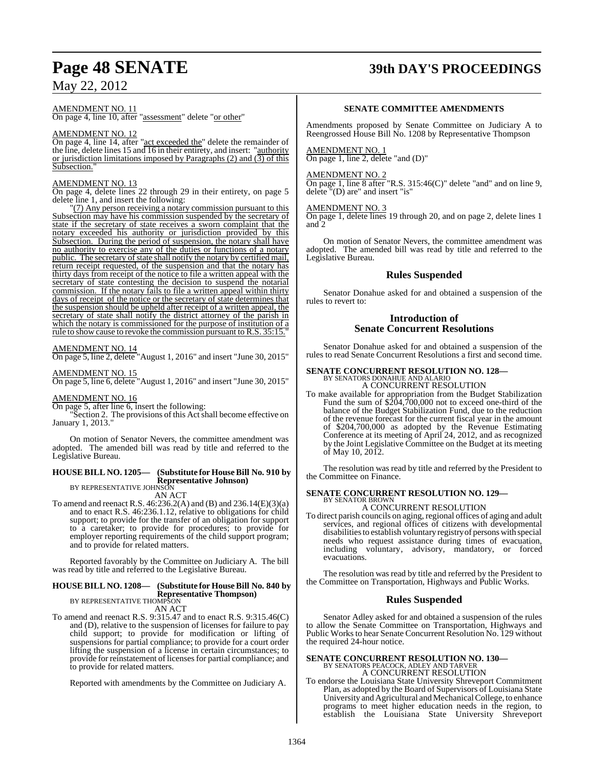## **Page 48 SENATE 39th DAY'S PROCEEDINGS**

#### AMENDMENT NO. 11

On page 4, line 10, after "assessment" delete "or other"

#### AMENDMENT NO. 12

On page 4, line 14, after "act exceeded the" delete the remainder of the line, delete lines 15 and 16 in their entirety, and insert: "authority or jurisdiction limitations imposed by Paragraphs (2) and (3) of this Subsection."

#### AMENDMENT NO. 13

On page 4, delete lines 22 through 29 in their entirety, on page 5 delete line 1, and insert the following:

"(7) Any person receiving a notary commission pursuant to this Subsection may have his commission suspended by the secretary of state if the secretary of state receives a sworn complaint that the notary exceeded his authority or jurisdiction provided by this Subsection. During the period of suspension, the notary shall have no authority to exercise any of the duties or functions of a notary public. The secretary of state shall notify the notary by certified mail, return receipt requested, of the suspension and that the notary has thirty days from receipt of the notice to file a written appeal with the secretary of state contesting the decision to suspend the notarial commission. If the notary fails to file a written appeal within thirty days of receipt of the notice or the secretary of state determines that the suspension should be upheld after receipt of a written appeal, the secretary of state shall notify the district attorney of the parish in which the notary is commissioned for the purpose of institution of a rule to show cause to revoke the commission pursuant to R.S. 35:15."

#### AMENDMENT NO. 14

On page 5, line 2, delete "August 1, 2016" and insert "June 30, 2015"

#### AMENDMENT NO. 15

On page 5, line 6, delete "August 1, 2016" and insert "June 30, 2015"

#### AMENDMENT NO. 16

On page 5, after line 6, insert the following:

"Section 2. The provisions of this Act shall become effective on January 1, 2013."

On motion of Senator Nevers, the committee amendment was adopted. The amended bill was read by title and referred to the Legislative Bureau.

#### **HOUSE BILL NO. 1205— (Substitute for House Bill No. 910 by Representative Johnson)** BY REPRESENTATIVE JOHNSON

### AN ACT

To amend and reenact R.S. 46:236.2(A) and (B) and 236.14(E)(3)(a) and to enact R.S. 46:236.1.12, relative to obligations for child support; to provide for the transfer of an obligation for support to a caretaker; to provide for procedures; to provide for employer reporting requirements of the child support program; and to provide for related matters.

Reported favorably by the Committee on Judiciary A. The bill was read by title and referred to the Legislative Bureau.

#### **HOUSE BILL NO. 1208— (Substitute for HouseBill No. 840 by Representative Thompson)** BY REPRESENTATIVE THOMPSON

AN ACT

To amend and reenact R.S. 9:315.47 and to enact R.S. 9:315.46(C) and (D), relative to the suspension of licenses for failure to pay child support; to provide for modification or lifting of suspensions for partial compliance; to provide for a court order lifting the suspension of a license in certain circumstances; to provide for reinstatement of licenses for partial compliance; and to provide for related matters.

Reported with amendments by the Committee on Judiciary A.

#### **SENATE COMMITTEE AMENDMENTS**

Amendments proposed by Senate Committee on Judiciary A to Reengrossed House Bill No. 1208 by Representative Thompson

#### AMENDMENT NO. 1

On page 1, line 2, delete "and (D)"

#### AMENDMENT NO. 2

On page 1, line 8 after "R.S. 315:46(C)" delete "and" and on line 9, delete "(D) are" and insert "is"

#### AMENDMENT NO. 3

On page 1, delete lines 19 through 20, and on page 2, delete lines 1 and 2

On motion of Senator Nevers, the committee amendment was adopted. The amended bill was read by title and referred to the Legislative Bureau.

#### **Rules Suspended**

Senator Donahue asked for and obtained a suspension of the rules to revert to:

### **Introduction of Senate Concurrent Resolutions**

Senator Donahue asked for and obtained a suspension of the rules to read Senate Concurrent Resolutions a first and second time.

### **SENATE CONCURRENT RESOLUTION NO. 128—** BY SENATORS DONAHUE AND ALARIO

A CONCURRENT RESOLUTION

To make available for appropriation from the Budget Stabilization Fund the sum of \$204,700,000 not to exceed one-third of the balance of the Budget Stabilization Fund, due to the reduction of the revenue forecast for the current fiscal year in the amount of \$204,700,000 as adopted by the Revenue Estimating Conference at its meeting of April 24, 2012, and as recognized by the Joint Legislative Committee on the Budget at its meeting of May 10, 2012.

The resolution was read by title and referred by the President to the Committee on Finance.

#### **SENATE CONCURRENT RESOLUTION NO. 129—** BY SENATOR BROWN

A CONCURRENT RESOLUTION

To direct parish councils on aging, regional offices of aging and adult services, and regional offices of citizens with developmental disabilitiesto establish voluntary registry of persons with special needs who request assistance during times of evacuation, including voluntary, advisory, mandatory, or forced evacuations.

The resolution was read by title and referred by the President to the Committee on Transportation, Highways and Public Works.

#### **Rules Suspended**

Senator Adley asked for and obtained a suspension of the rules to allow the Senate Committee on Transportation, Highways and Public Works to hear Senate Concurrent Resolution No. 129 without the required 24-hour notice.

# **SENATE CONCURRENT RESOLUTION NO. 130—** BY SENATORS PEACOCK, ADLEY AND TARVER A CONCURRENT RESOLUTION

To endorse the Louisiana State University Shreveport Commitment Plan, as adopted by the Board of Supervisors of Louisiana State University and Agricultural and Mechanical College, to enhance programs to meet higher education needs in the region, to establish the Louisiana State University Shreveport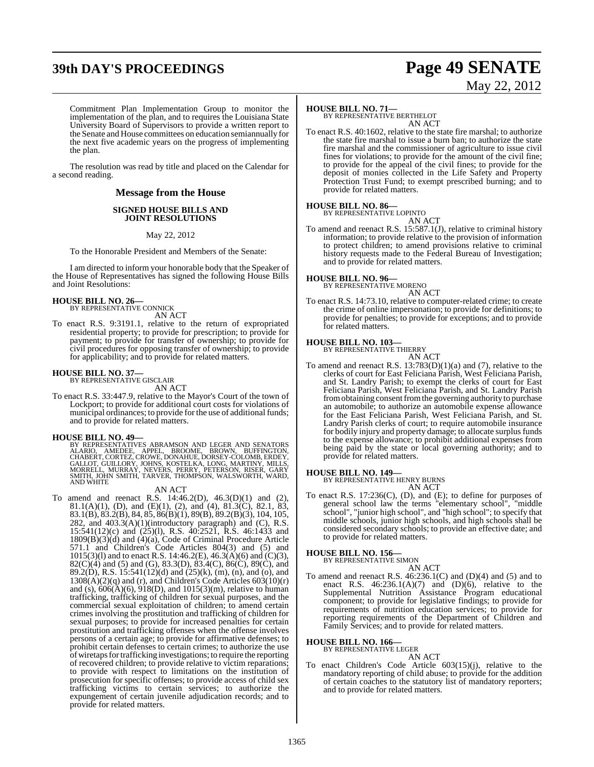# **39th DAY'S PROCEEDINGS Page 49 SENATE**

# May 22, 2012

Commitment Plan Implementation Group to monitor the implementation of the plan, and to requires the Louisiana State University Board of Supervisors to provide a written report to the Senate and House committees on education semiannually for the next five academic years on the progress of implementing the plan.

The resolution was read by title and placed on the Calendar for a second reading.

#### **Message from the House**

#### **SIGNED HOUSE BILLS AND JOINT RESOLUTIONS**

#### May 22, 2012

To the Honorable President and Members of the Senate:

I am directed to inform your honorable body that the Speaker of the House of Representatives has signed the following House Bills and Joint Resolutions:

### **HOUSE BILL NO. 26—** BY REPRESENTATIVE CONNICK

AN ACT

To enact R.S. 9:3191.1, relative to the return of expropriated residential property; to provide for prescription; to provide for payment; to provide for transfer of ownership; to provide for civil procedures for opposing transfer of ownership; to provide for applicability; and to provide for related matters.

### **HOUSE BILL NO. 37—** BY REPRESENTATIVE GISCLAIR

AN ACT

To enact R.S. 33:447.9, relative to the Mayor's Court of the town of Lockport; to provide for additional court costs for violations of municipal ordinances; to provide for the use of additional funds; and to provide for related matters.

#### **HOUSE BILL NO. 49—**

BY REPRESENTATIVES ABRAMSON AND LEGER AND SENATORS<br>ALARIO, AMEDEE, APPEL, BROOME, DROWN, BUFFINGTON,<br>CHABERT, CORTEZ, CROWE, DONAHUE, DORSEY-COLOMB, ERDEY,<br>GALLOT, GUILLORY, JOHNS, KOSTELKA, LONG, MARTINY, MILLS,<br>MORRELL, AND WHITE

#### AN ACT

To amend and reenact R.S. 14:46.2(D), 46.3(D)(1) and (2), 81.1(A)(1), (D), and (E)(1), (2), and (4), 81.3(C), 82.1, 83, 83.1(B), 83.2(B), 84, 85, 86(B)(1), 89(B), 89.2(B)(3), 104, 105, 282, and 403.3(A)(1)(introductory paragraph) and (C), R.S. 15:541(12)(c) and (25)(l), R.S. 40:2521, R.S. 46:1433 and 1809(B)(3)(d) and (4)(a), Code of Criminal Procedure Article 571.1 and Children's Code Articles 804(3) and (5) and 1015(3)(l) and to enact R.S. 14:46.2(E), 46.3(A)(6) and (C)(3),  $82(C)(4)$  and (5) and (G),  $83.3(D)$ ,  $83.4(C)$ ,  $86(C)$ ,  $89(C)$ , and 89.2(D), R.S. 15:541(12)(d) and (25)(k), (m), (n), and (o), and 1308(A)(2)(q) and (r), and Children's Code Articles 603(10)(r) and (s),  $606(A)(6)$ ,  $918(D)$ , and  $1015(3)(m)$ , relative to human trafficking, trafficking of children for sexual purposes, and the commercial sexual exploitation of children; to amend certain crimes involving the prostitution and trafficking of children for sexual purposes; to provide for increased penalties for certain prostitution and trafficking offenses when the offense involves persons of a certain age; to provide for affirmative defenses; to prohibit certain defenses to certain crimes; to authorize the use of wiretaps for trafficking investigations; to require the reporting of recovered children; to provide relative to victim reparations; to provide with respect to limitations on the institution of prosecution for specific offenses; to provide access of child sex trafficking victims to certain services; to authorize the expungement of certain juvenile adjudication records; and to provide for related matters.

#### **HOUSE BILL NO. 71—**

BY REPRESENTATIVE BERTHELOT AN ACT

To enact R.S. 40:1602, relative to the state fire marshal; to authorize the state fire marshal to issue a burn ban; to authorize the state fire marshal and the commissioner of agriculture to issue civil fines for violations; to provide for the amount of the civil fine; to provide for the appeal of the civil fines; to provide for the deposit of monies collected in the Life Safety and Property Protection Trust Fund; to exempt prescribed burning; and to provide for related matters.

#### **HOUSE BILL NO. 86—**

BY REPRESENTATIVE LOPINTO

AN ACT To amend and reenact R.S. 15:587.1(J), relative to criminal history information; to provide relative to the provision of information to protect children; to amend provisions relative to criminal history requests made to the Federal Bureau of Investigation; and to provide for related matters.

#### **HOUSE BILL NO. 96—** BY REPRESENTATIVE MORENO

AN ACT

To enact R.S. 14:73.10, relative to computer-related crime; to create the crime of online impersonation; to provide for definitions; to provide for penalties; to provide for exceptions; and to provide for related matters.

### **HOUSE BILL NO. 103—** BY REPRESENTATIVE THIERRY

AN ACT

To amend and reenact R.S. 13:783(D)(1)(a) and (7), relative to the clerks of court for East Feliciana Parish, West Feliciana Parish, and St. Landry Parish; to exempt the clerks of court for East Feliciana Parish, West Feliciana Parish, and St. Landry Parish from obtaining consent from the governing authority to purchase an automobile; to authorize an automobile expense allowance for the East Feliciana Parish, West Feliciana Parish, and St. Landry Parish clerks of court; to require automobile insurance for bodily injury and property damage; to allocate surplus funds to the expense allowance; to prohibit additional expenses from being paid by the state or local governing authority; and to provide for related matters.

#### **HOUSE BILL NO. 149—**

BY REPRESENTATIVE HENRY BURNS AN ACT

To enact R.S. 17:236(C), (D), and (E); to define for purposes of general school law the terms "elementary school", "middle school", "junior high school", and "high school"; to specify that middle schools, junior high schools, and high schools shall be considered secondary schools; to provide an effective date; and to provide for related matters.

### **HOUSE BILL NO. 156—** BY REPRESENTATIVE SIMON

AN ACT

To amend and reenact R.S. 46:236.1(C) and (D)(4) and (5) and to enact R.S.  $46:236.1(A)(7)$  and  $(D)(6)$ , relative to the Supplemental Nutrition Assistance Program educational component; to provide for legislative findings; to provide for requirements of nutrition education services; to provide for reporting requirements of the Department of Children and Family Services; and to provide for related matters.

#### **HOUSE BILL NO. 166—**

BY REPRESENTATIVE LEGER AN ACT

To enact Children's Code Article 603(15)(j), relative to the mandatory reporting of child abuse; to provide for the addition of certain coaches to the statutory list of mandatory reporters; and to provide for related matters.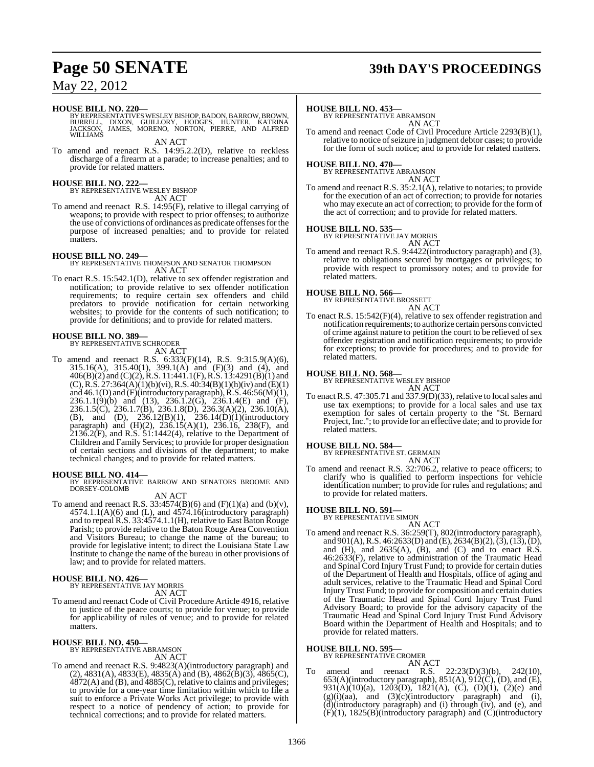## **Page 50 SENATE 39th DAY'S PROCEEDINGS**

### May 22, 2012

#### **HOUSE BILL NO. 220—**

BY REPRESENTATIVESWESLEY BISHOP,BADON,BARROW, BROWN, BURRELL, DIXON, GUILLORY, HODGES, HUNTER, KATRINA JACKSON, JAMES, MORENO, NORTON, PIERRE, AND ALFRED WILLIAMS

AN ACT

To amend and reenact R.S. 14:95.2.2(D), relative to reckless discharge of a firearm at a parade; to increase penalties; and to provide for related matters.

#### **HOUSE BILL NO. 222—**

BY REPRESENTATIVE WESLEY BISHOP AN ACT

To amend and reenact R.S. 14:95(F), relative to illegal carrying of weapons; to provide with respect to prior offenses; to authorize the use of convictions of ordinances as predicate offensesfor the purpose of increased penalties; and to provide for related matters.

#### **HOUSE BILL NO. 249—**

BY REPRESENTATIVE THOMPSON AND SENATOR THOMPSON AN ACT

To enact R.S. 15:542.1(D), relative to sex offender registration and notification; to provide relative to sex offender notification requirements; to require certain sex offenders and child predators to provide notification for certain networking websites; to provide for the contents of such notification; to provide for definitions; and to provide for related matters.

#### **HOUSE BILL NO. 389—**

BY REPRESENTATIVE SCHRODER

- AN ACT
- To amend and reenact R.S. 6:333(F)(14), R.S. 9:315.9(A)(6), 315.16(A), 315.40(1), 399.1(A) and (F)(3) and (4), and 406(B)(2) and (C)(2),R.S. 11:441.1(F),R.S. 13:4291(B)(1) and  $(C)$ , R.S. 27:364(A)(1)(b)(vi), R.S. 40:34(B)(1)(h)(iv) and (E)(1) and  $46.1(D)$  and  $(F)$ (introductory paragraph), R.S.  $46:56(M)(1)$ , 236.1.1(9)(b) and (13), 236.1.2(G), 236.1.4(E) and (F), 236.1.5(C), 236.1.7(B), 236.1.8(D), 236.3(A)(2), 236.10(A), (B), and (D), 236.12(B)(1), 236.14(D)(1)(introductory paragraph) and (H)(2), 236.15(A)(1), 236.16, 238(F), and  $2136.2$ (F), and R.S.  $51:1442(4)$ , relative to the Department of Children and Family Services; to provide for proper designation of certain sections and divisions of the department; to make technical changes; and to provide for related matters.

#### **HOUSE BILL NO. 414—**

BY REPRESENTATIVE BARROW AND SENATORS BROOME AND DORSEY-COLOMB

AN ACT

To amend and reenact R.S.  $33:4574(B)(6)$  and  $(F)(1)(a)$  and  $(b)(v)$ ,  $4574.1.1(A)(6)$  and (L), and  $4574.16$ (introductory paragraph) and to repeal R.S. 33:4574.1.1(H), relative to East Baton Rouge Parish; to provide relative to the Baton Rouge Area Convention and Visitors Bureau; to change the name of the bureau; to provide for legislative intent; to direct the Louisiana State Law Institute to change the name of the bureau in other provisions of law; and to provide for related matters.

# **HOUSE BILL NO. 426—** BY REPRESENTATIVE JAY MORRIS

AN ACT

To amend and reenact Code of Civil Procedure Article 4916, relative to justice of the peace courts; to provide for venue; to provide for applicability of rules of venue; and to provide for related matters.

## **HOUSE BILL NO. 450—** BY REPRESENTATIVE ABRAMSON

AN ACT

To amend and reenact R.S. 9:4823(A)(introductory paragraph) and  $(2)$ , 4831(A), 4833(E), 4835(A) and (B), 4862(B)(3), 4865(C),  $4872(A)$  and (B), and  $4885(C)$ , relative to claims and privileges; to provide for a one-year time limitation within which to file a suit to enforce a Private Works Act privilege; to provide with respect to a notice of pendency of action; to provide for technical corrections; and to provide for related matters.

#### **HOUSE BILL NO. 453—**

BY REPRESENTATIVE ABRAMSON AN ACT

To amend and reenact Code of Civil Procedure Article 2293(B)(1), relative to notice of seizure in judgment debtor cases; to provide for the form of such notice; and to provide for related matters.

### **HOUSE BILL NO. 470—** BY REPRESENTATIVE ABRAMSON

AN ACT To amend and reenact R.S. 35:2.1(A), relative to notaries; to provide for the execution of an act of correction; to provide for notaries who may execute an act of correction; to provide for the form of the act of correction; and to provide for related matters.

#### **HOUSE BILL NO. 535—**

BY REPRESENTATIVE JAY MORRIS

- AN ACT
- To amend and reenact R.S. 9:4422(introductory paragraph) and (3), relative to obligations secured by mortgages or privileges; to provide with respect to promissory notes; and to provide for related matters.

**HOUSE BILL NO. 566—** BY REPRESENTATIVE BROSSETT

AN ACT To enact R.S. 15:542(F)(4), relative to sex offender registration and notification requirements; to authorize certain persons convicted of crime against nature to petition the court to be relieved of sex offender registration and notification requirements; to provide for exceptions; to provide for procedures; and to provide for related matters.

**HOUSE BILL NO. 568—** BY REPRESENTATIVE WESLEY BISHOP

- AN ACT
- To enact R.S. 47:305.71 and 337.9(D)(33), relative to localsales and use tax exemptions; to provide for a local sales and use tax exemption for sales of certain property to the "St. Bernard Project, Inc."; to provide for an effective date; and to provide for related matters.

#### **HOUSE BILL NO. 584—**

BY REPRESENTATIVE ST. GERMAIN AN ACT

To amend and reenact R.S. 32:706.2, relative to peace officers; to clarify who is qualified to perform inspections for vehicle identification number; to provide for rules and regulations; and to provide for related matters.

#### **HOUSE BILL NO. 591—**

BY REPRESENTATIVE SIMON

- AN ACT
- To amend and reenact R.S. 36:259(T), 802(introductory paragraph), and 901(A), R.S. 46:2633(D) and (E), 2634(B)(2), (3), (13), (D), and  $(H)$ , and  $2635(A)$ ,  $(B)$ , and  $(C)$  and to enact  $R.S$ . 46:2633(F), relative to administration of the Traumatic Head and Spinal Cord Injury Trust Fund; to provide for certain duties of the Department of Health and Hospitals, office of aging and adult services, relative to the Traumatic Head and Spinal Cord Injury Trust Fund; to provide for composition and certain duties of the Traumatic Head and Spinal Cord Injury Trust Fund Advisory Board; to provide for the advisory capacity of the Traumatic Head and Spinal Cord Injury Trust Fund Advisory Board within the Department of Health and Hospitals; and to provide for related matters.

### **HOUSE BILL NO. 595—** BY REPRESENTATIVE CROMER

AN ACT To amend and reenact R.S.  $22:23(D)(3)(b)$ ,  $242(10)$ ,  $653(A)$ (introductory paragraph),  $851(A)$ ,  $912(C)$ ,  $(D)$ , and  $(E)$ , 931(A)(10)(a), 1203(D), 1821(A), (C), (D)(1), (2)(e) and  $(g)(i)(aa)$ , and  $(3)(c)(introductory)$  paragraph) and (i), (d)(introductory paragraph) and (i) through (iv), and (e), and  $(F)(1)$ , 1825(B)(introductory paragraph) and  $(C)$ (introductory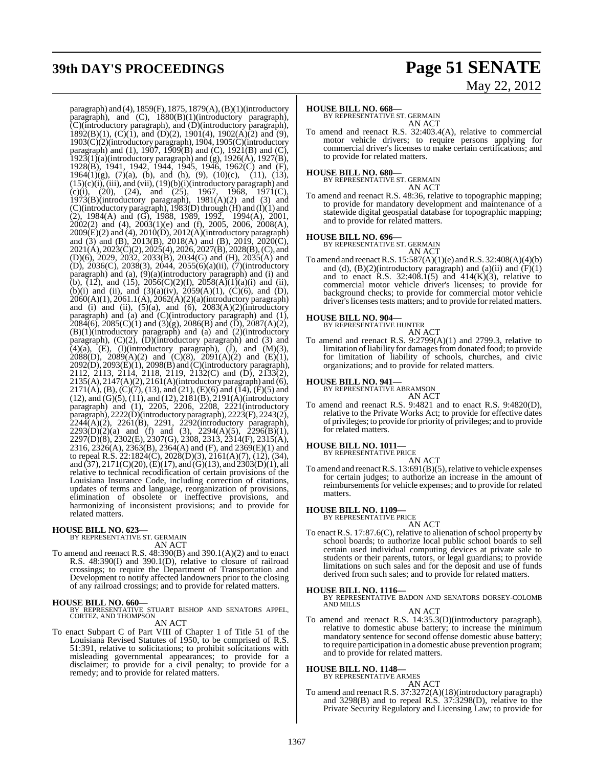# **39th DAY'S PROCEEDINGS Page 51 SENATE**

# May 22, 2012

paragraph) and (4), 1859(F), 1875, 1879(A), (B)(1)(introductory paragraph), and (C), 1880(B)(1)(introductory paragraph), (C)(introductory paragraph), and (D)(introductory paragraph),  $1892(B)(1)$ , (C)(1), and (D)(2), 1901(4), 1902(A)(2) and (9), 1903(C)(2)(introductory paragraph), 1904, 1905(C)(introductory paragraph) and (1), 1907, 1909(B) and (C), 1921(B) and (C),  $1923(1)(a)$ (introductory paragraph) and (g),  $1926(A)$ ,  $1927(B)$ , 1928(B), 1941, 1942, 1944, 1945, 1946, 1962(C) and (F), 1964(1)(g), (7)(a), (b), and (h), (9), (10)(c), (11), (13),  $(15)(c)(i)$ ,  $(iii)$ , and  $(vii)$ ,  $(19)(b)(i)$ (introductory paragraph) and (c)(i), (20), (24), and (25), 1967, 1968, 1971(C),  $1973(B)$ (introductory paragraph),  $1981(A)(2)$  and  $(3)$  and (C)(introductory paragraph), 1983(D) through (H) and (I)(1) and (2), 1984(A) and (G), 1988, 1989, 1992, 1994(A), 2001, 2002(2) and (4), 2003(1)(e) and (f), 2005, 2006, 2008(A), 2009(E)(2) and (4), 2010(D), 2012(A)(introductory paragraph) and (3) and (B), 2013(B), 2018(A) and (B), 2019, 2020(C), 2021(A), 2023(C)(2), 2025(4), 2026, 2027(B), 2028(B), (C), and (D)(6), 2029, 2032, 2033(B), 2034(G) and (H), 2035(A) and (D), 2036(C), 2038(3), 2044, 2055(6)(a)(ii), (7)(introductory paragraph) and (a), (9)(a)(introductory paragraph) and (i) and (b),  $(12)$ , and  $(15)$ ,  $2056(C)(2)(f)$ ,  $2058(A)(1)(a)(i)$  and (ii), (b)(i) and (ii), and  $(3)(a)(iv)$ ,  $2059(A)(1)$ ,  $(C)(6)$ , and  $(D)$ , 2060(A)(1), 2061.1(A), 2062(A)(2)(a)(introductory paragraph) and (i) and (ii),  $(5)(a)$ , and  $(6)$ ,  $2083(A)(2)(introducing$ paragraph) and (a) and (C)(introductory paragraph) and (1),  $208\overline{4}(6)$ ,  $2085(C)(1)$  and  $(3)(g)$ ,  $2086(B)$  and  $(\overline{D})$ ,  $2087(A)(2)$ , (B)(1)(introductory paragraph) and (a) and (2)(introductory paragraph), (C)(2), (D)(introductory paragraph) and (3) and  $(4)(a)$ ,  $(E)$ ,  $(I)(introducing)$  paragraph),  $(J)$ , and  $(M)(3)$ , 2088(D), 2089(A)(2) and (C)(8), 2091(A)(2) and (E)(1), 2092(D), 2093(E)(1), 2098(B) and (C)(introductory paragraph), 2112, 2113, 2114, 2118, 2119, 2132(C) and (D), 2133(2), 2135(A), 2147(A)(2), 2161(A)(introductory paragraph) and (6),  $2171(A)$ , (B), (C)(7), (13), and (21), (E)(6) and (14), (F)(5) and (12), and (G)(5), (11), and (12), 2181(B), 2191(A)(introductory paragraph) and (1), 2205, 2206, 2208, 2221(introductory paragraph), 2222(D)(introductory paragraph), 2223(F), 2243(2),  $224\tilde{4}(A)(2)$ ,  $2261(B)$ ,  $2291$ ,  $2292(iintroducing the total energy of the energy)$ ,  $2293(D)(2)(a)$  and (f) and (3),  $2294(A)(5)$ ,  $2296(B)(1)$ , 2297(D)(8), 2302(E), 2307(G), 2308, 2313, 2314(F), 2315(A), 2316, 2326(A), 2363(B), 2364(A) and (F), and 2369(E)(1) and to repeal R.S. 22:1824(C), 2028(D)(3), 2161(A)(7), (12), (34), and  $(37), 2171(C)(20), (E)(17),$  and  $(G)(13),$  and  $2303(D)(1),$  all relative to technical recodification of certain provisions of the Louisiana Insurance Code, including correction of citations, updates of terms and language, reorganization of provisions, elimination of obsolete or ineffective provisions, and harmonizing of inconsistent provisions; and to provide for related matters.

**HOUSE BILL NO. 623—** BY REPRESENTATIVE ST. GERMAIN AN ACT

To amend and reenact R.S. 48:390(B) and 390.1(A)(2) and to enact R.S. 48:390(I) and 390.1(D), relative to closure of railroad crossings; to require the Department of Transportation and Development to notify affected landowners prior to the closing of any railroad crossings; and to provide for related matters.

**HOUSE BILL NO. 660—** BY REPRESENTATIVE STUART BISHOP AND SENATORS APPEL, CORTEZ, AND THOMPSON AN ACT

To enact Subpart C of Part VIII of Chapter 1 of Title 51 of the Louisiana Revised Statutes of 1950, to be comprised of R.S. 51:391, relative to solicitations; to prohibit solicitations with misleading governmental appearances; to provide for a disclaimer; to provide for a civil penalty; to provide for a remedy; and to provide for related matters.

#### **HOUSE BILL NO. 668—**

BY REPRESENTATIVE ST. GERMAIN AN ACT

To amend and reenact R.S. 32:403.4(A), relative to commercial motor vehicle drivers; to require persons applying for commercial driver's licenses to make certain certifications; and to provide for related matters.

**HOUSE BILL NO. 680—** BY REPRESENTATIVE ST. GERMAIN AN ACT

To amend and reenact R.S. 48:36, relative to topographic mapping; to provide for mandatory development and maintenance of a statewide digital geospatial database for topographic mapping; and to provide for related matters.

**HOUSE BILL NO. 696—** BY REPRESENTATIVE ST. GERMAIN AN ACT

To amend and reenact R.S. 15:587(A)(1)(e) and R.S. 32:408(A)(4)(b) and (d),  $(B)(2)$ (introductory paragraph) and  $(a)$ (ii) and  $(F)(1)$ and to enact R.S. 32:408.1(5) and  $414(K)(3)$ , relative to commercial motor vehicle driver's licenses; to provide for background checks; to provide for commercial motor vehicle driver's licenses tests matters; and to provide for related matters.

### **HOUSE BILL NO. 904—** BY REPRESENTATIVE HUNTER

AN ACT

To amend and reenact R.S. 9:2799(A)(1) and 2799.3, relative to limitation of liability for damages from donated food; to provide for limitation of liability of schools, churches, and civic organizations; and to provide for related matters.

### **HOUSE BILL NO. 941—** BY REPRESENTATIVE ABRAMSON

AN ACT

To amend and reenact R.S. 9:4821 and to enact R.S. 9:4820(D), relative to the Private Works Act; to provide for effective dates of privileges; to provide for priority of privileges; and to provide for related matters.

### **HOUSE BILL NO. 1011—** BY REPRESENTATIVE PRICE

AN ACT

To amend and reenact R.S.  $13:691(B)(5)$ , relative to vehicle expenses for certain judges; to authorize an increase in the amount of reimbursements for vehicle expenses; and to provide for related matters.

### **HOUSE BILL NO. 1109—** BY REPRESENTATIVE PRICE

- AN ACT
- To enact R.S. 17:87.6(C), relative to alienation of school property by school boards; to authorize local public school boards to sell certain used individual computing devices at private sale to students or their parents, tutors, or legal guardians; to provide limitations on such sales and for the deposit and use of funds derived from such sales; and to provide for related matters.

#### **HOUSE BILL NO. 1116—**

BY REPRESENTATIVE BADON AND SENATORS DORSEY-COLOMB AND MILLS

AN ACT

To amend and reenact R.S. 14:35.3(D)(introductory paragraph), relative to domestic abuse battery; to increase the minimum mandatory sentence for second offense domestic abuse battery; to require participation in a domestic abuse prevention program; and to provide for related matters.

#### **HOUSE BILL NO. 1148—**

BY REPRESENTATIVE ARMES

AN ACT To amend and reenact R.S. 37:3272(A)(18)(introductory paragraph) and 3298(B) and to repeal R.S. 37:3298(D), relative to the Private Security Regulatory and Licensing Law; to provide for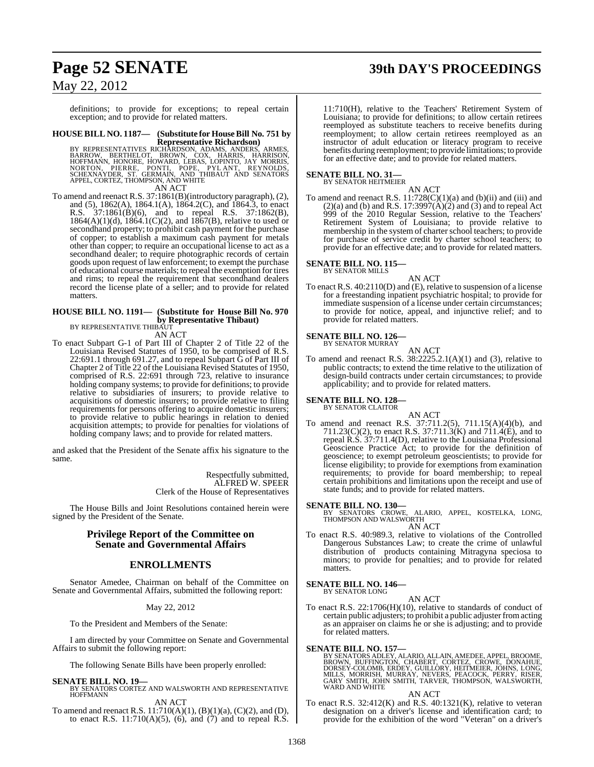## **Page 52 SENATE 39th DAY'S PROCEEDINGS**

### May 22, 2012

definitions; to provide for exceptions; to repeal certain exception; and to provide for related matters.

### **HOUSE BILL NO. 1187— (Substitute for HouseBill No. 751 by**

**Representative Richardson)**<br>BY REPRESENTATIVES RICHARDSON, ADAMS, ANDERS, ARMES,<br>BARROW, BERTHELOT, BROWN, COX, HARRIS, HARRISON,<br>HOFFMANN, HONORE, HOWARD, LEBAS, LOPINTO, JAY MORRIS,<br>NORTON, PIERRE, PONTI, POPE, PYLANT,

To amend and reenact R.S. 37:1861(B)(introductory paragraph), (2), and (5), 1862(A), 1864.1(A), 1864.2(C), and 1864.3, to enact R.S. 37:1861(B)(6), and to repeal R.S. 37:1862(B),  $1864(A)(1)(d)$ ,  $1864.1(C)(2)$ , and  $1867(B)$ , relative to used or secondhand property; to prohibit cash payment for the purchase of copper; to establish a maximum cash payment for metals other than copper; to require an occupational license to act as a secondhand dealer; to require photographic records of certain goods upon request of law enforcement; to exempt the purchase of educational course materials; to repeal the exemption for tires and rims; to repeal the requirement that secondhand dealers record the license plate of a seller; and to provide for related matters.

### **HOUSE BILL NO. 1191— (Substitute for House Bill No. 970 by Representative Thibaut)**<br>BY REPRESENTATIVE THIBAUT

AN ACT

To enact Subpart G-1 of Part III of Chapter 2 of Title 22 of the Louisiana Revised Statutes of 1950, to be comprised of R.S. 22:691.1 through 691.27, and to repeal Subpart G of Part III of Chapter 2 of Title 22 of the Louisiana Revised Statutes of 1950, comprised of R.S. 22:691 through 723, relative to insurance holding company systems; to provide for definitions; to provide relative to subsidiaries of insurers; to provide relative to acquisitions of domestic insurers; to provide relative to filing requirements for persons offering to acquire domestic insurers; to provide relative to public hearings in relation to denied acquisition attempts; to provide for penalties for violations of holding company laws; and to provide for related matters.

and asked that the President of the Senate affix his signature to the same.

> Respectfully submitted, ALFRED W. SPEER Clerk of the House of Representatives

The House Bills and Joint Resolutions contained herein were signed by the President of the Senate.

#### **Privilege Report of the Committee on Senate and Governmental Affairs**

#### **ENROLLMENTS**

Senator Amedee, Chairman on behalf of the Committee on Senate and Governmental Affairs, submitted the following report:

May 22, 2012

To the President and Members of the Senate:

I am directed by your Committee on Senate and Governmental Affairs to submit the following report:

The following Senate Bills have been properly enrolled:

**SENATE BILL NO. 19—**<br>BY SENATORS CORTEZ AND WALSWORTH AND REPRESENTATIVE<br>HOFFMANN AN ACT

To amend and reenact R.S. 11:710(A)(1), (B)(1)(a), (C)(2), and (D), to enact R.S. 11:710(A)(5), (6), and (7) and to repeal R.S.

11:710(H), relative to the Teachers' Retirement System of Louisiana; to provide for definitions; to allow certain retirees reemployed as substitute teachers to receive benefits during reemployment; to allow certain retirees reemployed as an instructor of adult education or literacy program to receive benefits during reemployment; to provide limitations; to provide for an effective date; and to provide for related matters.

# **SENATE BILL NO. 31—** BY SENATOR HEITMEIER

AN ACT To amend and reenact R.S.  $11:728(C)(1)(a)$  and  $(b)(ii)$  and  $(iii)$  and  $(2)(a)$  and (b) and R.S. 17:3997 $(A)(2)$  and  $(3)$  and to repeal Act 999 of the 2010 Regular Session, relative to the Teachers' Retirement System of Louisiana; to provide relative to membership in the system of charter school teachers; to provide for purchase of service credit by charter school teachers; to provide for an effective date; and to provide for related matters.

#### **SENATE BILL NO. 115—** BY SENATOR MILLS

AN ACT To enact R.S. 40:2110(D) and (E), relative to suspension of a license for a freestanding inpatient psychiatric hospital; to provide for immediate suspension of a license under certain circumstances; to provide for notice, appeal, and injunctive relief; and to provide for related matters.

#### **SENATE BILL NO. 126—**

BY SENATOR MURRAY

AN ACT To amend and reenact R.S.  $38:2225.2.1(A)(1)$  and (3), relative to public contracts; to extend the time relative to the utilization of design-build contracts under certain circumstances; to provide applicability; and to provide for related matters.

# **SENATE BILL NO. 128—** BY SENATOR CLAITOR

AN ACT

To amend and reenact R.S. 37:711.2(5), 711.15(A)(4)(b), and 711.23(C)(2), to enact R.S. 37:711.3(K) and 711.4(E), and to repeal R.S. 37:711.4(D), relative to the Louisiana Professional Geoscience Practice Act; to provide for the definition of geoscience; to exempt petroleum geoscientists; to provide for license eligibility; to provide for exemptions from examination requirements; to provide for board membership; to repeal certain prohibitions and limitations upon the receipt and use of state funds; and to provide for related matters.

**SENATE BILL NO. 130—** BY SENATORS CROWE, ALARIO, APPEL, KOSTELKA, LONG, THOMPSON AND WALSWORTH AN ACT

- 
- To enact R.S. 40:989.3, relative to violations of the Controlled Dangerous Substances Law; to create the crime of unlawful distribution of products containing Mitragyna speciosa to minors; to provide for penalties; and to provide for related matters.

#### **SENATE BILL NO. 146—** BY SENATOR LONG

AN ACT

To enact R.S. 22:1706(H)(10), relative to standards of conduct of certain public adjusters; to prohibit a public adjuster from acting as an appraiser on claims he or she is adjusting; and to provide for related matters.

SENATE BILL NO. 157—<br>BY SENATORS ADLEY, ALARIO, ALLAIN, AMEDEE, APPEL, BROOME, BROWN, BUFFINGTON, CHABERT, CORTEZ, CROWE, DONAHUE,<br>BOOWN, BUFFINGTON, CHABERT, CORTEZ, CROWE, DONAHUE,<br>DORSEY-COLOMB, ERDEY, GUILLORY, HEITMEI

#### AN ACT

To enact R.S. 32:412(K) and R.S. 40:1321(K), relative to veteran designation on a driver's license and identification card; to provide for the exhibition of the word "Veteran" on a driver's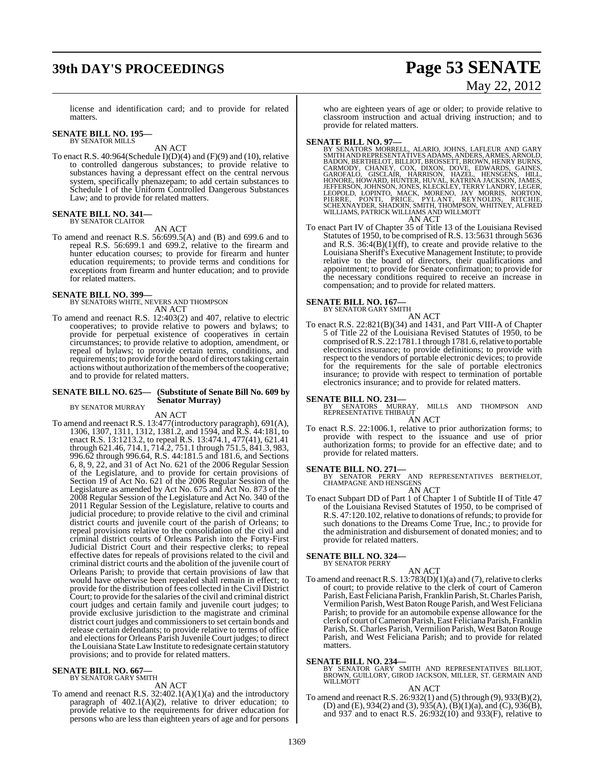# **39th DAY'S PROCEEDINGS Page 53 SENATE**

# May 22, 2012

license and identification card; and to provide for related matters.

### **SENATE BILL NO. 195—** BY SENATOR MILLS

AN ACT

To enact R.S.  $40:964$ (Schedule I)(D)(4) and (F)(9) and (10), relative to controlled dangerous substances; to provide relative to substances having a depressant effect on the central nervous system, specifically phenazepam; to add certain substances to Schedule I of the Uniform Controlled Dangerous Substances Law; and to provide for related matters.

### **SENATE BILL NO. 341—** BY SENATOR CLAITOR

AN ACT

To amend and reenact R.S. 56:699.5(A) and (B) and 699.6 and to repeal R.S. 56:699.1 and 699.2, relative to the firearm and hunter education courses; to provide for firearm and hunter education requirements; to provide terms and conditions for exceptions from firearm and hunter education; and to provide for related matters.

### **SENATE BILL NO. 399—** BY SENATORS WHITE, NEVERS AND THOMPSON

AN ACT

To amend and reenact R.S. 12:403(2) and 407, relative to electric cooperatives; to provide relative to powers and bylaws; to provide for perpetual existence of cooperatives in certain circumstances; to provide relative to adoption, amendment, or repeal of bylaws; to provide certain terms, conditions, and requirements; to provide for the board of directors taking certain actions without authorization of the members of the cooperative; and to provide for related matters.

#### **SENATE BILL NO. 625— (Substitute of Senate Bill No. 609 by Senator Murray)**

BY SENATOR MURRAY

AN ACT

To amend and reenact R.S. 13:477(introductory paragraph), 691(A), 1306, 1307, 1311, 1312, 1381.2, and 1594, and R.S. 44:181, to enact R.S. 13:1213.2, to repeal R.S. 13:474.1, 477(41), 621.41 through 621.46, 714.1, 714.2, 751.1 through 751.5, 841.3, 983, 996.62 through 996.64, R.S. 44:181.5 and 181.6, and Sections 6, 8, 9, 22, and 31 of Act No. 621 of the 2006 Regular Session of the Legislature, and to provide for certain provisions of Section 19 of Act No. 621 of the 2006 Regular Session of the Legislature as amended by Act No. 675 and Act No. 873 of the 2008 Regular Session of the Legislature and Act No. 340 of the 2011 Regular Session of the Legislature, relative to courts and judicial procedure; to provide relative to the civil and criminal district courts and juvenile court of the parish of Orleans; to repeal provisions relative to the consolidation of the civil and criminal district courts of Orleans Parish into the Forty-First Judicial District Court and their respective clerks; to repeal effective dates for repeals of provisions related to the civil and criminal district courts and the abolition of the juvenile court of Orleans Parish; to provide that certain provisions of law that would have otherwise been repealed shall remain in effect; to provide for the distribution of fees collected in the Civil District Court; to provide for the salaries of the civil and criminal district court judges and certain family and juvenile court judges; to provide exclusive jurisdiction to the magistrate and criminal district court judges and commissioners to set certain bonds and release certain defendants; to provide relative to terms of office and elections for Orleans Parish Juvenile Court judges; to direct the Louisiana State LawInstitute to redesignate certain statutory provisions; and to provide for related matters.

### **SENATE BILL NO. 667—** BY SENATOR GARY SMITH

AN ACT

To amend and reenact R.S. 32:402.1(A)(1)(a) and the introductory paragraph of  $402.1(A)(2)$ , relative to driver education; to provide relative to the requirements for driver education for persons who are less than eighteen years of age and for persons who are eighteen years of age or older; to provide relative to classroom instruction and actual driving instruction; and to provide for related matters.

#### **SENATE BILL NO. 97—**

- BY SENATORS MORRELL, ALARIO, JOHNS, LAFLEUR AND GARY<br>SMITHANDREPRESENTATIVES ADAMS, ANDERS, ARMES, ARNOLD,<br>BADON, BERTHELOT, BILLIOT, BROSSETT, BROWN, HENRY BURNS,<br>CARMODY, CHANEY, COX, DIXON, DOVE, EDWARDS, GARDES,<br>GAROFA AN ACT
- To enact Part IV of Chapter 35 of Title 13 of the Louisiana Revised Statutes of 1950, to be comprised of R.S. 13:5631 through 5636 and R.S.  $36:4(B)(1)(ff)$ , to create and provide relative to the Louisiana Sheriff's Executive Management Institute; to provide relative to the board of directors, their qualifications and appointment; to provide for Senate confirmation; to provide for the necessary conditions required to receive an increase in compensation; and to provide for related matters.

### **SENATE BILL NO. 167—** BY SENATOR GARY SMITH

AN ACT

To enact R.S. 22:821(B)(34) and 1431, and Part VIII-A of Chapter 5 of Title 22 of the Louisiana Revised Statutes of 1950, to be comprised ofR.S. 22:1781.1 through 1781.6, relative to portable electronics insurance; to provide definitions; to provide with respect to the vendors of portable electronic devices; to provide for the requirements for the sale of portable electronics insurance; to provide with respect to termination of portable electronics insurance; and to provide for related matters.

**SENATE BILL NO. 231—**<br>BY SENATORS MURRAY, MILLS AND THOMPSON AND<br>REPRESENTATIVE THIBAUT

- AN ACT
- To enact R.S. 22:1006.1, relative to prior authorization forms; to provide with respect to the issuance and use of prior authorization forms; to provide for an effective date; and to provide for related matters.

**SENATE BILL NO. 271—**<br>BY SENATOR PERRY AND REPRESENTATIVES BERTHELOT,<br>CHAMPAGNE AND HENSGENS AN ACT

To enact Subpart DD of Part 1 of Chapter 1 of Subtitle II of Title 47 of the Louisiana Revised Statutes of 1950, to be comprised of R.S. 47:120.102, relative to donations of refunds; to provide for such donations to the Dreams Come True, Inc.; to provide for the administration and disbursement of donated monies; and to provide for related matters.

### **SENATE BILL NO. 324—** BY SENATOR PERRY

AN ACT

To amend and reenact R.S.  $13:783(D)(1)(a)$  and (7), relative to clerks of court; to provide relative to the clerk of court of Cameron Parish, East Feliciana Parish, Franklin Parish, St. Charles Parish, Vermilion Parish, West Baton Rouge Parish, and West Feliciana Parish; to provide for an automobile expense allowance for the clerk of court of Cameron Parish, East Feliciana Parish, Franklin Parish, St. Charles Parish, Vermilion Parish, West Baton Rouge Parish, and West Feliciana Parish; and to provide for related matters.

**SENATE BILL NO. 234—** BY SENATOR GARY SMITH AND REPRESENTATIVES BILLIOT, BROWN, GUILLORY, GIROD JACKSON, MILLER, ST. GERMAIN AND WILLMOTT

#### AN ACT

To amend and reenact R.S. 26:932(1) and (5) through (9), 933(B)(2), (D) and (E), 934(2) and (3), 935(A),  $(B)(1)(a)$ , and  $(C)$ , 936( $(B)$ ), and 937 and to enact R.S. 26:932(10) and 933(F), relative to